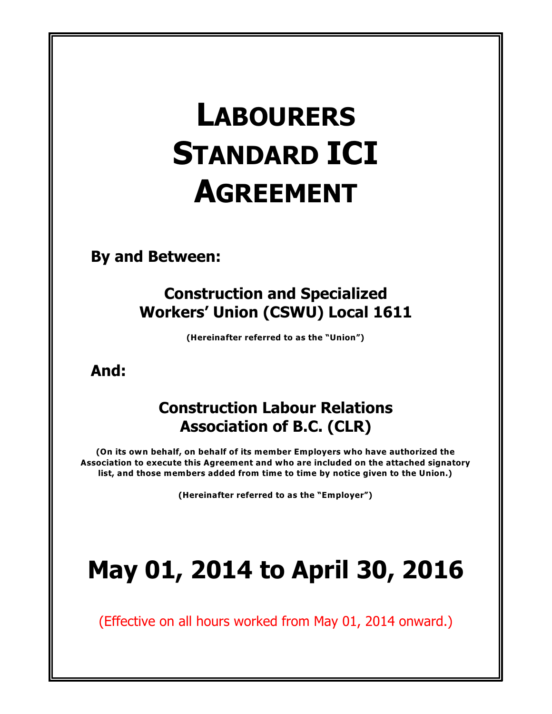# **LABOURERS STANDARD ICI AGREEMENT**

**By and Between:**

## **Construction and Specialized Workers' Union (CSWU) Local 1611**

**(Hereinafter referred to as the "Union")**

**And:**

## **Construction Labour Relations Association of B.C. (CLR)**

**(On its own behalf, on behalf of its member Employers who have authorized the Association to execute this Agreement and who are included on the attached signatory list, and those members added from time to time by notice given to the Union.)**

**(Hereinafter referred to as the "Employer")**

# **May 01, 2014 to April 30, 2016**

(Effective on all hours worked from May 01, 2014 onward.)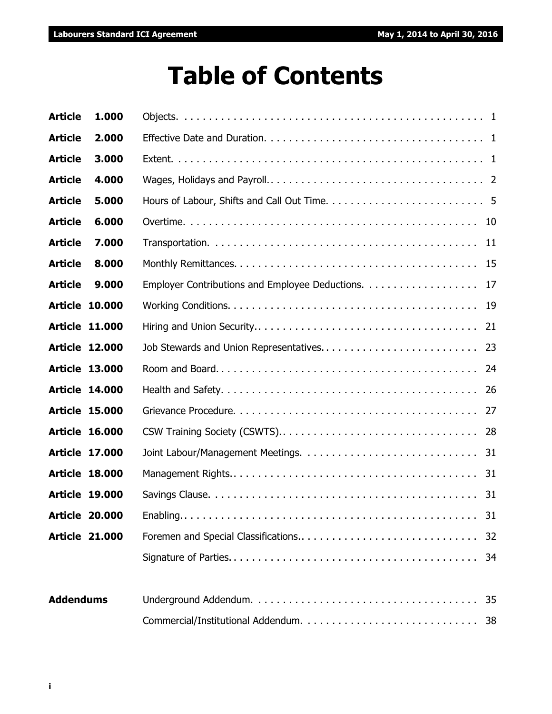# **Table of Contents**

| <b>Article</b>        | 1.000                 |                                                    |    |
|-----------------------|-----------------------|----------------------------------------------------|----|
| <b>Article</b>        | 2.000                 |                                                    |    |
| <b>Article</b>        | 3.000                 |                                                    |    |
| <b>Article</b>        | 4.000                 |                                                    |    |
| <b>Article</b>        | 5.000                 |                                                    |    |
| <b>Article</b>        | 6.000                 |                                                    |    |
| <b>Article</b>        | 7.000                 |                                                    |    |
| <b>Article</b>        | 8.000                 |                                                    |    |
| <b>Article</b>        | 9.000                 | Employer Contributions and Employee Deductions. 17 |    |
| <b>Article 10.000</b> |                       |                                                    |    |
| <b>Article 11.000</b> |                       |                                                    |    |
| <b>Article 12.000</b> |                       |                                                    |    |
| <b>Article 13.000</b> |                       |                                                    |    |
| <b>Article 14.000</b> |                       |                                                    |    |
| <b>Article 15.000</b> |                       |                                                    |    |
| <b>Article 16.000</b> |                       |                                                    |    |
| <b>Article 17.000</b> |                       |                                                    |    |
| <b>Article 18.000</b> |                       |                                                    |    |
| <b>Article 19.000</b> |                       |                                                    |    |
|                       | <b>Article 20.000</b> |                                                    |    |
| <b>Article 21.000</b> |                       |                                                    | 32 |
|                       |                       |                                                    | 34 |
|                       |                       |                                                    |    |
| <b>Addendums</b>      |                       |                                                    | 35 |
|                       |                       |                                                    | 38 |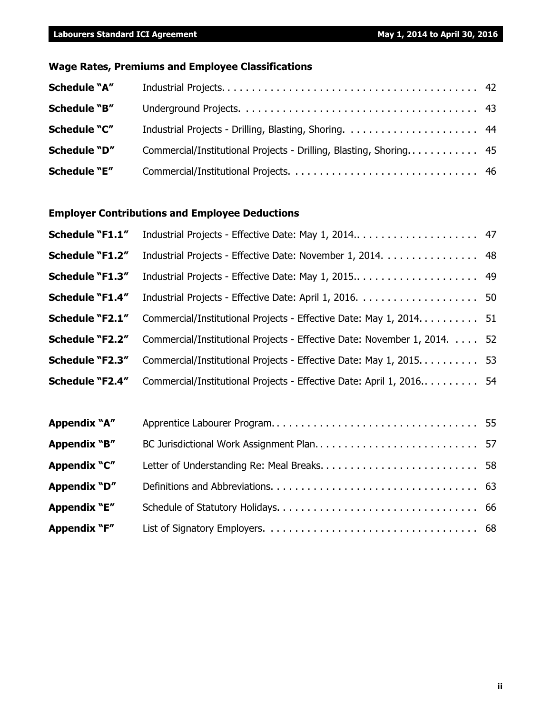### **Wage Rates, Premiums and Employee Classifications**

| <b>Schedule "A"</b> |                                                                    |  |
|---------------------|--------------------------------------------------------------------|--|
| <b>Schedule "B"</b> |                                                                    |  |
| <b>Schedule "C"</b> |                                                                    |  |
| Schedule "D"        | Commercial/Institutional Projects - Drilling, Blasting, Shoring 45 |  |
| Schedule "E"        |                                                                    |  |

#### **Employer Contributions and Employee Deductions**

| Schedule "F1.1"        |                                                                       |    |
|------------------------|-----------------------------------------------------------------------|----|
| <b>Schedule "F1.2"</b> | Industrial Projects - Effective Date: November 1, 2014. 48            |    |
| <b>Schedule "F1.3"</b> | Industrial Projects - Effective Date: May 1, 2015                     | 49 |
| <b>Schedule "F1.4"</b> |                                                                       |    |
| <b>Schedule "F2.1"</b> | Commercial/Institutional Projects - Effective Date: May 1, 2014 51    |    |
| <b>Schedule "F2.2"</b> | Commercial/Institutional Projects - Effective Date: November 1, 2014. | 52 |
| <b>Schedule "F2.3"</b> | Commercial/Institutional Projects - Effective Date: May 1, 2015.      | 53 |
| <b>Schedule "F2.4"</b> | Commercial/Institutional Projects - Effective Date: April 1, 2016 54  |    |
|                        |                                                                       |    |
| Appendix "A"           |                                                                       |    |
| Appendix "B"           | BC Jurisdictional Work Assignment Plan 57                             |    |
| Appendix "C"           | Letter of Understanding Re: Meal Breaks 58                            |    |
| <b>Appendix "D"</b>    |                                                                       |    |
| <b>Appendix "E"</b>    |                                                                       |    |

**Appendix "F"** List of Signatory Employers. . . . . . . . . . . . . . . . . . . . . . . . . . . . . . . . . . . 68

**ii**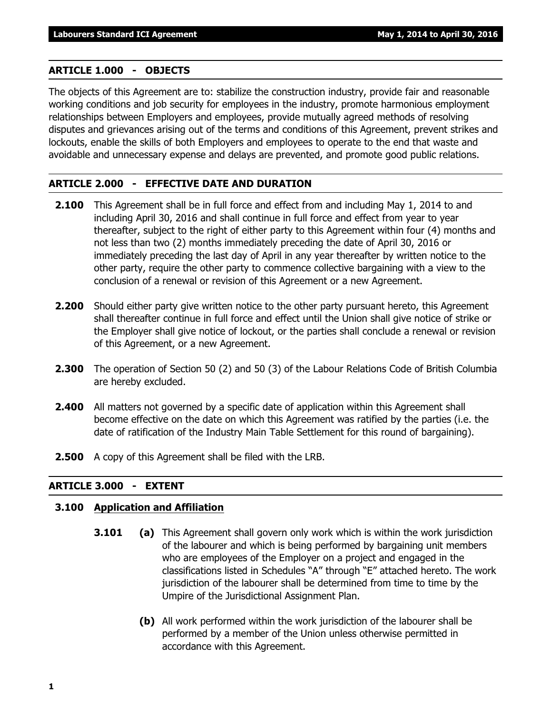#### **ARTICLE 1.000 - OBJECTS**

The objects of this Agreement are to: stabilize the construction industry, provide fair and reasonable working conditions and job security for employees in the industry, promote harmonious employment relationships between Employers and employees, provide mutually agreed methods of resolving disputes and grievances arising out of the terms and conditions of this Agreement, prevent strikes and lockouts, enable the skills of both Employers and employees to operate to the end that waste and avoidable and unnecessary expense and delays are prevented, and promote good public relations.

#### **ARTICLE 2.000 - EFFECTIVE DATE AND DURATION**

- **2.100** This Agreement shall be in full force and effect from and including May 1, 2014 to and including April 30, 2016 and shall continue in full force and effect from year to year thereafter, subject to the right of either party to this Agreement within four (4) months and not less than two (2) months immediately preceding the date of April 30, 2016 or immediately preceding the last day of April in any year thereafter by written notice to the other party, require the other party to commence collective bargaining with a view to the conclusion of a renewal or revision of this Agreement or a new Agreement.
- **2.200** Should either party give written notice to the other party pursuant hereto, this Agreement shall thereafter continue in full force and effect until the Union shall give notice of strike or the Employer shall give notice of lockout, or the parties shall conclude a renewal or revision of this Agreement, or a new Agreement.
- **2.300** The operation of Section 50 (2) and 50 (3) of the *Labour Relations Code* of British Columbia are hereby excluded.
- **2.400** All matters not governed by a specific date of application within this Agreement shall become effective on the date on which this Agreement was ratified by the parties (i.e. the date of ratification of the Industry Main Table Settlement for this round of bargaining).
- **2.500** A copy of this Agreement shall be filed with the LRB.

#### **ARTICLE 3.000 - EXTENT**

#### **3.100 Application and Affiliation**

- **3.101 (a)** This Agreement shall govern only work which is within the work jurisdiction of the labourer and which is being performed by bargaining unit members who are employees of the Employer on a project and engaged in the classifications listed in Schedules "A" through "E" attached hereto. The work jurisdiction of the labourer shall be determined from time to time by the Umpire of the Jurisdictional Assignment Plan.
	- **(b)** All work performed within the work jurisdiction of the labourer shall be performed by a member of the Union unless otherwise permitted in accordance with this Agreement.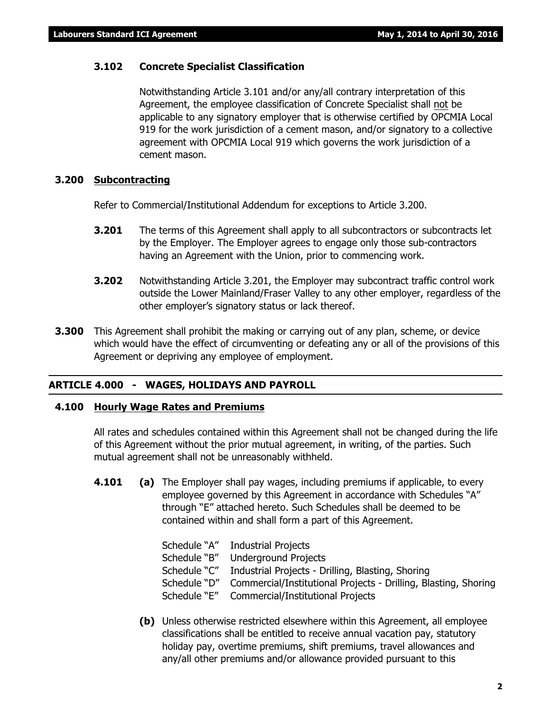#### **3.102 Concrete Specialist Classification**

Notwithstanding Article 3.101 and/or any/all contrary interpretation of this Agreement, the employee classification of Concrete Specialist shall not be applicable to any signatory employer that is otherwise certified by OPCMIA Local 919 for the work jurisdiction of a cement mason, and/or signatory to a collective agreement with OPCMIA Local 919 which governs the work jurisdiction of a cement mason.

#### **3.200 Subcontracting**

Refer to Commercial/Institutional Addendum for exceptions to Article 3.200.

- **3.201** The terms of this Agreement shall apply to all subcontractors or subcontracts let by the Employer. The Employer agrees to engage only those sub-contractors having an Agreement with the Union, prior to commencing work.
- **3.202** Notwithstanding Article 3.201, the Employer may subcontract traffic control work outside the Lower Mainland/Fraser Valley to any other employer, regardless of the other employer's signatory status or lack thereof.
- **3.300** This Agreement shall prohibit the making or carrying out of any plan, scheme, or device which would have the effect of circumventing or defeating any or all of the provisions of this Agreement or depriving any employee of employment.

#### **ARTICLE 4.000 - WAGES, HOLIDAYS AND PAYROLL**

#### **4.100 Hourly Wage Rates and Premiums**

All rates and schedules contained within this Agreement shall not be changed during the life of this Agreement without the prior mutual agreement, in writing, of the parties. Such mutual agreement shall not be unreasonably withheld.

**4.101 (a)** The Employer shall pay wages, including premiums if applicable, to every employee governed by this Agreement in accordance with Schedules "A" through "E" attached hereto. Such Schedules shall be deemed to be contained within and shall form a part of this Agreement.

|              | Schedule "A" Industrial Projects                                |
|--------------|-----------------------------------------------------------------|
| Schedule "B" | <b>Underground Projects</b>                                     |
| Schedule "C" | Industrial Projects - Drilling, Blasting, Shoring               |
| Schedule "D" | Commercial/Institutional Projects - Drilling, Blasting, Shoring |
| Schedule "E" | Commercial/Institutional Projects                               |
|              |                                                                 |

**(b)** Unless otherwise restricted elsewhere within this Agreement, all employee classifications shall be entitled to receive annual vacation pay, statutory holiday pay, overtime premiums, shift premiums, travel allowances and any/all other premiums and/or allowance provided pursuant to this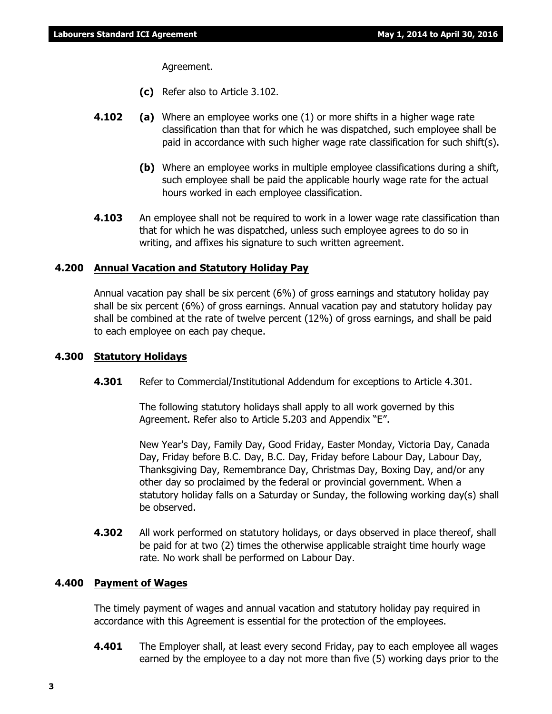Agreement.

- **(c)** Refer also to Article 3.102.
- **4.102 (a)** Where an employee works one (1) or more shifts in a higher wage rate classification than that for which he was dispatched, such employee shall be paid in accordance with such higher wage rate classification for such shift(s).
	- **(b)** Where an employee works in multiple employee classifications during a shift, such employee shall be paid the applicable hourly wage rate for the actual hours worked in each employee classification.
- **4.103** An employee shall not be required to work in a lower wage rate classification than that for which he was dispatched, unless such employee agrees to do so in writing, and affixes his signature to such written agreement.

#### **4.200 Annual Vacation and Statutory Holiday Pay**

Annual vacation pay shall be six percent (6%) of gross earnings and statutory holiday pay shall be six percent (6%) of gross earnings. Annual vacation pay and statutory holiday pay shall be combined at the rate of twelve percent (12%) of gross earnings, and shall be paid to each employee on each pay cheque.

#### **4.300 Statutory Holidays**

**4.301** Refer to Commercial/Institutional Addendum for exceptions to Article 4.301.

The following statutory holidays shall apply to all work governed by this Agreement. Refer also to Article 5.203 and Appendix "E".

New Year's Day, Family Day, Good Friday, Easter Monday, Victoria Day, Canada Day, Friday before B.C. Day, B.C. Day, Friday before Labour Day, Labour Day, Thanksgiving Day, Remembrance Day, Christmas Day, Boxing Day, and/or any other day so proclaimed by the federal or provincial government. When a statutory holiday falls on a Saturday or Sunday, the following working day(s) shall be observed.

**4.302** All work performed on statutory holidays, or days observed in place thereof, shall be paid for at two (2) times the otherwise applicable straight time hourly wage rate. No work shall be performed on Labour Day.

#### **4.400 Payment of Wages**

The timely payment of wages and annual vacation and statutory holiday pay required in accordance with this Agreement is essential for the protection of the employees.

**4.401** The Employer shall, at least every second Friday, pay to each employee all wages earned by the employee to a day not more than five (5) working days prior to the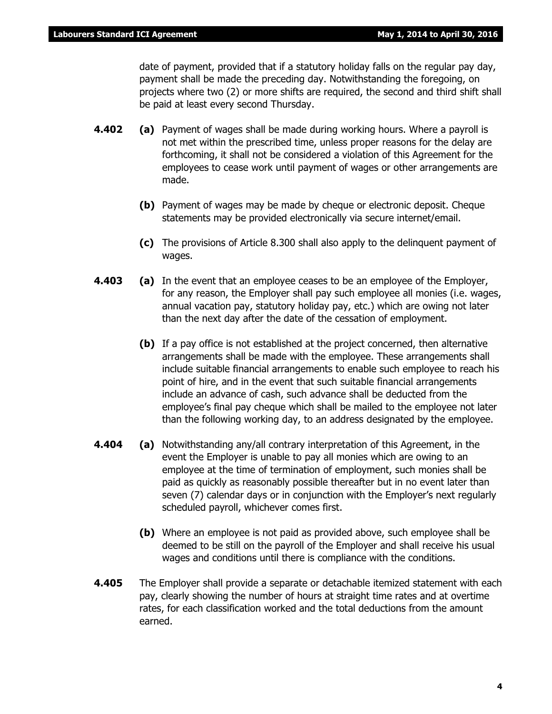date of payment, provided that if a statutory holiday falls on the regular pay day, payment shall be made the preceding day. Notwithstanding the foregoing, on projects where two (2) or more shifts are required, the second and third shift shall be paid at least every second Thursday.

- **4.402 (a)** Payment of wages shall be made during working hours. Where a payroll is not met within the prescribed time, unless proper reasons for the delay are forthcoming, it shall not be considered a violation of this Agreement for the employees to cease work until payment of wages or other arrangements are made.
	- **(b)** Payment of wages may be made by cheque or electronic deposit. Cheque statements may be provided electronically via secure internet/email.
	- **(c)** The provisions of Article 8.300 shall also apply to the delinquent payment of wages.
- **4.403 (a)** In the event that an employee ceases to be an employee of the Employer, for any reason, the Employer shall pay such employee all monies (i.e. wages, annual vacation pay, statutory holiday pay, etc.) which are owing not later than the next day after the date of the cessation of employment.
	- **(b)** If a pay office is not established at the project concerned, then alternative arrangements shall be made with the employee. These arrangements shall include suitable financial arrangements to enable such employee to reach his point of hire, and in the event that such suitable financial arrangements include an advance of cash, such advance shall be deducted from the employee's final pay cheque which shall be mailed to the employee not later than the following working day, to an address designated by the employee.
- **4.404 (a)** Notwithstanding any/all contrary interpretation of this Agreement, in the event the Employer is unable to pay all monies which are owing to an employee at the time of termination of employment, such monies shall be paid as quickly as reasonably possible thereafter but in no event later than seven (7) calendar days or in conjunction with the Employer's next regularly scheduled payroll, whichever comes first.
	- **(b)** Where an employee is not paid as provided above, such employee shall be deemed to be still on the payroll of the Employer and shall receive his usual wages and conditions until there is compliance with the conditions.
- **4.405** The Employer shall provide a separate or detachable itemized statement with each pay, clearly showing the number of hours at straight time rates and at overtime rates, for each classification worked and the total deductions from the amount earned.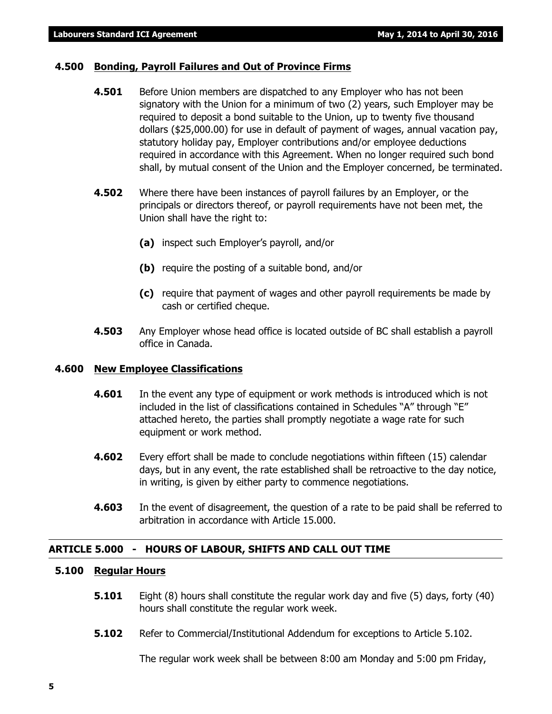#### **4.500 Bonding, Payroll Failures and Out of Province Firms**

- **4.501** Before Union members are dispatched to any Employer who has not been signatory with the Union for a minimum of two (2) years, such Employer may be required to deposit a bond suitable to the Union, up to twenty five thousand dollars (\$25,000.00) for use in default of payment of wages, annual vacation pay, statutory holiday pay, Employer contributions and/or employee deductions required in accordance with this Agreement. When no longer required such bond shall, by mutual consent of the Union and the Employer concerned, be terminated.
- **4.502** Where there have been instances of payroll failures by an Employer, or the principals or directors thereof, or payroll requirements have not been met, the Union shall have the right to:
	- **(a)** inspect such Employer's payroll, and/or
	- **(b)** require the posting of a suitable bond, and/or
	- **(c)** require that payment of wages and other payroll requirements be made by cash or certified cheque.
- **4.503** Any Employer whose head office is located outside of BC shall establish a payroll office in Canada.

#### **4.600 New Employee Classifications**

- **4.601** In the event any type of equipment or work methods is introduced which is not included in the list of classifications contained in Schedules "A" through "E" attached hereto, the parties shall promptly negotiate a wage rate for such equipment or work method.
- **4.602** Every effort shall be made to conclude negotiations within fifteen (15) calendar days, but in any event, the rate established shall be retroactive to the day notice, in writing, is given by either party to commence negotiations.
- **4.603** In the event of disagreement, the question of a rate to be paid shall be referred to arbitration in accordance with Article 15.000.

#### **ARTICLE 5.000 - HOURS OF LABOUR, SHIFTS AND CALL OUT TIME**

#### **5.100 Regular Hours**

- **5.101** Eight (8) hours shall constitute the regular work day and five (5) days, forty (40) hours shall constitute the regular work week.
- **5.102** Refer to Commercial/Institutional Addendum for exceptions to Article 5.102.

The regular work week shall be between 8:00 am Monday and 5:00 pm Friday,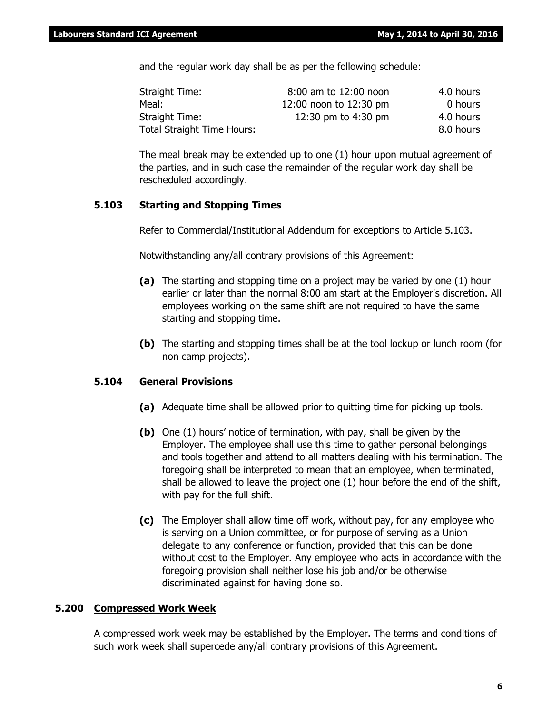and the regular work day shall be as per the following schedule:

| Straight Time:                    | 8:00 am to 12:00 noon  | 4.0 hours |
|-----------------------------------|------------------------|-----------|
| Meal:                             | 12:00 noon to 12:30 pm | 0 hours   |
| Straight Time:                    | 12:30 pm to 4:30 pm    | 4.0 hours |
| <b>Total Straight Time Hours:</b> |                        | 8.0 hours |

The meal break may be extended up to one (1) hour upon mutual agreement of the parties, and in such case the remainder of the regular work day shall be rescheduled accordingly.

#### **5.103 Starting and Stopping Times**

Refer to Commercial/Institutional Addendum for exceptions to Article 5.103.

Notwithstanding any/all contrary provisions of this Agreement:

- **(a)** The starting and stopping time on a project may be varied by one (1) hour earlier or later than the normal 8:00 am start at the Employer's discretion. All employees working on the same shift are not required to have the same starting and stopping time.
- **(b)** The starting and stopping times shall be at the tool lockup or lunch room (for non camp projects).

#### **5.104 General Provisions**

- **(a)** Adequate time shall be allowed prior to quitting time for picking up tools.
- **(b)** One (1) hours' notice of termination, with pay, shall be given by the Employer. The employee shall use this time to gather personal belongings and tools together and attend to all matters dealing with his termination. The foregoing shall be interpreted to mean that an employee, when terminated, shall be allowed to leave the project one (1) hour before the end of the shift, with pay for the full shift.
- **(c)** The Employer shall allow time off work, without pay, for any employee who is serving on a Union committee, or for purpose of serving as a Union delegate to any conference or function, provided that this can be done without cost to the Employer. Any employee who acts in accordance with the foregoing provision shall neither lose his job and/or be otherwise discriminated against for having done so.

#### **5.200 Compressed Work Week**

A compressed work week may be established by the Employer. The terms and conditions of such work week shall supercede any/all contrary provisions of this Agreement.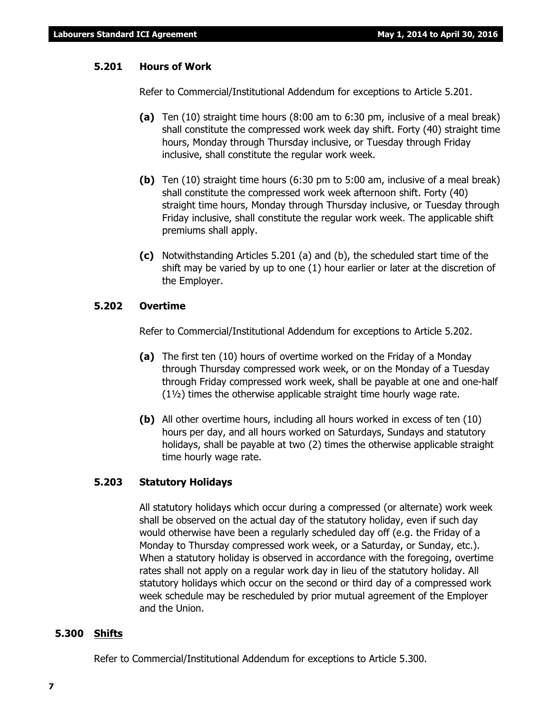#### **5.201 Hours of Work**

Refer to Commercial/Institutional Addendum for exceptions to Article 5.201.

- **(a)** Ten (10) straight time hours (8:00 am to 6:30 pm, inclusive of a meal break) shall constitute the compressed work week day shift. Forty (40) straight time hours, Monday through Thursday inclusive, or Tuesday through Friday inclusive, shall constitute the regular work week.
- **(b)** Ten (10) straight time hours (6:30 pm to 5:00 am, inclusive of a meal break) shall constitute the compressed work week afternoon shift. Forty (40) straight time hours, Monday through Thursday inclusive, or Tuesday through Friday inclusive, shall constitute the regular work week. The applicable shift premiums shall apply.
- **(c)** Notwithstanding Articles 5.201 (a) and (b), the scheduled start time of the shift may be varied by up to one (1) hour earlier or later at the discretion of the Employer.

#### **5.202 Overtime**

Refer to Commercial/Institutional Addendum for exceptions to Article 5.202.

- **(a)** The first ten (10) hours of overtime worked on the Friday of a Monday through Thursday compressed work week, or on the Monday of a Tuesday through Friday compressed work week, shall be payable at one and one-half (1½) times the otherwise applicable straight time hourly wage rate.
- **(b)** All other overtime hours, including all hours worked in excess of ten (10) hours per day, and all hours worked on Saturdays, Sundays and statutory holidays, shall be payable at two (2) times the otherwise applicable straight time hourly wage rate.

#### **5.203 Statutory Holidays**

All statutory holidays which occur during a compressed (or alternate) work week shall be observed on the actual day of the statutory holiday, even if such day would otherwise have been a regularly scheduled day off (e.g. the Friday of a Monday to Thursday compressed work week, or a Saturday, or Sunday, etc.). When a statutory holiday is observed in accordance with the foregoing, overtime rates shall not apply on a regular work day in lieu of the statutory holiday. All statutory holidays which occur on the second or third day of a compressed work week schedule may be rescheduled by prior mutual agreement of the Employer and the Union.

#### **5.300 Shifts**

Refer to Commercial/Institutional Addendum for exceptions to Article 5.300.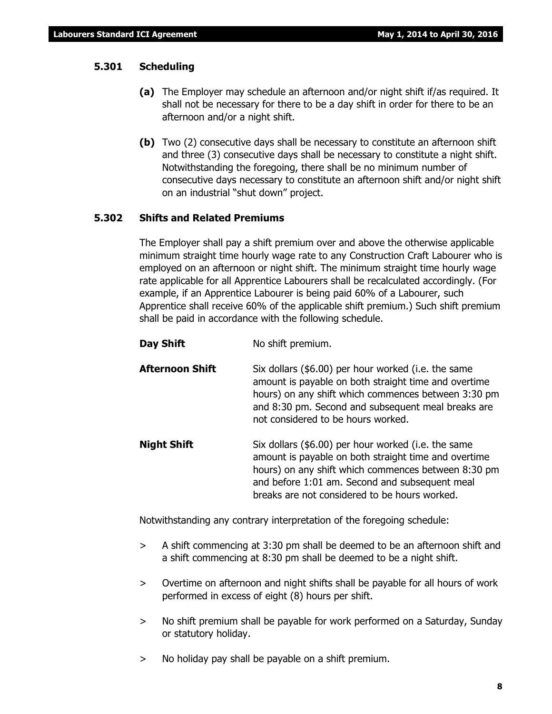#### **5.301 Scheduling**

- **(a)** The Employer may schedule an afternoon and/or night shift if/as required. It shall not be necessary for there to be a day shift in order for there to be an afternoon and/or a night shift.
- **(b)** Two (2) consecutive days shall be necessary to constitute an afternoon shift and three (3) consecutive days shall be necessary to constitute a night shift. Notwithstanding the foregoing, there shall be no minimum number of consecutive days necessary to constitute an afternoon shift and/or night shift on an industrial "shut down" project.

#### **5.302 Shifts and Related Premiums**

The Employer shall pay a shift premium over and above the otherwise applicable minimum straight time hourly wage rate to any Construction Craft Labourer who is employed on an afternoon or night shift. The minimum straight time hourly wage rate applicable for all Apprentice Labourers shall be recalculated accordingly. (For example, if an Apprentice Labourer is being paid 60% of a Labourer, such Apprentice shall receive 60% of the applicable shift premium.) Such shift premium shall be paid in accordance with the following schedule.

- **Day Shift** No shift premium.
- **Afternoon Shift** Six dollars (\$6.00) per hour worked (i.e. the same amount is payable on both straight time and overtime hours) on any shift which commences between 3:30 pm and 8:30 pm. Second and subsequent meal breaks are not considered to be hours worked.
- **Night Shift** Six dollars (\$6.00) per hour worked (i.e. the same amount is payable on both straight time and overtime hours) on any shift which commences between 8:30 pm and before 1:01 am. Second and subsequent meal breaks are not considered to be hours worked.

Notwithstanding any contrary interpretation of the foregoing schedule:

- > A shift commencing at 3:30 pm shall be deemed to be an afternoon shift and a shift commencing at 8:30 pm shall be deemed to be a night shift.
- > Overtime on afternoon and night shifts shall be payable for all hours of work performed in excess of eight (8) hours per shift.
- > No shift premium shall be payable for work performed on a Saturday, Sunday or statutory holiday.
- > No holiday pay shall be payable on a shift premium.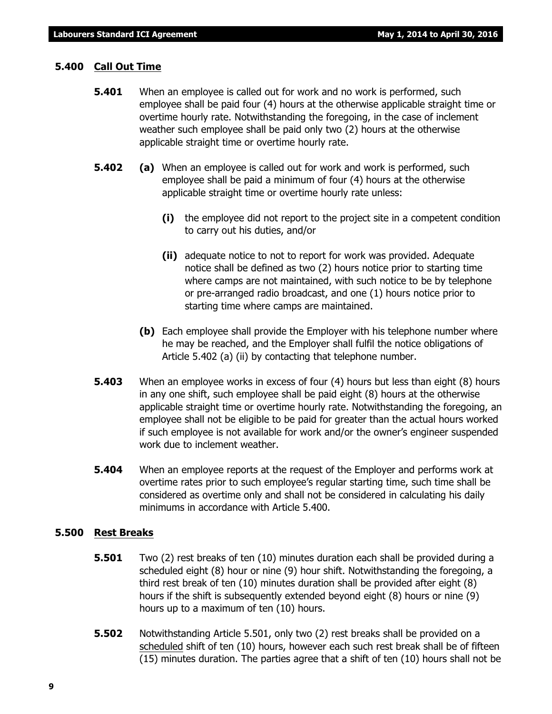#### **5.400 Call Out Time**

- **5.401** When an employee is called out for work and no work is performed, such employee shall be paid four (4) hours at the otherwise applicable straight time or overtime hourly rate. Notwithstanding the foregoing, in the case of inclement weather such employee shall be paid only two (2) hours at the otherwise applicable straight time or overtime hourly rate.
- **5.402 (a)** When an employee is called out for work and work is performed, such employee shall be paid a minimum of four (4) hours at the otherwise applicable straight time or overtime hourly rate unless:
	- **(i)** the employee did not report to the project site in a competent condition to carry out his duties, and/or
	- **(ii)** adequate notice to not to report for work was provided. Adequate notice shall be defined as two (2) hours notice prior to starting time where camps are not maintained, with such notice to be by telephone or pre-arranged radio broadcast, and one (1) hours notice prior to starting time where camps are maintained.
	- **(b)** Each employee shall provide the Employer with his telephone number where he may be reached, and the Employer shall fulfil the notice obligations of Article 5.402 (a) (ii) by contacting that telephone number.
- **5.403** When an employee works in excess of four (4) hours but less than eight (8) hours in any one shift, such employee shall be paid eight (8) hours at the otherwise applicable straight time or overtime hourly rate. Notwithstanding the foregoing, an employee shall not be eligible to be paid for greater than the actual hours worked if such employee is not available for work and/or the owner's engineer suspended work due to inclement weather.
- **5.404** When an employee reports at the request of the Employer and performs work at overtime rates prior to such employee's regular starting time, such time shall be considered as overtime only and shall not be considered in calculating his daily minimums in accordance with Article 5.400.

#### **5.500 Rest Breaks**

- **5.501** Two (2) rest breaks of ten (10) minutes duration each shall be provided during a scheduled eight (8) hour or nine (9) hour shift. Notwithstanding the foregoing, a third rest break of ten (10) minutes duration shall be provided after eight (8) hours if the shift is subsequently extended beyond eight (8) hours or nine (9) hours up to a maximum of ten (10) hours.
- **5.502** Notwithstanding Article 5.501, only two (2) rest breaks shall be provided on a scheduled shift of ten (10) hours, however each such rest break shall be of fifteen (15) minutes duration. The parties agree that a shift of ten (10) hours shall not be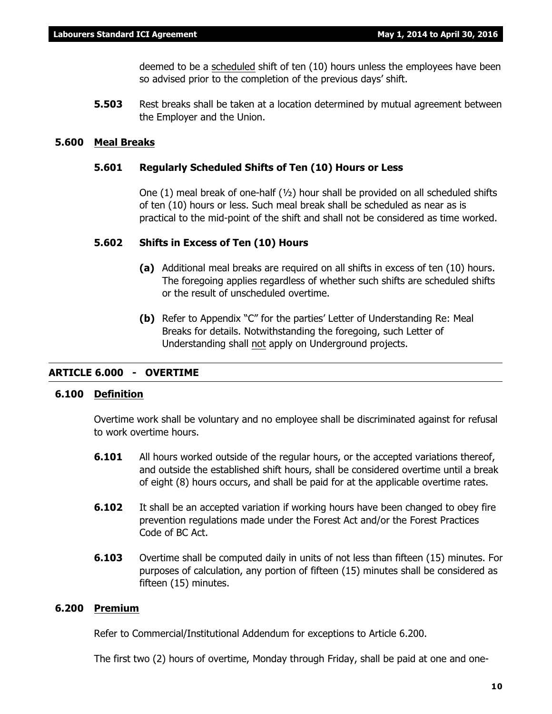deemed to be a scheduled shift of ten (10) hours unless the employees have been so advised prior to the completion of the previous days' shift.

**5.503** Rest breaks shall be taken at a location determined by mutual agreement between the Employer and the Union.

#### **5.600 Meal Breaks**

#### **5.601 Regularly Scheduled Shifts of Ten (10) Hours or Less**

One (1) meal break of one-half  $(v_2)$  hour shall be provided on all scheduled shifts of ten (10) hours or less. Such meal break shall be scheduled as near as is practical to the mid-point of the shift and shall not be considered as time worked.

#### **5.602 Shifts in Excess of Ten (10) Hours**

- **(a)** Additional meal breaks are required on all shifts in excess of ten (10) hours. The foregoing applies regardless of whether such shifts are scheduled shifts or the result of unscheduled overtime.
- **(b)** Refer to Appendix "C" for the parties' Letter of Understanding Re: Meal Breaks for details. Notwithstanding the foregoing, such Letter of Understanding shall not apply on Underground projects.

#### **ARTICLE 6.000 - OVERTIME**

#### **6.100 Definition**

Overtime work shall be voluntary and no employee shall be discriminated against for refusal to work overtime hours.

- **6.101** All hours worked outside of the regular hours, or the accepted variations thereof, and outside the established shift hours, shall be considered overtime until a break of eight (8) hours occurs, and shall be paid for at the applicable overtime rates.
- **6.102** It shall be an accepted variation if working hours have been changed to obey fire prevention regulations made under the *Forest Act* and/or the *Forest Practices Code of BC Act*.
- **6.103** Overtime shall be computed daily in units of not less than fifteen (15) minutes. For purposes of calculation, any portion of fifteen (15) minutes shall be considered as fifteen (15) minutes.

#### **6.200 Premium**

Refer to Commercial/Institutional Addendum for exceptions to Article 6.200.

The first two (2) hours of overtime, Monday through Friday, shall be paid at one and one-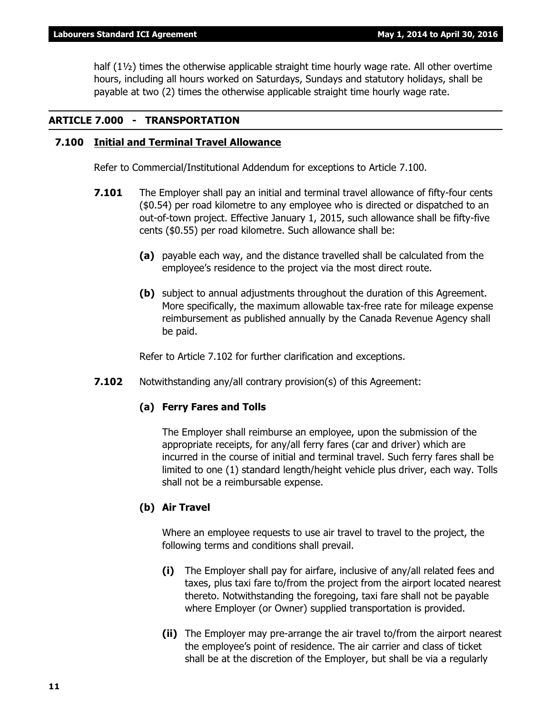half (1½) times the otherwise applicable straight time hourly wage rate. All other overtime hours, including all hours worked on Saturdays, Sundays and statutory holidays, shall be payable at two (2) times the otherwise applicable straight time hourly wage rate.

#### **ARTICLE 7.000 - TRANSPORTATION**

#### **7.100 Initial and Terminal Travel Allowance**

Refer to Commercial/Institutional Addendum for exceptions to Article 7.100.

- **7.101** The Employer shall pay an initial and terminal travel allowance of fifty-four cents (\$0.54) per road kilometre to any employee who is directed or dispatched to an out-of-town project. Effective January 1, 2015, such allowance shall be fifty-five cents (\$0.55) per road kilometre. Such allowance shall be:
	- **(a)** payable each way, and the distance travelled shall be calculated from the employee's residence to the project via the most direct route.
	- **(b)** subject to annual adjustments throughout the duration of this Agreement. More specifically, the maximum allowable tax-free rate for mileage expense reimbursement as published annually by the Canada Revenue Agency shall be paid.

Refer to Article 7.102 for further clarification and exceptions.

**7.102** Notwithstanding any/all contrary provision(s) of this Agreement:

#### **(a) Ferry Fares and Tolls**

The Employer shall reimburse an employee, upon the submission of the appropriate receipts, for any/all ferry fares (car and driver) which are incurred in the course of initial and terminal travel. Such ferry fares shall be limited to one (1) standard length/height vehicle plus driver, each way. Tolls shall not be a reimbursable expense.

#### **(b) Air Travel**

Where an employee requests to use air travel to travel to the project, the following terms and conditions shall prevail.

- **(i)** The Employer shall pay for airfare, inclusive of any/all related fees and taxes, plus taxi fare to/from the project from the airport located nearest thereto. Notwithstanding the foregoing, taxi fare shall not be payable where Employer (or Owner) supplied transportation is provided.
- **(ii)** The Employer may pre-arrange the air travel to/from the airport nearest the employee's point of residence. The air carrier and class of ticket shall be at the discretion of the Employer, but shall be via a regularly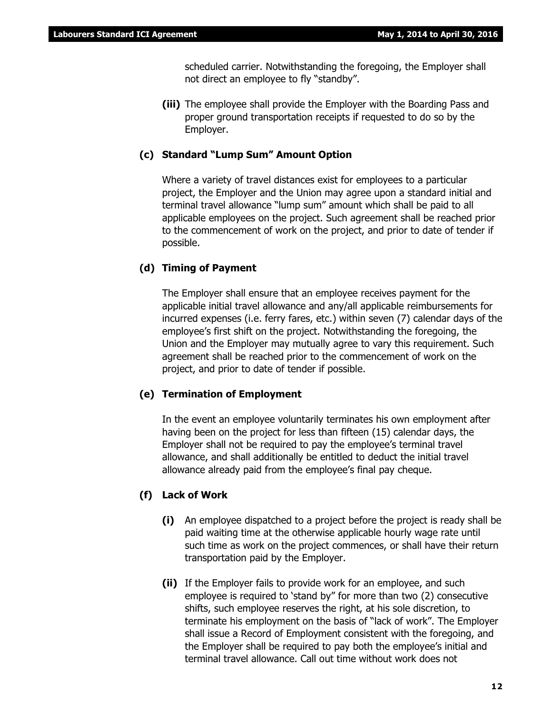scheduled carrier. Notwithstanding the foregoing, the Employer shall not direct an employee to fly "standby".

**(iii)** The employee shall provide the Employer with the Boarding Pass and proper ground transportation receipts if requested to do so by the Employer.

#### **(c) Standard "Lump Sum" Amount Option**

Where a variety of travel distances exist for employees to a particular project, the Employer and the Union may agree upon a standard initial and terminal travel allowance "lump sum" amount which shall be paid to all applicable employees on the project. Such agreement shall be reached prior to the commencement of work on the project, and prior to date of tender if possible.

#### **(d) Timing of Payment**

The Employer shall ensure that an employee receives payment for the applicable initial travel allowance and any/all applicable reimbursements for incurred expenses (i.e. ferry fares, etc.) within seven (7) calendar days of the employee's first shift on the project. Notwithstanding the foregoing, the Union and the Employer may mutually agree to vary this requirement. Such agreement shall be reached prior to the commencement of work on the project, and prior to date of tender if possible.

#### **(e) Termination of Employment**

In the event an employee voluntarily terminates his own employment after having been on the project for less than fifteen (15) calendar days, the Employer shall not be required to pay the employee's terminal travel allowance, and shall additionally be entitled to deduct the initial travel allowance already paid from the employee's final pay cheque.

#### **(f) Lack of Work**

- **(i)** An employee dispatched to a project before the project is ready shall be paid waiting time at the otherwise applicable hourly wage rate until such time as work on the project commences, or shall have their return transportation paid by the Employer.
- **(ii)** If the Employer fails to provide work for an employee, and such employee is required to 'stand by" for more than two (2) consecutive shifts, such employee reserves the right, at his sole discretion, to terminate his employment on the basis of "lack of work". The Employer shall issue a Record of Employment consistent with the foregoing, and the Employer shall be required to pay both the employee's initial and terminal travel allowance. Call out time without work does not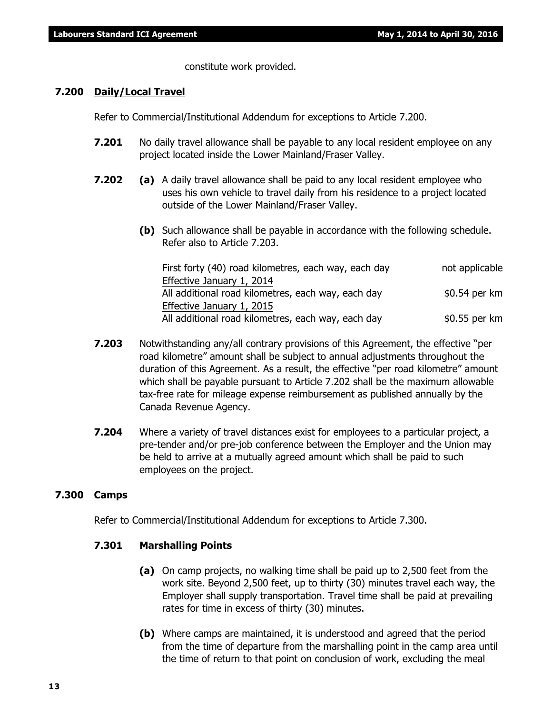constitute work provided.

#### **7.200 Daily/Local Travel**

Refer to Commercial/Institutional Addendum for exceptions to Article 7.200.

- **7.201** No daily travel allowance shall be payable to any local resident employee on any project located inside the Lower Mainland/Fraser Valley.
- **7.202 (a)** A daily travel allowance shall be paid to any local resident employee who uses his own vehicle to travel daily from his residence to a project located outside of the Lower Mainland/Fraser Valley.
	- **(b)** Such allowance shall be payable in accordance with the following schedule. Refer also to Article 7.203.

| First forty (40) road kilometres, each way, each day | not applicable |
|------------------------------------------------------|----------------|
| Effective January 1, 2014                            |                |
| All additional road kilometres, each way, each day   | \$0.54 per km  |
| Effective January 1, 2015                            |                |
| All additional road kilometres, each way, each day   | \$0.55 per km  |

- **7.203** Notwithstanding any/all contrary provisions of this Agreement, the effective "per road kilometre" amount shall be subject to annual adjustments throughout the duration of this Agreement. As a result, the effective "per road kilometre" amount which shall be payable pursuant to Article 7.202 shall be the maximum allowable tax-free rate for mileage expense reimbursement as published annually by the Canada Revenue Agency.
- **7.204** Where a variety of travel distances exist for employees to a particular project, a pre-tender and/or pre-job conference between the Employer and the Union may be held to arrive at a mutually agreed amount which shall be paid to such employees on the project.

#### **7.300 Camps**

Refer to Commercial/Institutional Addendum for exceptions to Article 7.300.

#### **7.301 Marshalling Points**

- **(a)** On camp projects, no walking time shall be paid up to 2,500 feet from the work site. Beyond 2,500 feet, up to thirty (30) minutes travel each way, the Employer shall supply transportation. Travel time shall be paid at prevailing rates for time in excess of thirty (30) minutes.
- **(b)** Where camps are maintained, it is understood and agreed that the period from the time of departure from the marshalling point in the camp area until the time of return to that point on conclusion of work, excluding the meal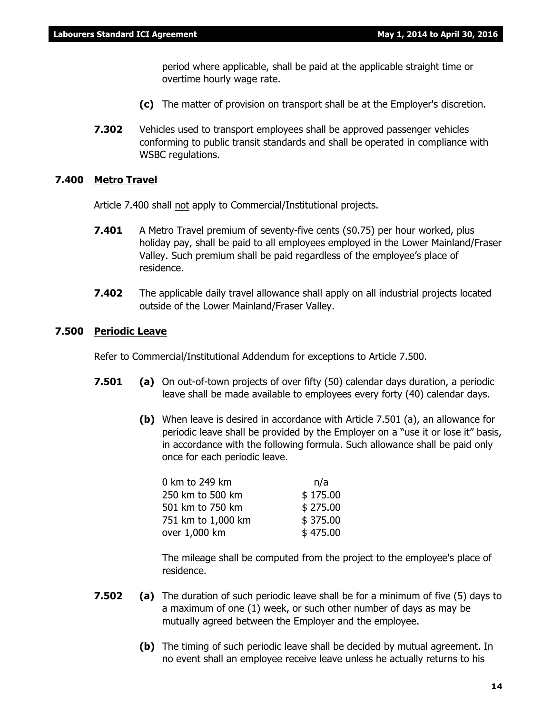period where applicable, shall be paid at the applicable straight time or overtime hourly wage rate.

- **(c)** The matter of provision on transport shall be at the Employer's discretion.
- **7.302** Vehicles used to transport employees shall be approved passenger vehicles conforming to public transit standards and shall be operated in compliance with WSBC regulations.

#### **7.400 Metro Travel**

Article 7.400 shall not apply to Commercial/Institutional projects.

- **7.401** A Metro Travel premium of seventy-five cents (\$0.75) per hour worked, plus holiday pay, shall be paid to all employees employed in the Lower Mainland/Fraser Valley. Such premium shall be paid regardless of the employee's place of residence.
- **7.402** The applicable daily travel allowance shall apply on all industrial projects located outside of the Lower Mainland/Fraser Valley.

#### **7.500 Periodic Leave**

Refer to Commercial/Institutional Addendum for exceptions to Article 7.500.

- **7.501 (a)** On out-of-town projects of over fifty (50) calendar days duration, a periodic leave shall be made available to employees every forty (40) calendar days.
	- **(b)** When leave is desired in accordance with Article 7.501 (a), an allowance for periodic leave shall be provided by the Employer on a "use it or lose it" basis, in accordance with the following formula. Such allowance shall be paid only once for each periodic leave.

| 0 km to 249 km     | n/a      |
|--------------------|----------|
| 250 km to 500 km   | \$175.00 |
| 501 km to 750 km   | \$275.00 |
| 751 km to 1,000 km | \$375.00 |
| over 1,000 km      | \$475.00 |
|                    |          |

The mileage shall be computed from the project to the employee's place of residence.

- **7.502 (a)** The duration of such periodic leave shall be for a minimum of five (5) days to a maximum of one (1) week, or such other number of days as may be mutually agreed between the Employer and the employee.
	- **(b)** The timing of such periodic leave shall be decided by mutual agreement. In no event shall an employee receive leave unless he actually returns to his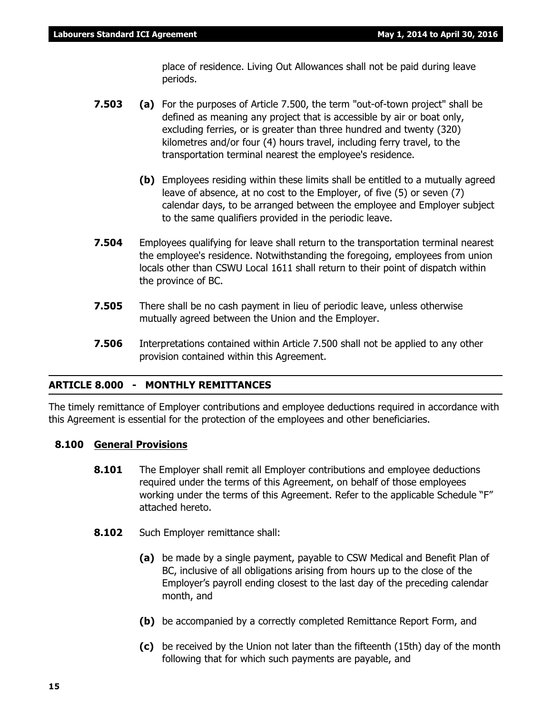place of residence. Living Out Allowances shall not be paid during leave periods.

- **7.503 (a)** For the purposes of Article 7.500, the term "out-of-town project" shall be defined as meaning any project that is accessible by air or boat only, excluding ferries, or is greater than three hundred and twenty (320) kilometres and/or four (4) hours travel, including ferry travel, to the transportation terminal nearest the employee's residence.
	- **(b)** Employees residing within these limits shall be entitled to a mutually agreed leave of absence, at no cost to the Employer, of five (5) or seven (7) calendar days, to be arranged between the employee and Employer subject to the same qualifiers provided in the periodic leave.
- **7.504** Employees qualifying for leave shall return to the transportation terminal nearest the employee's residence. Notwithstanding the foregoing, employees from union locals other than CSWU Local 1611 shall return to their point of dispatch within the province of BC.
- **7.505** There shall be no cash payment in lieu of periodic leave, unless otherwise mutually agreed between the Union and the Employer.
- **7.506** Interpretations contained within Article 7.500 shall not be applied to any other provision contained within this Agreement.

#### **ARTICLE 8.000 - MONTHLY REMITTANCES**

The timely remittance of Employer contributions and employee deductions required in accordance with this Agreement is essential for the protection of the employees and other beneficiaries.

#### **8.100 General Provisions**

- **8.101** The Employer shall remit all Employer contributions and employee deductions required under the terms of this Agreement, on behalf of those employees working under the terms of this Agreement. Refer to the applicable Schedule "F" attached hereto.
- **8.102** Such Employer remittance shall:
	- **(a)** be made by a single payment, payable to CSW Medical and Benefit Plan of BC, inclusive of all obligations arising from hours up to the close of the Employer's payroll ending closest to the last day of the preceding calendar month, and
	- **(b)** be accompanied by a correctly completed Remittance Report Form, and
	- **(c)** be received by the Union not later than the fifteenth (15th) day of the month following that for which such payments are payable, and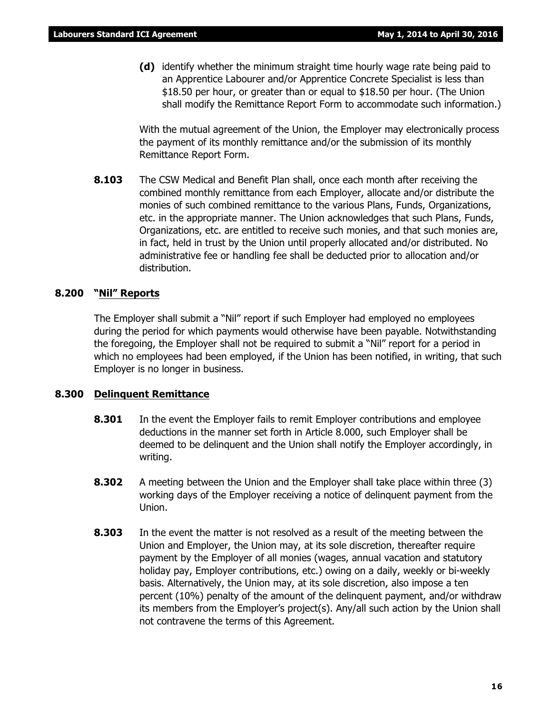**(d)** identify whether the minimum straight time hourly wage rate being paid to an Apprentice Labourer and/or Apprentice Concrete Specialist is less than \$18.50 per hour, or greater than or equal to \$18.50 per hour. (The Union shall modify the Remittance Report Form to accommodate such information.)

With the mutual agreement of the Union, the Employer may electronically process the payment of its monthly remittance and/or the submission of its monthly Remittance Report Form.

**8.103** The CSW Medical and Benefit Plan shall, once each month after receiving the combined monthly remittance from each Employer, allocate and/or distribute the monies of such combined remittance to the various Plans, Funds, Organizations, etc. in the appropriate manner. The Union acknowledges that such Plans, Funds, Organizations, etc. are entitled to receive such monies, and that such monies are, in fact, held in trust by the Union until properly allocated and/or distributed. No administrative fee or handling fee shall be deducted prior to allocation and/or distribution.

#### **8.200 "Nil" Reports**

The Employer shall submit a "Nil" report if such Employer had employed no employees during the period for which payments would otherwise have been payable. Notwithstanding the foregoing, the Employer shall not be required to submit a "Nil" report for a period in which no employees had been employed, if the Union has been notified, in writing, that such Employer is no longer in business.

#### **8.300 Delinquent Remittance**

- **8.301** In the event the Employer fails to remit Employer contributions and employee deductions in the manner set forth in Article 8.000, such Employer shall be deemed to be delinquent and the Union shall notify the Employer accordingly, in writing.
- **8.302** A meeting between the Union and the Employer shall take place within three (3) working days of the Employer receiving a notice of delinquent payment from the Union.
- **8.303** In the event the matter is not resolved as a result of the meeting between the Union and Employer, the Union may, at its sole discretion, thereafter require payment by the Employer of all monies (wages, annual vacation and statutory holiday pay, Employer contributions, etc.) owing on a daily, weekly or bi-weekly basis. Alternatively, the Union may, at its sole discretion, also impose a ten percent (10%) penalty of the amount of the delinquent payment, and/or withdraw its members from the Employer's project(s). Any/all such action by the Union shall not contravene the terms of this Agreement.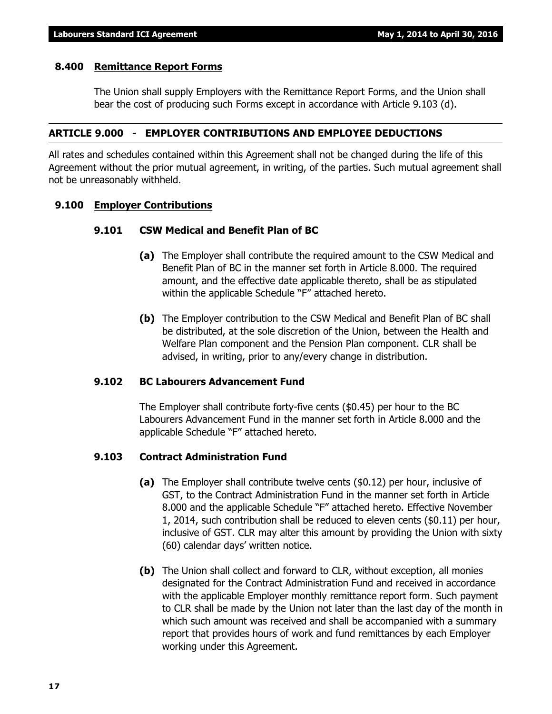#### **8.400 Remittance Report Forms**

The Union shall supply Employers with the Remittance Report Forms, and the Union shall bear the cost of producing such Forms except in accordance with Article 9.103 (d).

#### **ARTICLE 9.000 - EMPLOYER CONTRIBUTIONS AND EMPLOYEE DEDUCTIONS**

All rates and schedules contained within this Agreement shall not be changed during the life of this Agreement without the prior mutual agreement, in writing, of the parties. Such mutual agreement shall not be unreasonably withheld.

#### **9.100 Employer Contributions**

#### **9.101 CSW Medical and Benefit Plan of BC**

- **(a)** The Employer shall contribute the required amount to the CSW Medical and Benefit Plan of BC in the manner set forth in Article 8.000. The required amount, and the effective date applicable thereto, shall be as stipulated within the applicable Schedule "F" attached hereto.
- **(b)** The Employer contribution to the CSW Medical and Benefit Plan of BC shall be distributed, at the sole discretion of the Union, between the Health and Welfare Plan component and the Pension Plan component. CLR shall be advised, in writing, prior to any/every change in distribution.

#### **9.102 BC Labourers Advancement Fund**

The Employer shall contribute forty-five cents (\$0.45) per hour to the BC Labourers Advancement Fund in the manner set forth in Article 8.000 and the applicable Schedule "F" attached hereto.

#### **9.103 Contract Administration Fund**

- **(a)** The Employer shall contribute twelve cents (\$0.12) per hour, inclusive of GST, to the Contract Administration Fund in the manner set forth in Article 8.000 and the applicable Schedule "F" attached hereto. Effective November 1, 2014, such contribution shall be reduced to eleven cents (\$0.11) per hour, inclusive of GST. CLR may alter this amount by providing the Union with sixty (60) calendar days' written notice.
- **(b)** The Union shall collect and forward to CLR, without exception, all monies designated for the Contract Administration Fund and received in accordance with the applicable Employer monthly remittance report form. Such payment to CLR shall be made by the Union not later than the last day of the month in which such amount was received and shall be accompanied with a summary report that provides hours of work and fund remittances by each Employer working under this Agreement.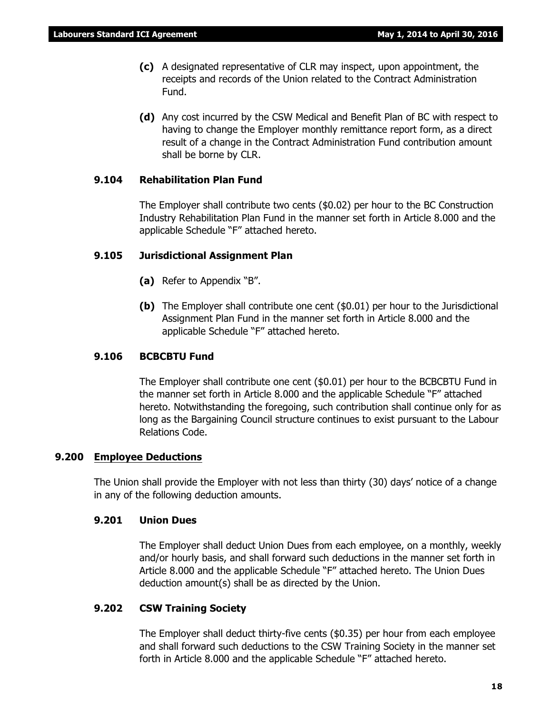- **(c)** A designated representative of CLR may inspect, upon appointment, the receipts and records of the Union related to the Contract Administration Fund.
- **(d)** Any cost incurred by the CSW Medical and Benefit Plan of BC with respect to having to change the Employer monthly remittance report form, as a direct result of a change in the Contract Administration Fund contribution amount shall be borne by CLR.

#### **9.104 Rehabilitation Plan Fund**

The Employer shall contribute two cents (\$0.02) per hour to the BC Construction Industry Rehabilitation Plan Fund in the manner set forth in Article 8.000 and the applicable Schedule "F" attached hereto.

#### **9.105 Jurisdictional Assignment Plan**

- **(a)** Refer to Appendix "B".
- **(b)** The Employer shall contribute one cent (\$0.01) per hour to the Jurisdictional Assignment Plan Fund in the manner set forth in Article 8.000 and the applicable Schedule "F" attached hereto.

#### **9.106 BCBCBTU Fund**

The Employer shall contribute one cent (\$0.01) per hour to the BCBCBTU Fund in the manner set forth in Article 8.000 and the applicable Schedule "F" attached hereto. Notwithstanding the foregoing, such contribution shall continue only for as long as the Bargaining Council structure continues to exist pursuant to the Labour Relations Code.

#### **9.200 Employee Deductions**

The Union shall provide the Employer with not less than thirty (30) days' notice of a change in any of the following deduction amounts.

#### **9.201 Union Dues**

The Employer shall deduct Union Dues from each employee, on a monthly, weekly and/or hourly basis, and shall forward such deductions in the manner set forth in Article 8.000 and the applicable Schedule "F" attached hereto. The Union Dues deduction amount(s) shall be as directed by the Union.

#### **9.202 CSW Training Society**

The Employer shall deduct thirty-five cents (\$0.35) per hour from each employee and shall forward such deductions to the CSW Training Society in the manner set forth in Article 8.000 and the applicable Schedule "F" attached hereto.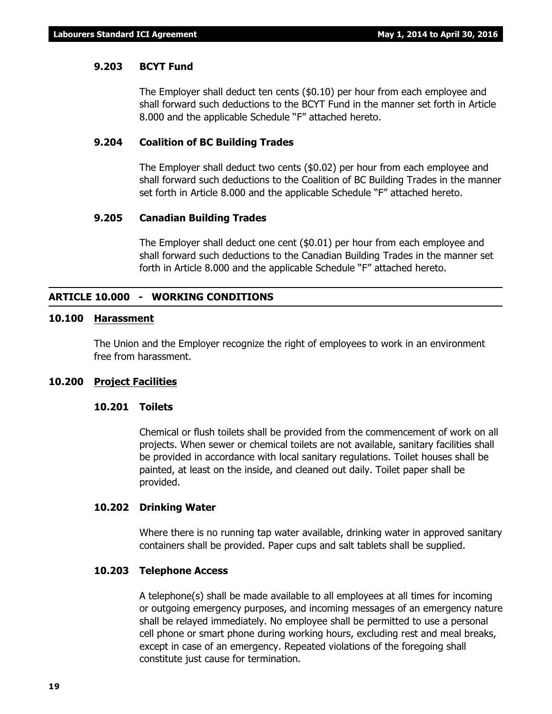#### **9.203 BCYT Fund**

The Employer shall deduct ten cents (\$0.10) per hour from each employee and shall forward such deductions to the BCYT Fund in the manner set forth in Article 8.000 and the applicable Schedule "F" attached hereto.

#### **9.204 Coalition of BC Building Trades**

The Employer shall deduct two cents (\$0.02) per hour from each employee and shall forward such deductions to the Coalition of BC Building Trades in the manner set forth in Article 8.000 and the applicable Schedule "F" attached hereto.

#### **9.205 Canadian Building Trades**

The Employer shall deduct one cent (\$0.01) per hour from each employee and shall forward such deductions to the Canadian Building Trades in the manner set forth in Article 8.000 and the applicable Schedule "F" attached hereto.

#### **ARTICLE 10.000 - WORKING CONDITIONS**

#### **10.100 Harassment**

The Union and the Employer recognize the right of employees to work in an environment free from harassment.

#### **10.200 Project Facilities**

#### **10.201 Toilets**

Chemical or flush toilets shall be provided from the commencement of work on all projects. When sewer or chemical toilets are not available, sanitary facilities shall be provided in accordance with local sanitary regulations. Toilet houses shall be painted, at least on the inside, and cleaned out daily. Toilet paper shall be provided.

#### **10.202 Drinking Water**

Where there is no running tap water available, drinking water in approved sanitary containers shall be provided. Paper cups and salt tablets shall be supplied.

#### **10.203 Telephone Access**

A telephone(s) shall be made available to all employees at all times for incoming or outgoing emergency purposes, and incoming messages of an emergency nature shall be relayed immediately. No employee shall be permitted to use a personal cell phone or smart phone during working hours, excluding rest and meal breaks, except in case of an emergency. Repeated violations of the foregoing shall constitute just cause for termination.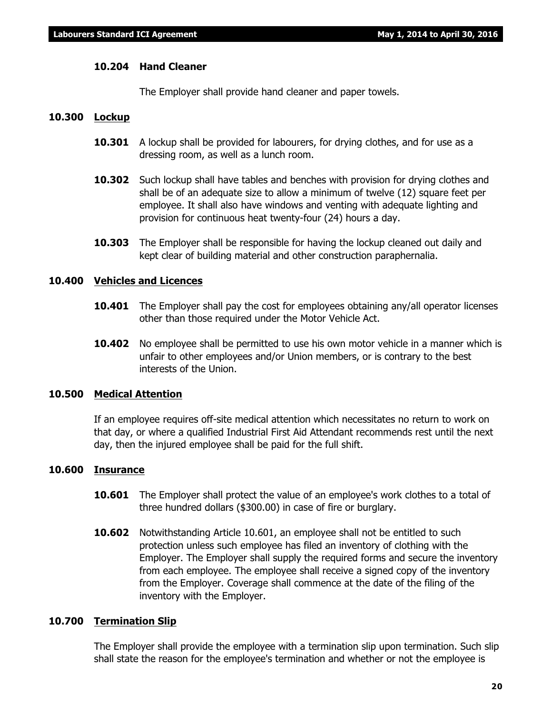#### **10.204 Hand Cleaner**

The Employer shall provide hand cleaner and paper towels.

#### **10.300 Lockup**

- **10.301** A lockup shall be provided for labourers, for drying clothes, and for use as a dressing room, as well as a lunch room.
- **10.302** Such lockup shall have tables and benches with provision for drying clothes and shall be of an adequate size to allow a minimum of twelve (12) square feet per employee. It shall also have windows and venting with adequate lighting and provision for continuous heat twenty-four (24) hours a day.
- **10.303** The Employer shall be responsible for having the lockup cleaned out daily and kept clear of building material and other construction paraphernalia.

#### **10.400 Vehicles and Licences**

- **10.401** The Employer shall pay the cost for employees obtaining any/all operator licenses other than those required under the *Motor Vehicle Act*.
- **10.402** No employee shall be permitted to use his own motor vehicle in a manner which is unfair to other employees and/or Union members, or is contrary to the best interests of the Union.

#### **10.500 Medical Attention**

If an employee requires off-site medical attention which necessitates no return to work on that day, or where a qualified Industrial First Aid Attendant recommends rest until the next day, then the injured employee shall be paid for the full shift.

#### **10.600 Insurance**

- **10.601** The Employer shall protect the value of an employee's work clothes to a total of three hundred dollars (\$300.00) in case of fire or burglary.
- **10.602** Notwithstanding Article 10.601, an employee shall not be entitled to such protection unless such employee has filed an inventory of clothing with the Employer. The Employer shall supply the required forms and secure the inventory from each employee. The employee shall receive a signed copy of the inventory from the Employer. Coverage shall commence at the date of the filing of the inventory with the Employer.

#### **10.700 Termination Slip**

The Employer shall provide the employee with a termination slip upon termination. Such slip shall state the reason for the employee's termination and whether or not the employee is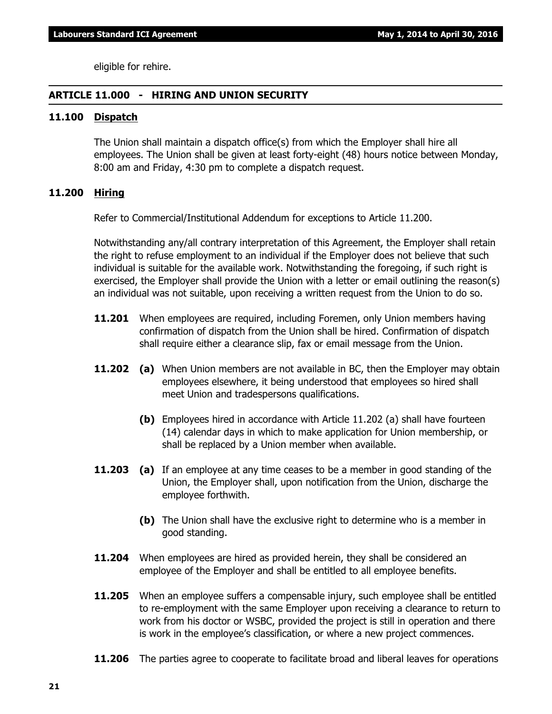eligible for rehire.

#### **ARTICLE 11.000 - HIRING AND UNION SECURITY**

#### **11.100 Dispatch**

The Union shall maintain a dispatch office(s) from which the Employer shall hire all employees. The Union shall be given at least forty-eight (48) hours notice between Monday, 8:00 am and Friday, 4:30 pm to complete a dispatch request.

#### **11.200 Hiring**

Refer to Commercial/Institutional Addendum for exceptions to Article 11.200.

Notwithstanding any/all contrary interpretation of this Agreement, the Employer shall retain the right to refuse employment to an individual if the Employer does not believe that such individual is suitable for the available work. Notwithstanding the foregoing, if such right is exercised, the Employer shall provide the Union with a letter or email outlining the reason(s) an individual was not suitable, upon receiving a written request from the Union to do so.

- **11.201** When employees are required, including Foremen, only Union members having confirmation of dispatch from the Union shall be hired. Confirmation of dispatch shall require either a clearance slip, fax or email message from the Union.
- **11.202 (a)** When Union members are not available in BC, then the Employer may obtain employees elsewhere, it being understood that employees so hired shall meet Union and tradespersons qualifications.
	- **(b)** Employees hired in accordance with Article 11.202 (a) shall have fourteen (14) calendar days in which to make application for Union membership, or shall be replaced by a Union member when available.
- **11.203 (a)** If an employee at any time ceases to be a member in good standing of the Union, the Employer shall, upon notification from the Union, discharge the employee forthwith.
	- **(b)** The Union shall have the exclusive right to determine who is a member in good standing.
- **11.204** When employees are hired as provided herein, they shall be considered an employee of the Employer and shall be entitled to all employee benefits.
- **11.205** When an employee suffers a compensable injury, such employee shall be entitled to re-employment with the same Employer upon receiving a clearance to return to work from his doctor or WSBC, provided the project is still in operation and there is work in the employee's classification, or where a new project commences.
- **11.206** The parties agree to cooperate to facilitate broad and liberal leaves for operations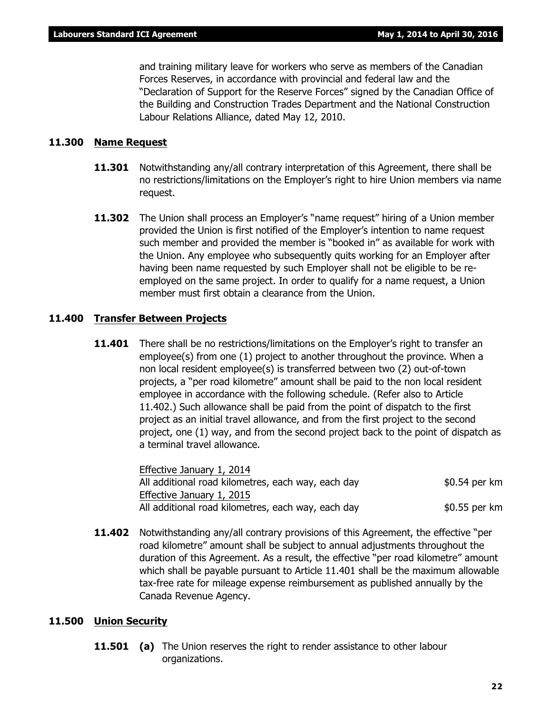and training military leave for workers who serve as members of the Canadian Forces Reserves, in accordance with provincial and federal law and the "Declaration of Support for the Reserve Forces" signed by the Canadian Office of the Building and Construction Trades Department and the National Construction Labour Relations Alliance, dated May 12, 2010.

#### **11.300 Name Request**

- **11.301** Notwithstanding any/all contrary interpretation of this Agreement, there shall be no restrictions/limitations on the Employer's right to hire Union members via name request.
- **11.302** The Union shall process an Employer's "name request" hiring of a Union member provided the Union is first notified of the Employer's intention to name request such member and provided the member is "booked in" as available for work with the Union. Any employee who subsequently quits working for an Employer after having been name requested by such Employer shall not be eligible to be reemployed on the same project. In order to qualify for a name request, a Union member must first obtain a clearance from the Union.

#### **11.400 Transfer Between Projects**

**11.401** There shall be no restrictions/limitations on the Employer's right to transfer an employee(s) from one (1) project to another throughout the province. When a non local resident employee(s) is transferred between two (2) out-of-town projects, a "per road kilometre" amount shall be paid to the non local resident employee in accordance with the following schedule. (Refer also to Article 11.402.) Such allowance shall be paid from the point of dispatch to the first project as an initial travel allowance, and from the first project to the second project, one (1) way, and from the second project back to the point of dispatch as a terminal travel allowance.

> Effective January 1, 2014 All additional road kilometres, each way, each day  $$0.54$  per km Effective January 1, 2015 All additional road kilometres, each way, each day  $$0.55$  per km

**11.402** Notwithstanding any/all contrary provisions of this Agreement, the effective "per road kilometre" amount shall be subject to annual adjustments throughout the duration of this Agreement. As a result, the effective "per road kilometre" amount which shall be payable pursuant to Article 11.401 shall be the maximum allowable tax-free rate for mileage expense reimbursement as published annually by the Canada Revenue Agency.

#### **11.500 Union Security**

**11.501 (a)** The Union reserves the right to render assistance to other labour organizations.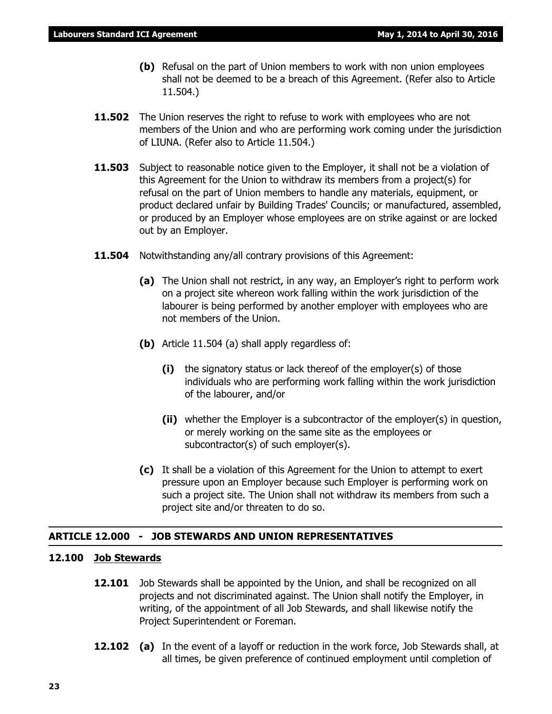- **(b)** Refusal on the part of Union members to work with non union employees shall not be deemed to be a breach of this Agreement. (Refer also to Article 11.504.)
- **11.502** The Union reserves the right to refuse to work with employees who are not members of the Union and who are performing work coming under the jurisdiction of LIUNA. (Refer also to Article 11.504.)
- **11.503** Subject to reasonable notice given to the Employer, it shall not be a violation of this Agreement for the Union to withdraw its members from a project(s) for refusal on the part of Union members to handle any materials, equipment, or product declared unfair by Building Trades' Councils; or manufactured, assembled, or produced by an Employer whose employees are on strike against or are locked out by an Employer.
- **11.504** Notwithstanding any/all contrary provisions of this Agreement:
	- **(a)** The Union shall not restrict, in any way, an Employer's right to perform work on a project site whereon work falling within the work jurisdiction of the labourer is being performed by another employer with employees who are not members of the Union.
	- **(b)** Article 11.504 (a) shall apply regardless of:
		- **(i)** the signatory status or lack thereof of the employer(s) of those individuals who are performing work falling within the work jurisdiction of the labourer, and/or
		- **(ii)** whether the Employer is a subcontractor of the employer(s) in question, or merely working on the same site as the employees or subcontractor(s) of such employer(s).
	- **(c)** It shall be a violation of this Agreement for the Union to attempt to exert pressure upon an Employer because such Employer is performing work on such a project site. The Union shall not withdraw its members from such a project site and/or threaten to do so.

#### **ARTICLE 12.000 - JOB STEWARDS AND UNION REPRESENTATIVES**

#### **12.100 Job Stewards**

- **12.101** Job Stewards shall be appointed by the Union, and shall be recognized on all projects and not discriminated against. The Union shall notify the Employer, in writing, of the appointment of all Job Stewards, and shall likewise notify the Project Superintendent or Foreman.
- **12.102 (a)** In the event of a layoff or reduction in the work force, Job Stewards shall, at all times, be given preference of continued employment until completion of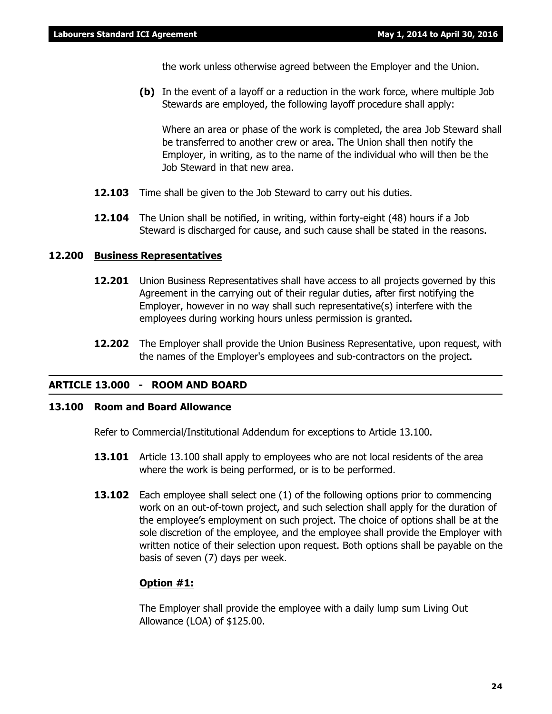the work unless otherwise agreed between the Employer and the Union.

**(b)** In the event of a layoff or a reduction in the work force, where multiple Job Stewards are employed, the following layoff procedure shall apply:

Where an area or phase of the work is completed, the area Job Steward shall be transferred to another crew or area. The Union shall then notify the Employer, in writing, as to the name of the individual who will then be the Job Steward in that new area.

- **12.103** Time shall be given to the Job Steward to carry out his duties.
- **12.104** The Union shall be notified, in writing, within forty-eight (48) hours if a Job Steward is discharged for cause, and such cause shall be stated in the reasons.

#### **12.200 Business Representatives**

- **12.201** Union Business Representatives shall have access to all projects governed by this Agreement in the carrying out of their regular duties, after first notifying the Employer, however in no way shall such representative(s) interfere with the employees during working hours unless permission is granted.
- **12.202** The Employer shall provide the Union Business Representative, upon request, with the names of the Employer's employees and sub-contractors on the project.

#### **ARTICLE 13.000 - ROOM AND BOARD**

#### **13.100 Room and Board Allowance**

Refer to Commercial/Institutional Addendum for exceptions to Article 13.100.

- **13.101** Article 13.100 shall apply to employees who are not local residents of the area where the work is being performed, or is to be performed.
- **13.102** Each employee shall select one (1) of the following options prior to commencing work on an out-of-town project, and such selection shall apply for the duration of the employee's employment on such project. The choice of options shall be at the sole discretion of the employee, and the employee shall provide the Employer with written notice of their selection upon request. Both options shall be payable on the basis of seven (7) days per week.

#### **Option #1:**

The Employer shall provide the employee with a daily lump sum Living Out Allowance (LOA) of \$125.00.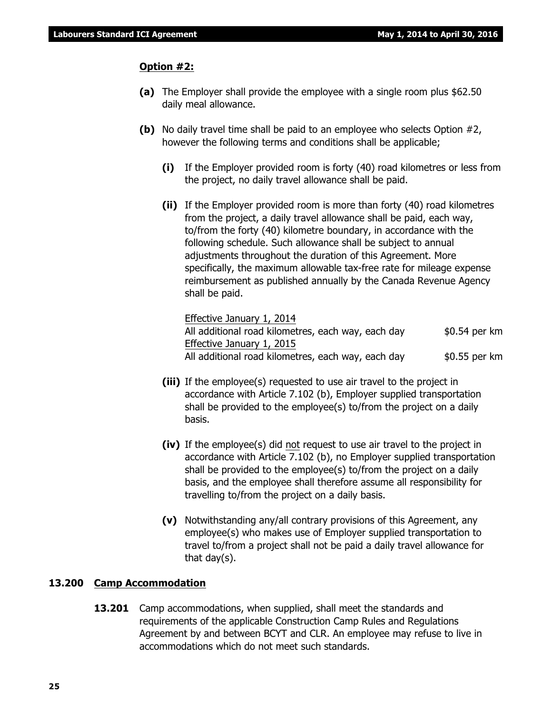#### **Option #2:**

- **(a)** The Employer shall provide the employee with a single room plus \$62.50 daily meal allowance.
- **(b)** No daily travel time shall be paid to an employee who selects Option #2, however the following terms and conditions shall be applicable;
	- **(i)** If the Employer provided room is forty (40) road kilometres or less from the project, no daily travel allowance shall be paid.
	- **(ii)** If the Employer provided room is more than forty (40) road kilometres from the project, a daily travel allowance shall be paid, each way, to/from the forty (40) kilometre boundary, in accordance with the following schedule. Such allowance shall be subject to annual adjustments throughout the duration of this Agreement. More specifically, the maximum allowable tax-free rate for mileage expense reimbursement as published annually by the Canada Revenue Agency shall be paid.

Effective January 1, 2014 All additional road kilometres, each way, each day \$0.54 per km Effective January 1, 2015 All additional road kilometres, each way, each day  $$0.55$  per km

- **(iii)** If the employee(s) requested to use air travel to the project in accordance with Article 7.102 (b), Employer supplied transportation shall be provided to the employee(s) to/from the project on a daily basis.
- **(iv)** If the employee(s) did not request to use air travel to the project in accordance with Article 7.102 (b), no Employer supplied transportation shall be provided to the employee(s) to/from the project on a daily basis, and the employee shall therefore assume all responsibility for travelling to/from the project on a daily basis.
- **(v)** Notwithstanding any/all contrary provisions of this Agreement, any employee(s) who makes use of Employer supplied transportation to travel to/from a project shall not be paid a daily travel allowance for that day(s).

#### **13.200 Camp Accommodation**

**13.201** Camp accommodations, when supplied, shall meet the standards and requirements of the applicable Construction Camp Rules and Regulations Agreement by and between BCYT and CLR. An employee may refuse to live in accommodations which do not meet such standards.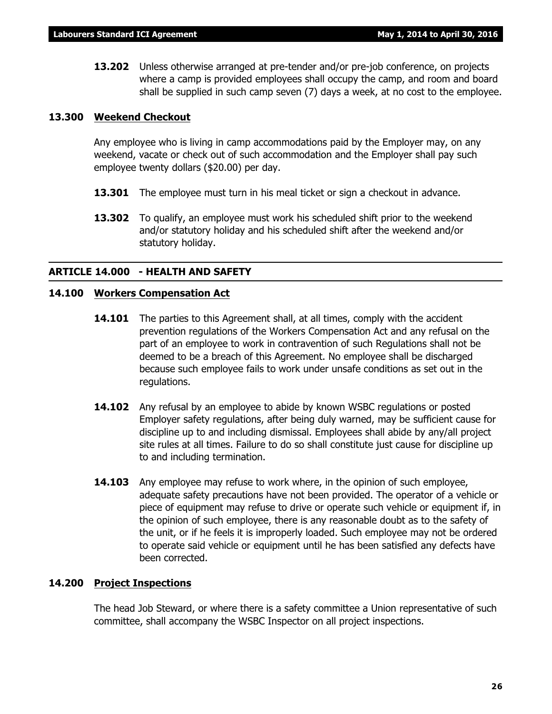**13.202** Unless otherwise arranged at pre-tender and/or pre-job conference, on projects where a camp is provided employees shall occupy the camp, and room and board shall be supplied in such camp seven (7) days a week, at no cost to the employee.

#### **13.300 Weekend Checkout**

Any employee who is living in camp accommodations paid by the Employer may, on any weekend, vacate or check out of such accommodation and the Employer shall pay such employee twenty dollars (\$20.00) per day.

- **13.301** The employee must turn in his meal ticket or sign a checkout in advance.
- **13.302** To qualify, an employee must work his scheduled shift prior to the weekend and/or statutory holiday and his scheduled shift after the weekend and/or statutory holiday.

#### **ARTICLE 14.000 - HEALTH AND SAFETY**

#### **14.100 Workers Compensation Act**

- **14.101** The parties to this Agreement shall, at all times, comply with the accident prevention regulations of the *Workers Compensation Act* and any refusal on the part of an employee to work in contravention of such Regulations shall not be deemed to be a breach of this Agreement. No employee shall be discharged because such employee fails to work under unsafe conditions as set out in the regulations.
- **14.102** Any refusal by an employee to abide by known WSBC regulations or posted Employer safety regulations, after being duly warned, may be sufficient cause for discipline up to and including dismissal. Employees shall abide by any/all project site rules at all times. Failure to do so shall constitute just cause for discipline up to and including termination.
- **14.103** Any employee may refuse to work where, in the opinion of such employee, adequate safety precautions have not been provided. The operator of a vehicle or piece of equipment may refuse to drive or operate such vehicle or equipment if, in the opinion of such employee, there is any reasonable doubt as to the safety of the unit, or if he feels it is improperly loaded. Such employee may not be ordered to operate said vehicle or equipment until he has been satisfied any defects have been corrected.

#### **14.200 Project Inspections**

The head Job Steward, or where there is a safety committee a Union representative of such committee, shall accompany the WSBC Inspector on all project inspections.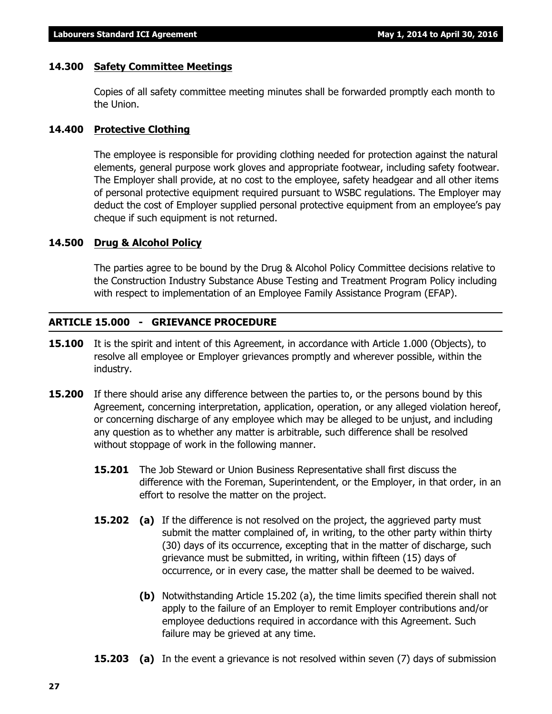#### **14.300 Safety Committee Meetings**

Copies of all safety committee meeting minutes shall be forwarded promptly each month to the Union.

#### **14.400 Protective Clothing**

The employee is responsible for providing clothing needed for protection against the natural elements, general purpose work gloves and appropriate footwear, including safety footwear. The Employer shall provide, at no cost to the employee, safety headgear and all other items of personal protective equipment required pursuant to WSBC regulations. The Employer may deduct the cost of Employer supplied personal protective equipment from an employee's pay cheque if such equipment is not returned.

#### **14.500 Drug & Alcohol Policy**

The parties agree to be bound by the Drug & Alcohol Policy Committee decisions relative to the Construction Industry Substance Abuse Testing and Treatment Program Policy including with respect to implementation of an Employee Family Assistance Program (EFAP).

#### **ARTICLE 15.000 - GRIEVANCE PROCEDURE**

- **15.100** It is the spirit and intent of this Agreement, in accordance with Article 1.000 (Objects), to resolve all employee or Employer grievances promptly and wherever possible, within the industry.
- **15.200** If there should arise any difference between the parties to, or the persons bound by this Agreement, concerning interpretation, application, operation, or any alleged violation hereof, or concerning discharge of any employee which may be alleged to be unjust, and including any question as to whether any matter is arbitrable, such difference shall be resolved without stoppage of work in the following manner.
	- **15.201** The Job Steward or Union Business Representative shall first discuss the difference with the Foreman, Superintendent, or the Employer, in that order, in an effort to resolve the matter on the project.
	- **15.202** (a) If the difference is not resolved on the project, the aggrieved party must submit the matter complained of, in writing, to the other party within thirty (30) days of its occurrence, excepting that in the matter of discharge, such grievance must be submitted, in writing, within fifteen (15) days of occurrence, or in every case, the matter shall be deemed to be waived.
		- **(b)** Notwithstanding Article 15.202 (a), the time limits specified therein shall not apply to the failure of an Employer to remit Employer contributions and/or employee deductions required in accordance with this Agreement. Such failure may be grieved at any time.
	- **15.203** (a) In the event a grievance is not resolved within seven (7) days of submission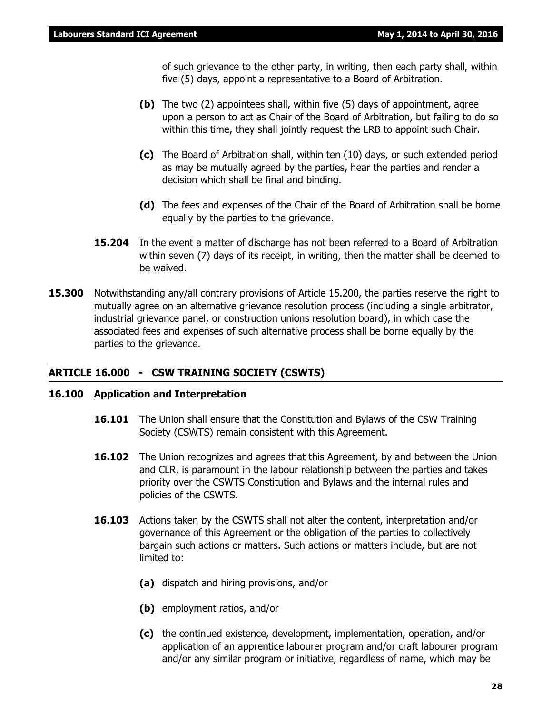of such grievance to the other party, in writing, then each party shall, within five (5) days, appoint a representative to a Board of Arbitration.

- **(b)** The two (2) appointees shall, within five (5) days of appointment, agree upon a person to act as Chair of the Board of Arbitration, but failing to do so within this time, they shall jointly request the LRB to appoint such Chair.
- **(c)** The Board of Arbitration shall, within ten (10) days, or such extended period as may be mutually agreed by the parties, hear the parties and render a decision which shall be final and binding.
- **(d)** The fees and expenses of the Chair of the Board of Arbitration shall be borne equally by the parties to the grievance.
- **15.204** In the event a matter of discharge has not been referred to a Board of Arbitration within seven (7) days of its receipt, in writing, then the matter shall be deemed to be waived.
- **15.300** Notwithstanding any/all contrary provisions of Article 15.200, the parties reserve the right to mutually agree on an alternative grievance resolution process (including a single arbitrator, industrial grievance panel, or construction unions resolution board), in which case the associated fees and expenses of such alternative process shall be borne equally by the parties to the grievance.

#### **ARTICLE 16.000 - CSW TRAINING SOCIETY (CSWTS)**

#### **16.100 Application and Interpretation**

- **16.101** The Union shall ensure that the Constitution and Bylaws of the CSW Training Society (CSWTS) remain consistent with this Agreement.
- **16.102** The Union recognizes and agrees that this Agreement, by and between the Union and CLR, is paramount in the labour relationship between the parties and takes priority over the CSWTS Constitution and Bylaws and the internal rules and policies of the CSWTS.
- **16.103** Actions taken by the CSWTS shall not alter the content, interpretation and/or governance of this Agreement or the obligation of the parties to collectively bargain such actions or matters. Such actions or matters include, but are not limited to:
	- **(a)** dispatch and hiring provisions, and/or
	- **(b)** employment ratios, and/or
	- **(c)** the continued existence, development, implementation, operation, and/or application of an apprentice labourer program and/or craft labourer program and/or any similar program or initiative, regardless of name, which may be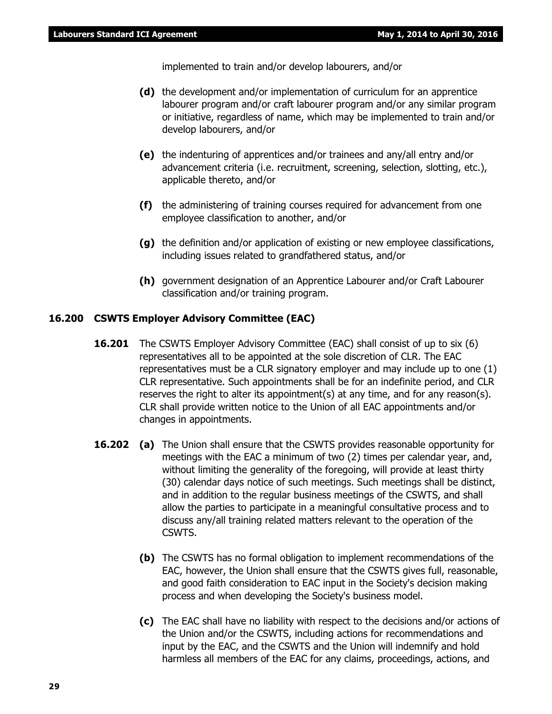implemented to train and/or develop labourers, and/or

- **(d)** the development and/or implementation of curriculum for an apprentice labourer program and/or craft labourer program and/or any similar program or initiative, regardless of name, which may be implemented to train and/or develop labourers, and/or
- **(e)** the indenturing of apprentices and/or trainees and any/all entry and/or advancement criteria (i.e. recruitment, screening, selection, slotting, etc.), applicable thereto, and/or
- **(f)** the administering of training courses required for advancement from one employee classification to another, and/or
- **(g)** the definition and/or application of existing or new employee classifications, including issues related to grandfathered status, and/or
- **(h)** government designation of an Apprentice Labourer and/or Craft Labourer classification and/or training program.

#### **16.200 CSWTS Employer Advisory Committee (EAC)**

- **16.201** The CSWTS Employer Advisory Committee (EAC) shall consist of up to six (6) representatives all to be appointed at the sole discretion of CLR. The EAC representatives must be a CLR signatory employer and may include up to one (1) CLR representative. Such appointments shall be for an indefinite period, and CLR reserves the right to alter its appointment(s) at any time, and for any reason(s). CLR shall provide written notice to the Union of all EAC appointments and/or changes in appointments.
- **16.202 (a)** The Union shall ensure that the CSWTS provides reasonable opportunity for meetings with the EAC a minimum of two (2) times per calendar year, and, without limiting the generality of the foregoing, will provide at least thirty (30) calendar days notice of such meetings. Such meetings shall be distinct, and in addition to the regular business meetings of the CSWTS, and shall allow the parties to participate in a meaningful consultative process and to discuss any/all training related matters relevant to the operation of the CSWTS.
	- **(b)** The CSWTS has no formal obligation to implement recommendations of the EAC, however, the Union shall ensure that the CSWTS gives full, reasonable, and good faith consideration to EAC input in the Society's decision making process and when developing the Society's business model.
	- **(c)** The EAC shall have no liability with respect to the decisions and/or actions of the Union and/or the CSWTS, including actions for recommendations and input by the EAC, and the CSWTS and the Union will indemnify and hold harmless all members of the EAC for any claims, proceedings, actions, and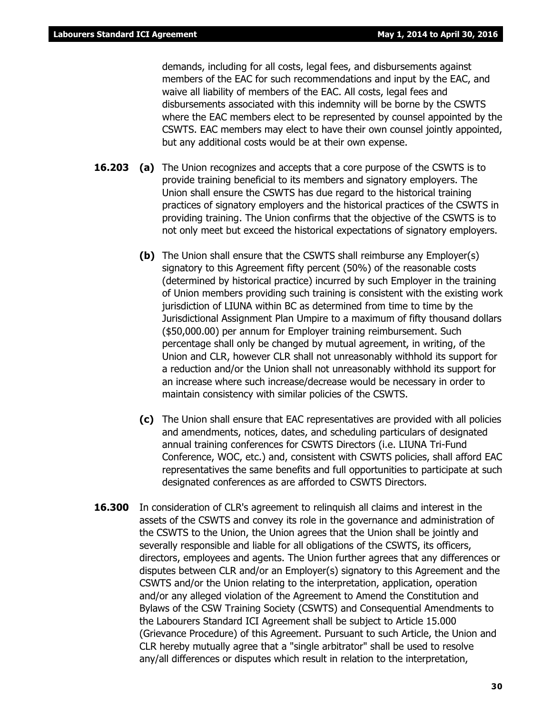demands, including for all costs, legal fees, and disbursements against members of the EAC for such recommendations and input by the EAC, and waive all liability of members of the EAC. All costs, legal fees and disbursements associated with this indemnity will be borne by the CSWTS where the EAC members elect to be represented by counsel appointed by the CSWTS. EAC members may elect to have their own counsel jointly appointed, but any additional costs would be at their own expense.

- **16.203 (a)** The Union recognizes and accepts that a core purpose of the CSWTS is to provide training beneficial to its members and signatory employers. The Union shall ensure the CSWTS has due regard to the historical training practices of signatory employers and the historical practices of the CSWTS in providing training. The Union confirms that the objective of the CSWTS is to not only meet but exceed the historical expectations of signatory employers.
	- **(b)** The Union shall ensure that the CSWTS shall reimburse any Employer(s) signatory to this Agreement fifty percent (50%) of the reasonable costs (determined by historical practice) incurred by such Employer in the training of Union members providing such training is consistent with the existing work jurisdiction of LIUNA within BC as determined from time to time by the Jurisdictional Assignment Plan Umpire to a maximum of fifty thousand dollars (\$50,000.00) per annum for Employer training reimbursement. Such percentage shall only be changed by mutual agreement, in writing, of the Union and CLR, however CLR shall not unreasonably withhold its support for a reduction and/or the Union shall not unreasonably withhold its support for an increase where such increase/decrease would be necessary in order to maintain consistency with similar policies of the CSWTS.
	- **(c)** The Union shall ensure that EAC representatives are provided with all policies and amendments, notices, dates, and scheduling particulars of designated annual training conferences for CSWTS Directors (i.e. LIUNA Tri-Fund Conference, WOC, etc.) and, consistent with CSWTS policies, shall afford EAC representatives the same benefits and full opportunities to participate at such designated conferences as are afforded to CSWTS Directors.
- **16.300** In consideration of CLR's agreement to relinguish all claims and interest in the assets of the CSWTS and convey its role in the governance and administration of the CSWTS to the Union, the Union agrees that the Union shall be jointly and severally responsible and liable for all obligations of the CSWTS, its officers, directors, employees and agents. The Union further agrees that any differences or disputes between CLR and/or an Employer(s) signatory to this Agreement and the CSWTS and/or the Union relating to the interpretation, application, operation and/or any alleged violation of the Agreement to Amend the Constitution and Bylaws of the CSW Training Society (CSWTS) and Consequential Amendments to the Labourers Standard ICI Agreement shall be subject to Article 15.000 (Grievance Procedure) of this Agreement. Pursuant to such Article, the Union and CLR hereby mutually agree that a "single arbitrator" shall be used to resolve any/all differences or disputes which result in relation to the interpretation,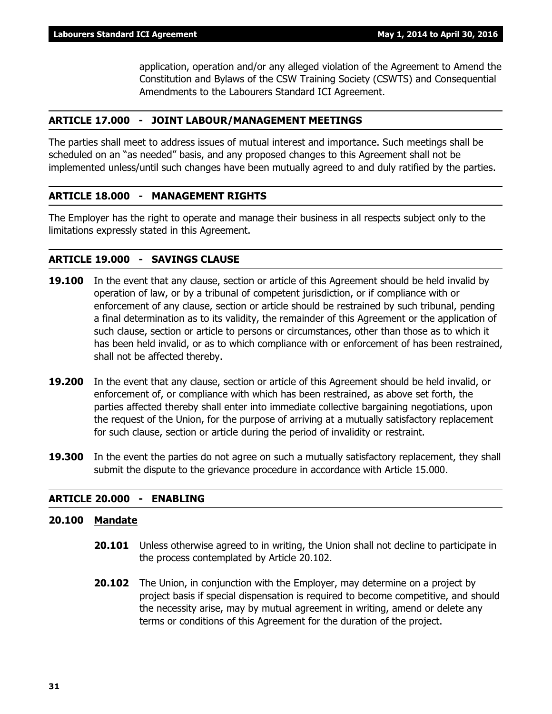application, operation and/or any alleged violation of the Agreement to Amend the Constitution and Bylaws of the CSW Training Society (CSWTS) and Consequential Amendments to the Labourers Standard ICI Agreement.

#### **ARTICLE 17.000 - JOINT LABOUR/MANAGEMENT MEETINGS**

The parties shall meet to address issues of mutual interest and importance. Such meetings shall be scheduled on an "as needed" basis, and any proposed changes to this Agreement shall not be implemented unless/until such changes have been mutually agreed to and duly ratified by the parties.

#### **ARTICLE 18.000 - MANAGEMENT RIGHTS**

The Employer has the right to operate and manage their business in all respects subject only to the limitations expressly stated in this Agreement.

#### **ARTICLE 19.000 - SAVINGS CLAUSE**

- **19.100** In the event that any clause, section or article of this Agreement should be held invalid by operation of law, or by a tribunal of competent jurisdiction, or if compliance with or enforcement of any clause, section or article should be restrained by such tribunal, pending a final determination as to its validity, the remainder of this Agreement or the application of such clause, section or article to persons or circumstances, other than those as to which it has been held invalid, or as to which compliance with or enforcement of has been restrained, shall not be affected thereby.
- **19.200** In the event that any clause, section or article of this Agreement should be held invalid, or enforcement of, or compliance with which has been restrained, as above set forth, the parties affected thereby shall enter into immediate collective bargaining negotiations, upon the request of the Union, for the purpose of arriving at a mutually satisfactory replacement for such clause, section or article during the period of invalidity or restraint.
- **19.300** In the event the parties do not agree on such a mutually satisfactory replacement, they shall submit the dispute to the grievance procedure in accordance with Article 15.000.

#### **ARTICLE 20.000 - ENABLING**

#### **20.100 Mandate**

- **20.101** Unless otherwise agreed to in writing, the Union shall not decline to participate in the process contemplated by Article 20.102.
- **20.102** The Union, in conjunction with the Employer, may determine on a project by project basis if special dispensation is required to become competitive, and should the necessity arise, may by mutual agreement in writing, amend or delete any terms or conditions of this Agreement for the duration of the project.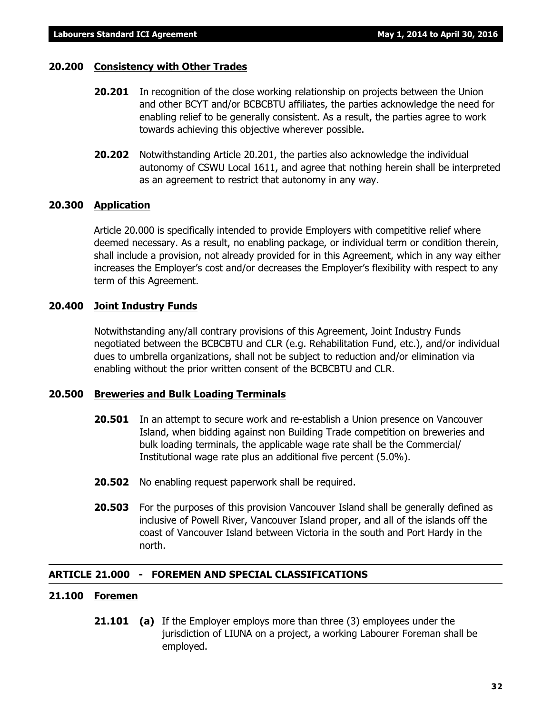#### **20.200 Consistency with Other Trades**

- **20.201** In recognition of the close working relationship on projects between the Union and other BCYT and/or BCBCBTU affiliates, the parties acknowledge the need for enabling relief to be generally consistent. As a result, the parties agree to work towards achieving this objective wherever possible.
- **20.202** Notwithstanding Article 20.201, the parties also acknowledge the individual autonomy of CSWU Local 1611, and agree that nothing herein shall be interpreted as an agreement to restrict that autonomy in any way.

#### **20.300 Application**

Article 20.000 is specifically intended to provide Employers with competitive relief where deemed necessary. As a result, no enabling package, or individual term or condition therein, shall include a provision, not already provided for in this Agreement, which in any way either increases the Employer's cost and/or decreases the Employer's flexibility with respect to any term of this Agreement.

#### **20.400 Joint Industry Funds**

Notwithstanding any/all contrary provisions of this Agreement, Joint Industry Funds negotiated between the BCBCBTU and CLR (e.g. Rehabilitation Fund, etc.), and/or individual dues to umbrella organizations, shall not be subject to reduction and/or elimination via enabling without the prior written consent of the BCBCBTU and CLR.

#### **20.500 Breweries and Bulk Loading Terminals**

- **20.501** In an attempt to secure work and re-establish a Union presence on Vancouver Island, when bidding against non Building Trade competition on breweries and bulk loading terminals, the applicable wage rate shall be the Commercial/ Institutional wage rate plus an additional five percent (5.0%).
- **20.502** No enabling request paperwork shall be required.
- **20.503** For the purposes of this provision Vancouver Island shall be generally defined as inclusive of Powell River, Vancouver Island proper, and all of the islands off the coast of Vancouver Island between Victoria in the south and Port Hardy in the north.

#### **ARTICLE 21.000 - FOREMEN AND SPECIAL CLASSIFICATIONS**

#### **21.100 Foremen**

**21.101 (a)** If the Employer employs more than three (3) employees under the jurisdiction of LIUNA on a project, a working Labourer Foreman shall be employed.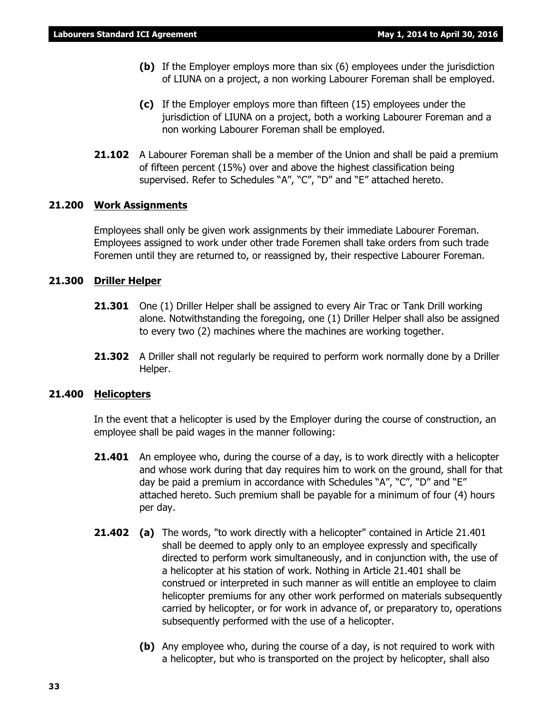- **(b)** If the Employer employs more than six (6) employees under the jurisdiction of LIUNA on a project, a non working Labourer Foreman shall be employed.
- **(c)** If the Employer employs more than fifteen (15) employees under the jurisdiction of LIUNA on a project, both a working Labourer Foreman and a non working Labourer Foreman shall be employed.
- **21.102** A Labourer Foreman shall be a member of the Union and shall be paid a premium of fifteen percent (15%) over and above the highest classification being supervised. Refer to Schedules "A", "C", "D" and "E" attached hereto.

#### **21.200 Work Assignments**

Employees shall only be given work assignments by their immediate Labourer Foreman. Employees assigned to work under other trade Foremen shall take orders from such trade Foremen until they are returned to, or reassigned by, their respective Labourer Foreman.

#### **21.300 Driller Helper**

- **21.301** One (1) Driller Helper shall be assigned to every Air Trac or Tank Drill working alone. Notwithstanding the foregoing, one (1) Driller Helper shall also be assigned to every two (2) machines where the machines are working together.
- **21.302** A Driller shall not regularly be required to perform work normally done by a Driller Helper.

#### **21.400 Helicopters**

In the event that a helicopter is used by the Employer during the course of construction, an employee shall be paid wages in the manner following:

- **21.401** An employee who, during the course of a day, is to work directly with a helicopter and whose work during that day requires him to work on the ground, shall for that day be paid a premium in accordance with Schedules "A", "C", "D" and "E" attached hereto. Such premium shall be payable for a minimum of four (4) hours per day.
- **21.402 (a)** The words, "to work directly with a helicopter" contained in Article 21.401 shall be deemed to apply only to an employee expressly and specifically directed to perform work simultaneously, and in conjunction with, the use of a helicopter at his station of work. Nothing in Article 21.401 shall be construed or interpreted in such manner as will entitle an employee to claim helicopter premiums for any other work performed on materials subsequently carried by helicopter, or for work in advance of, or preparatory to, operations subsequently performed with the use of a helicopter.
	- **(b)** Any employee who, during the course of a day, is not required to work with a helicopter, but who is transported on the project by helicopter, shall also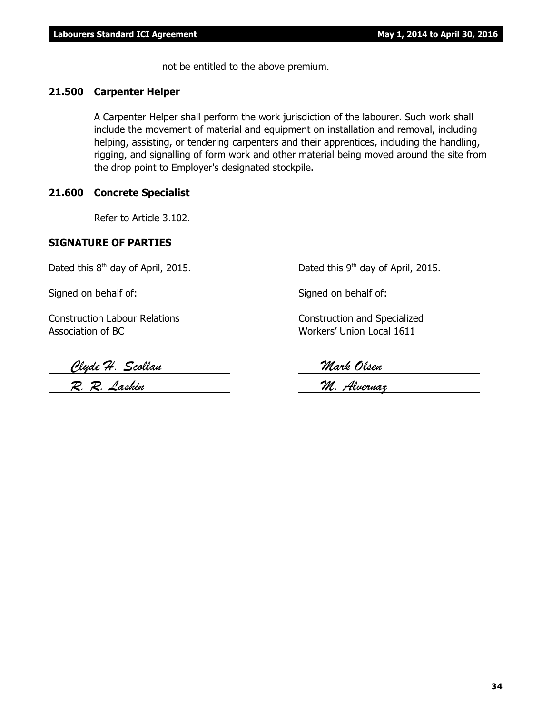not be entitled to the above premium.

#### **21.500 Carpenter Helper**

A Carpenter Helper shall perform the work jurisdiction of the labourer. Such work shall include the movement of material and equipment on installation and removal, including helping, assisting, or tendering carpenters and their apprentices, including the handling, rigging, and signalling of form work and other material being moved around the site from the drop point to Employer's designated stockpile.

#### **21.600 Concrete Specialist**

Refer to Article 3.102.

#### **SIGNATURE OF PARTIES**

Dated this  $8<sup>th</sup>$  day of April, 2015. Dated this  $9<sup>th</sup>$  day of April, 2015.

Signed on behalf of: Signed on behalf of:

Construction Labour Relations Construction and Specialized Association of BC Workers' Union Local 1611

 *Clyde H. Scollan Mark Olsen*

 *R. R. Lashin M. Alvernaz*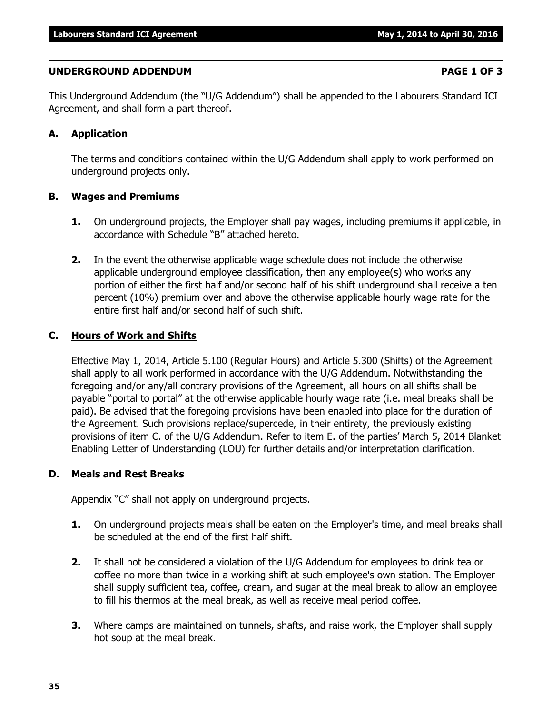#### **UNDERGROUND ADDENDUM PAGE 1 OF 3**

This Underground Addendum (the "U/G Addendum") shall be appended to the Labourers Standard ICI Agreement, and shall form a part thereof.

### **A. Application**

The terms and conditions contained within the U/G Addendum shall apply to work performed on underground projects only.

### **B. Wages and Premiums**

- **1.** On underground projects, the Employer shall pay wages, including premiums if applicable, in accordance with Schedule "B" attached hereto.
- **2.** In the event the otherwise applicable wage schedule does not include the otherwise applicable underground employee classification, then any employee(s) who works any portion of either the first half and/or second half of his shift underground shall receive a ten percent (10%) premium over and above the otherwise applicable hourly wage rate for the entire first half and/or second half of such shift.

### **C. Hours of Work and Shifts**

Effective May 1, 2014, Article 5.100 (Regular Hours) and Article 5.300 (Shifts) of the Agreement shall apply to all work performed in accordance with the U/G Addendum. Notwithstanding the foregoing and/or any/all contrary provisions of the Agreement, all hours on all shifts shall be payable "portal to portal" at the otherwise applicable hourly wage rate (i.e. meal breaks shall be paid). Be advised that the foregoing provisions have been enabled into place for the duration of the Agreement. Such provisions replace/supercede, in their entirety, the previously existing provisions of item C. of the U/G Addendum. Refer to item E. of the parties' March 5, 2014 Blanket Enabling Letter of Understanding (LOU) for further details and/or interpretation clarification.

### **D. Meals and Rest Breaks**

Appendix "C" shall not apply on underground projects.

- **1.** On underground projects meals shall be eaten on the Employer's time, and meal breaks shall be scheduled at the end of the first half shift.
- **2.** It shall not be considered a violation of the U/G Addendum for employees to drink tea or coffee no more than twice in a working shift at such employee's own station. The Employer shall supply sufficient tea, coffee, cream, and sugar at the meal break to allow an employee to fill his thermos at the meal break, as well as receive meal period coffee.
- **3.** Where camps are maintained on tunnels, shafts, and raise work, the Employer shall supply hot soup at the meal break.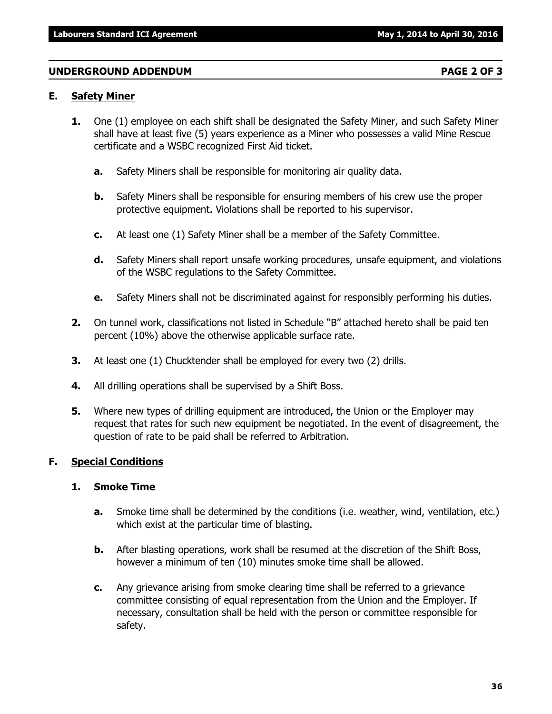#### **UNDERGROUND ADDENDUM PAGE 2 OF 3**

#### **E. Safety Miner**

- **1.** One (1) employee on each shift shall be designated the Safety Miner, and such Safety Miner shall have at least five (5) years experience as a Miner who possesses a valid Mine Rescue certificate and a WSBC recognized First Aid ticket.
	- **a.** Safety Miners shall be responsible for monitoring air quality data.
	- **b.** Safety Miners shall be responsible for ensuring members of his crew use the proper protective equipment. Violations shall be reported to his supervisor.
	- **c.** At least one (1) Safety Miner shall be a member of the Safety Committee.
	- **d.** Safety Miners shall report unsafe working procedures, unsafe equipment, and violations of the WSBC regulations to the Safety Committee.
	- **e.** Safety Miners shall not be discriminated against for responsibly performing his duties.
- **2.** On tunnel work, classifications not listed in Schedule "B" attached hereto shall be paid ten percent (10%) above the otherwise applicable surface rate.
- **3.** At least one (1) Chucktender shall be employed for every two (2) drills.
- **4.** All drilling operations shall be supervised by a Shift Boss.
- **5.** Where new types of drilling equipment are introduced, the Union or the Employer may request that rates for such new equipment be negotiated. In the event of disagreement, the question of rate to be paid shall be referred to Arbitration.

#### **F. Special Conditions**

#### **1. Smoke Time**

- **a.** Smoke time shall be determined by the conditions (i.e. weather, wind, ventilation, etc.) which exist at the particular time of blasting.
- **b.** After blasting operations, work shall be resumed at the discretion of the Shift Boss, however a minimum of ten (10) minutes smoke time shall be allowed.
- **c.** Any grievance arising from smoke clearing time shall be referred to a grievance committee consisting of equal representation from the Union and the Employer. If necessary, consultation shall be held with the person or committee responsible for safety.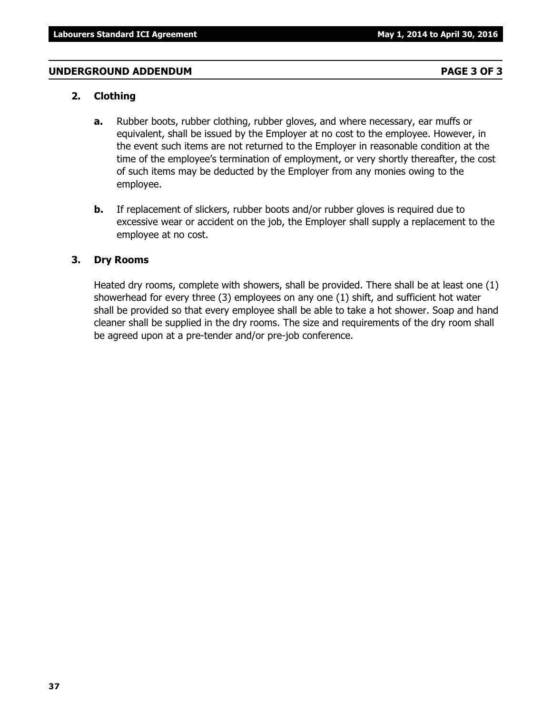#### **UNDERGROUND ADDENDUM PAGE 3 OF 3**

#### **2. Clothing**

- **a.** Rubber boots, rubber clothing, rubber gloves, and where necessary, ear muffs or equivalent, shall be issued by the Employer at no cost to the employee. However, in the event such items are not returned to the Employer in reasonable condition at the time of the employee's termination of employment, or very shortly thereafter, the cost of such items may be deducted by the Employer from any monies owing to the employee.
- **b.** If replacement of slickers, rubber boots and/or rubber gloves is required due to excessive wear or accident on the job, the Employer shall supply a replacement to the employee at no cost.

#### **3. Dry Rooms**

Heated dry rooms, complete with showers, shall be provided. There shall be at least one (1) showerhead for every three (3) employees on any one (1) shift, and sufficient hot water shall be provided so that every employee shall be able to take a hot shower. Soap and hand cleaner shall be supplied in the dry rooms. The size and requirements of the dry room shall be agreed upon at a pre-tender and/or pre-job conference.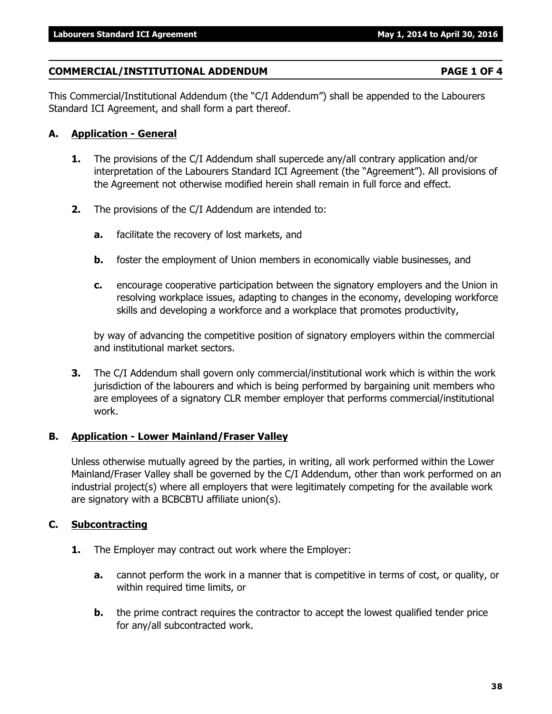### **COMMERCIAL/INSTITUTIONAL ADDENDUM PAGE 1 OF 4**

This Commercial/Institutional Addendum (the "C/I Addendum") shall be appended to the Labourers Standard ICI Agreement, and shall form a part thereof.

### **A. Application - General**

- **1.** The provisions of the C/I Addendum shall supercede any/all contrary application and/or interpretation of the Labourers Standard ICI Agreement (the "Agreement"). All provisions of the Agreement not otherwise modified herein shall remain in full force and effect.
- **2.** The provisions of the C/I Addendum are intended to:
	- **a.** facilitate the recovery of lost markets, and
	- **b.** foster the employment of Union members in economically viable businesses, and
	- **c.** encourage cooperative participation between the signatory employers and the Union in resolving workplace issues, adapting to changes in the economy, developing workforce skills and developing a workforce and a workplace that promotes productivity,

by way of advancing the competitive position of signatory employers within the commercial and institutional market sectors.

**3.** The C/I Addendum shall govern only commercial/institutional work which is within the work jurisdiction of the labourers and which is being performed by bargaining unit members who are employees of a signatory CLR member employer that performs commercial/institutional work.

### **B. Application - Lower Mainland/Fraser Valley**

Unless otherwise mutually agreed by the parties, in writing, all work performed within the Lower Mainland/Fraser Valley shall be governed by the C/I Addendum, other than work performed on an industrial project(s) where all employers that were legitimately competing for the available work are signatory with a BCBCBTU affiliate union(s).

### **C. Subcontracting**

- **1.** The Employer may contract out work where the Employer:
	- **a.** cannot perform the work in a manner that is competitive in terms of cost, or quality, or within required time limits, or
	- **b.** the prime contract requires the contractor to accept the lowest qualified tender price for any/all subcontracted work.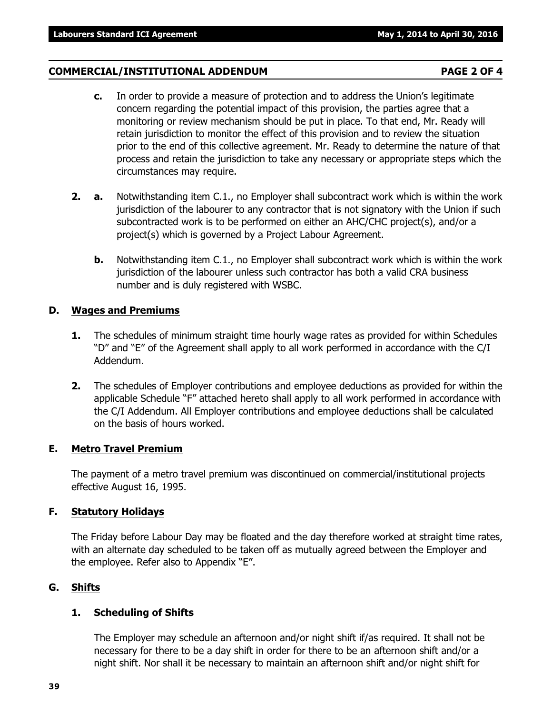### **COMMERCIAL/INSTITUTIONAL ADDENDUM PAGE 2 OF 4**

- **c.** In order to provide a measure of protection and to address the Union's legitimate concern regarding the potential impact of this provision, the parties agree that a monitoring or review mechanism should be put in place. To that end, Mr. Ready will retain jurisdiction to monitor the effect of this provision and to review the situation prior to the end of this collective agreement. Mr. Ready to determine the nature of that process and retain the jurisdiction to take any necessary or appropriate steps which the circumstances may require.
- **2. a.** Notwithstanding item C.1., no Employer shall subcontract work which is within the work jurisdiction of the labourer to any contractor that is not signatory with the Union if such subcontracted work is to be performed on either an AHC/CHC project(s), and/or a project(s) which is governed by a Project Labour Agreement.
	- **b.** Notwithstanding item C.1., no Employer shall subcontract work which is within the work jurisdiction of the labourer unless such contractor has both a valid CRA business number and is duly registered with WSBC.

### **D. Wages and Premiums**

- **1.** The schedules of minimum straight time hourly wage rates as provided for within Schedules "D" and "E" of the Agreement shall apply to all work performed in accordance with the C/I Addendum.
- **2.** The schedules of Employer contributions and employee deductions as provided for within the applicable Schedule "F" attached hereto shall apply to all work performed in accordance with the C/I Addendum. All Employer contributions and employee deductions shall be calculated on the basis of hours worked.

### **E. Metro Travel Premium**

The payment of a metro travel premium was discontinued on commercial/institutional projects effective August 16, 1995.

### **F. Statutory Holidays**

The Friday before Labour Day may be floated and the day therefore worked at straight time rates, with an alternate day scheduled to be taken off as mutually agreed between the Employer and the employee. Refer also to Appendix "E".

### **G. Shifts**

### **1. Scheduling of Shifts**

The Employer may schedule an afternoon and/or night shift if/as required. It shall not be necessary for there to be a day shift in order for there to be an afternoon shift and/or a night shift. Nor shall it be necessary to maintain an afternoon shift and/or night shift for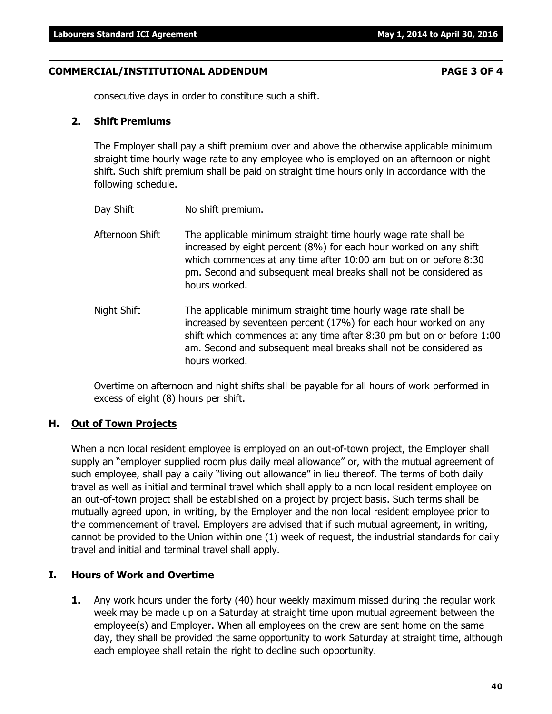### **COMMERCIAL/INSTITUTIONAL ADDENDUM PAGE 3 OF 4**

consecutive days in order to constitute such a shift.

### **2. Shift Premiums**

The Employer shall pay a shift premium over and above the otherwise applicable minimum straight time hourly wage rate to any employee who is employed on an afternoon or night shift. Such shift premium shall be paid on straight time hours only in accordance with the following schedule.

- Day Shift No shift premium.
- Afternoon Shift The applicable minimum straight time hourly wage rate shall be increased by eight percent (8%) for each hour worked on any shift which commences at any time after 10:00 am but on or before 8:30 pm. Second and subsequent meal breaks shall not be considered as hours worked.
- Night Shift The applicable minimum straight time hourly wage rate shall be increased by seventeen percent (17%) for each hour worked on any shift which commences at any time after 8:30 pm but on or before 1:00 am. Second and subsequent meal breaks shall not be considered as hours worked.

Overtime on afternoon and night shifts shall be payable for all hours of work performed in excess of eight (8) hours per shift.

### **H. Out of Town Projects**

When a non local resident employee is employed on an out-of-town project, the Employer shall supply an "employer supplied room plus daily meal allowance" or, with the mutual agreement of such employee, shall pay a daily "living out allowance" in lieu thereof. The terms of both daily travel as well as initial and terminal travel which shall apply to a non local resident employee on an out-of-town project shall be established on a project by project basis. Such terms shall be mutually agreed upon, in writing, by the Employer and the non local resident employee prior to the commencement of travel. Employers are advised that if such mutual agreement, in writing, cannot be provided to the Union within one (1) week of request, the industrial standards for daily travel and initial and terminal travel shall apply.

### **I. Hours of Work and Overtime**

**1.** Any work hours under the forty (40) hour weekly maximum missed during the regular work week may be made up on a Saturday at straight time upon mutual agreement between the employee(s) and Employer. When all employees on the crew are sent home on the same day, they shall be provided the same opportunity to work Saturday at straight time, although each employee shall retain the right to decline such opportunity.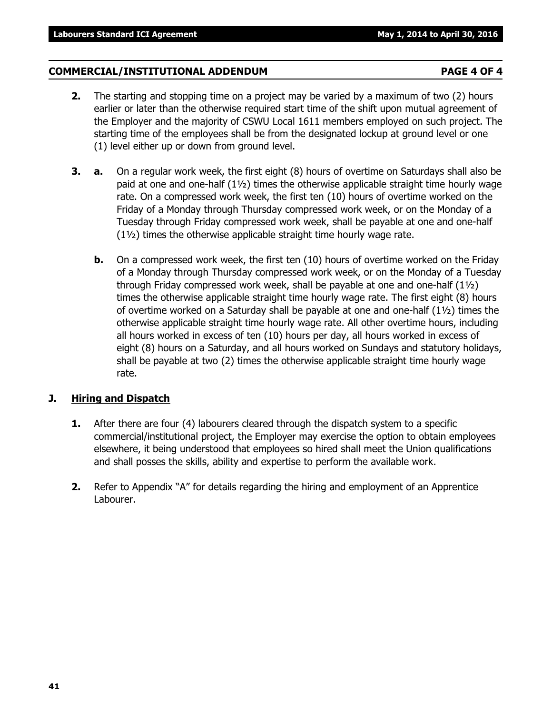#### **COMMERCIAL/INSTITUTIONAL ADDENDUM PAGE 4 OF 4**

- **2.** The starting and stopping time on a project may be varied by a maximum of two (2) hours earlier or later than the otherwise required start time of the shift upon mutual agreement of the Employer and the majority of CSWU Local 1611 members employed on such project. The starting time of the employees shall be from the designated lockup at ground level or one (1) level either up or down from ground level.
- **3. a.** On a regular work week, the first eight (8) hours of overtime on Saturdays shall also be paid at one and one-half  $(1\frac{1}{2})$  times the otherwise applicable straight time hourly wage rate. On a compressed work week, the first ten (10) hours of overtime worked on the Friday of a Monday through Thursday compressed work week, or on the Monday of a Tuesday through Friday compressed work week, shall be payable at one and one-half (1½) times the otherwise applicable straight time hourly wage rate.
	- **b.** On a compressed work week, the first ten (10) hours of overtime worked on the Friday of a Monday through Thursday compressed work week, or on the Monday of a Tuesday through Friday compressed work week, shall be payable at one and one-half (1½) times the otherwise applicable straight time hourly wage rate. The first eight (8) hours of overtime worked on a Saturday shall be payable at one and one-half (1½) times the otherwise applicable straight time hourly wage rate. All other overtime hours, including all hours worked in excess of ten (10) hours per day, all hours worked in excess of eight (8) hours on a Saturday, and all hours worked on Sundays and statutory holidays, shall be payable at two (2) times the otherwise applicable straight time hourly wage rate.

#### **J. Hiring and Dispatch**

- **1.** After there are four (4) labourers cleared through the dispatch system to a specific commercial/institutional project, the Employer may exercise the option to obtain employees elsewhere, it being understood that employees so hired shall meet the Union qualifications and shall posses the skills, ability and expertise to perform the available work.
- **2.** Refer to Appendix "A" for details regarding the hiring and employment of an Apprentice Labourer.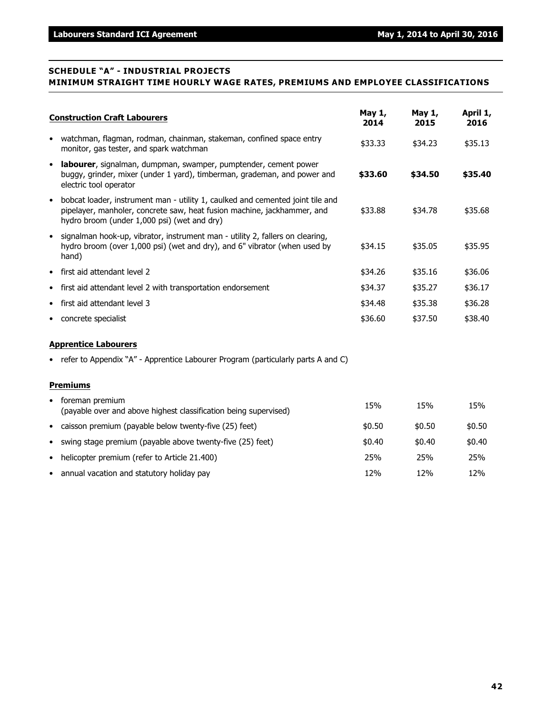#### **SCHEDULE "A" - INDUSTRIAL PROJECTS MINIMUM STRAIGHT TIME HOURLY WAGE RATES, PREMIUMS AND EMPLOYEE CLASSIFICATIONS**

|           | <b>Construction Craft Labourers</b>                                                                                                                                                                      | May 1,<br>2014 | May 1,<br>2015 | April 1,<br>2016 |  |  |  |
|-----------|----------------------------------------------------------------------------------------------------------------------------------------------------------------------------------------------------------|----------------|----------------|------------------|--|--|--|
| $\bullet$ | watchman, flagman, rodman, chainman, stakeman, confined space entry<br>monitor, gas tester, and spark watchman                                                                                           | \$33.33        | \$34.23        | \$35.13          |  |  |  |
| $\bullet$ | labourer, signalman, dumpman, swamper, pumptender, cement power<br>buggy, grinder, mixer (under 1 yard), timberman, grademan, and power and<br>electric tool operator                                    | \$33.60        | \$34.50        | \$35.40          |  |  |  |
| $\bullet$ | bobcat loader, instrument man - utility 1, caulked and cemented joint tile and<br>pipelayer, manholer, concrete saw, heat fusion machine, jackhammer, and<br>hydro broom (under 1,000 psi) (wet and dry) | \$33.88        | \$34.78        | \$35.68          |  |  |  |
| $\bullet$ | signalman hook-up, vibrator, instrument man - utility 2, fallers on clearing,<br>hydro broom (over 1,000 psi) (wet and dry), and 6" vibrator (when used by<br>hand)                                      | \$34.15        | \$35.05        | \$35.95          |  |  |  |
| $\bullet$ | first aid attendant level 2                                                                                                                                                                              | \$34.26        | \$35.16        | \$36.06          |  |  |  |
| $\bullet$ | first aid attendant level 2 with transportation endorsement                                                                                                                                              | \$34.37        | \$35.27        | \$36.17          |  |  |  |
| $\bullet$ | first aid attendant level 3                                                                                                                                                                              | \$34.48        | \$35.38        | \$36.28          |  |  |  |
| ٠         | concrete specialist                                                                                                                                                                                      | \$36.60        | \$37.50        | \$38.40          |  |  |  |
|           | <b>Apprentice Labourers</b>                                                                                                                                                                              |                |                |                  |  |  |  |
|           | • refer to Appendix "A" - Apprentice Labourer Program (particularly parts A and C)                                                                                                                       |                |                |                  |  |  |  |
|           | <b>Premiums</b>                                                                                                                                                                                          |                |                |                  |  |  |  |
|           | foreman premium<br>(noughbo ayar and about high set elsesification hoing ayarniced)                                                                                                                      | 15%            | 15%            | 15%              |  |  |  |

| (payable over and above highest classification being supervised) | 13.J / U | 137 U  | 131 I U |
|------------------------------------------------------------------|----------|--------|---------|
| • caisson premium (payable below twenty-five (25) feet)          | \$0.50   | \$0.50 | \$0.50  |
| • swing stage premium (payable above twenty-five (25) feet)      | \$0.40   | \$0.40 | \$0.40  |
| • helicopter premium (refer to Article 21.400)                   | 25%      | 25%    | 25%     |
| • annual vacation and statutory holiday pay                      | 12%      | 12%    | 12%     |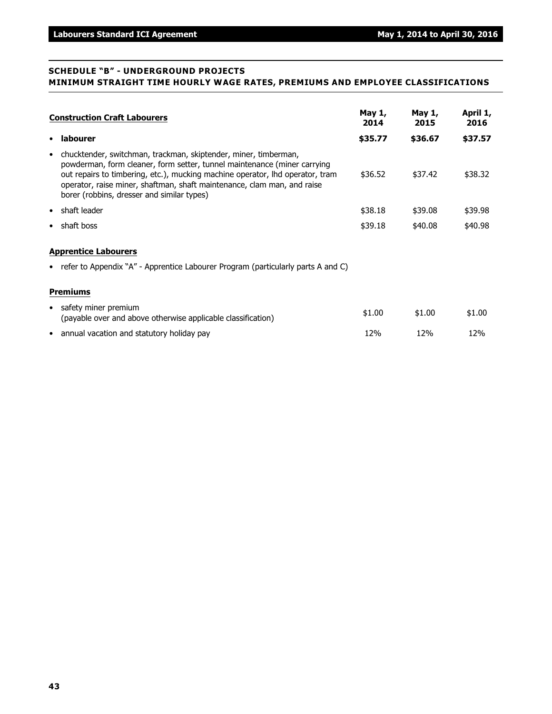#### **SCHEDULE "B" - UNDERGROUND PROJECTS MINIMUM STRAIGHT TIME HOURLY WAGE RATES, PREMIUMS AND EMPLOYEE CLASSIFICATIONS**

| <b>Construction Craft Labourers</b> |                                                                                                                                                                                                                                                                                                                                                       | May 1,<br>2014 | May 1,<br>2015 | April 1,<br>2016 |
|-------------------------------------|-------------------------------------------------------------------------------------------------------------------------------------------------------------------------------------------------------------------------------------------------------------------------------------------------------------------------------------------------------|----------------|----------------|------------------|
| $\bullet$                           | labourer                                                                                                                                                                                                                                                                                                                                              | \$35.77        | \$36.67        | \$37.57          |
| $\bullet$                           | chucktender, switchman, trackman, skiptender, miner, timberman,<br>powderman, form cleaner, form setter, tunnel maintenance (miner carrying<br>out repairs to timbering, etc.), mucking machine operator, lhd operator, tram<br>operator, raise miner, shaftman, shaft maintenance, clam man, and raise<br>borer (robbins, dresser and similar types) | \$36.52        | \$37.42        | \$38.32          |
| $\bullet$                           | shaft leader                                                                                                                                                                                                                                                                                                                                          | \$38.18        | \$39.08        | \$39.98          |
| ٠                                   | shaft boss                                                                                                                                                                                                                                                                                                                                            | \$39.18        | \$40.08        | \$40.98          |
|                                     | <b>Apprentice Labourers</b>                                                                                                                                                                                                                                                                                                                           |                |                |                  |
|                                     | • refer to Appendix "A" - Apprentice Labourer Program (particularly parts A and C)                                                                                                                                                                                                                                                                    |                |                |                  |
|                                     | <b>Premiums</b>                                                                                                                                                                                                                                                                                                                                       |                |                |                  |
|                                     | • safety miner premium<br>(payable over and above otherwise applicable classification)                                                                                                                                                                                                                                                                | \$1.00         | \$1.00         | \$1.00           |
|                                     | • annual vacation and statutory holiday pay                                                                                                                                                                                                                                                                                                           | 12%            | 12%            | 12%              |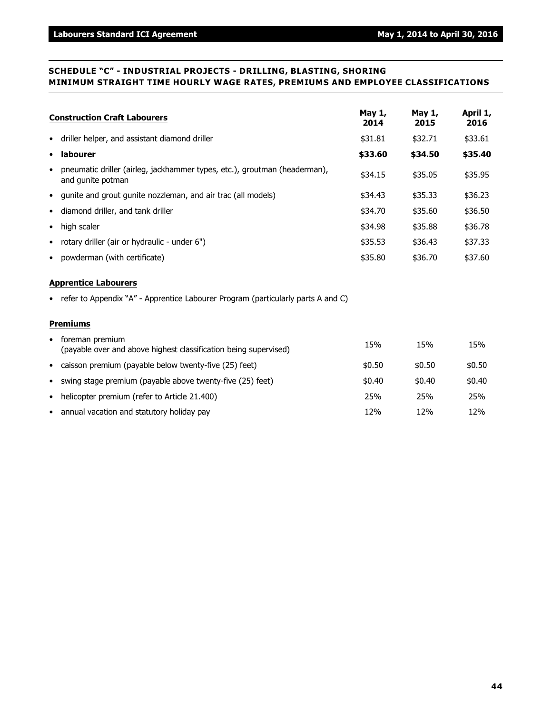#### **SCHEDULE "C" - INDUSTRIAL PROJECTS - DRILLING, BLASTING, SHORING MINIMUM STRAIGHT TIME HOURLY WAGE RATES, PREMIUMS AND EMPLOYEE CLASSIFICATIONS**

| <b>Construction Craft Labourers</b>                                                                         | May 1,<br>2014 | May 1,<br>2015 | April 1,<br>2016 |
|-------------------------------------------------------------------------------------------------------------|----------------|----------------|------------------|
| driller helper, and assistant diamond driller<br>٠                                                          | \$31.81        | \$32.71        | \$33.61          |
| labourer<br>$\bullet$                                                                                       | \$33.60        | \$34.50        | \$35.40          |
| pneumatic driller (airleg, jackhammer types, etc.), groutman (headerman),<br>$\bullet$<br>and gunite potman | \$34.15        | \$35.05        | \$35.95          |
| gunite and grout gunite nozzleman, and air trac (all models)<br>$\bullet$                                   | \$34.43        | \$35.33        | \$36.23          |
| diamond driller, and tank driller<br>$\bullet$                                                              | \$34.70        | \$35.60        | \$36.50          |
| high scaler<br>$\bullet$                                                                                    | \$34.98        | \$35.88        | \$36.78          |
| rotary driller (air or hydraulic - under 6")<br>$\bullet$                                                   | \$35.53        | \$36.43        | \$37.33          |
| powderman (with certificate)<br>$\bullet$                                                                   | \$35.80        | \$36.70        | \$37.60          |
| <b>Apprentice Labourers</b>                                                                                 |                |                |                  |
| • refer to Appendix "A" - Apprentice Labourer Program (particularly parts A and C)                          |                |                |                  |
| <b>Premiums</b>                                                                                             |                |                |                  |
| • foreman premium<br>(payable over and above highest classification being supervised)                       | 15%            | 15%            | 15%              |
| caisson premium (payable below twenty-five (25) feet)<br>٠                                                  | \$0.50         | \$0.50         | \$0.50           |
| swing stage premium (payable above twenty-five (25) feet)<br>$\bullet$                                      | \$0.40         | \$0.40         | \$0.40           |
| helicopter premium (refer to Article 21.400)<br>$\bullet$                                                   | 25%            | 25%            | 25%              |
| • annual vacation and statutory holiday pay                                                                 | 12%            | 12%            | 12%              |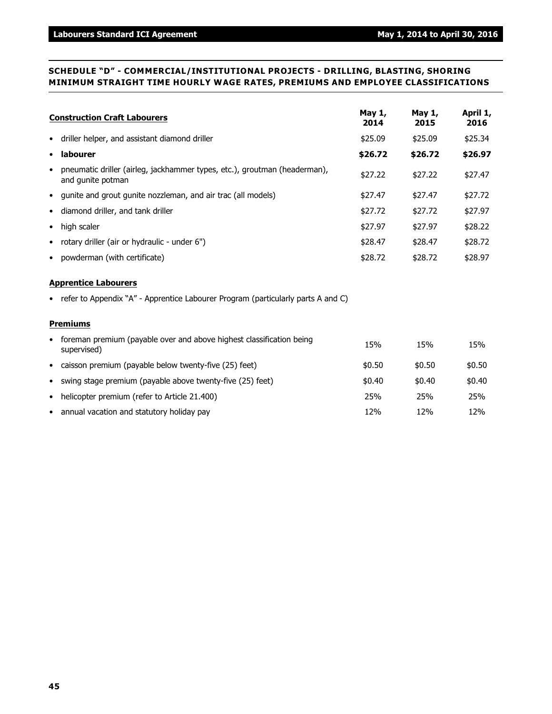#### **SCHEDULE "D" - COMMERCIAL/INSTITUTIONAL PROJECTS - DRILLING, BLASTING, SHORING MINIMUM STRAIGHT TIME HOURLY WAGE RATES, PREMIUMS AND EMPLOYEE CLASSIFICATIONS**

| <b>Construction Craft Labourers</b>                                                                         | May 1,<br>2014 | May 1,<br>2015 | April 1,<br>2016 |
|-------------------------------------------------------------------------------------------------------------|----------------|----------------|------------------|
| driller helper, and assistant diamond driller<br>٠                                                          | \$25.09        | \$25.09        | \$25.34          |
| labourer<br>$\bullet$                                                                                       | \$26.72        | \$26.72        | \$26.97          |
| pneumatic driller (airleg, jackhammer types, etc.), groutman (headerman),<br>$\bullet$<br>and gunite potman | \$27.22        | \$27.22        | \$27.47          |
| qunite and grout gunite nozzleman, and air trac (all models)<br>$\bullet$                                   | \$27.47        | \$27.47        | \$27.72          |
| diamond driller, and tank driller<br>٠                                                                      | \$27.72        | \$27.72        | \$27.97          |
| high scaler<br>$\bullet$                                                                                    | \$27.97        | \$27.97        | \$28.22          |
| rotary driller (air or hydraulic - under 6")<br>٠                                                           | \$28.47        | \$28.47        | \$28.72          |
| powderman (with certificate)<br>٠                                                                           | \$28.72        | \$28.72        | \$28.97          |
| <b>Apprentice Labourers</b>                                                                                 |                |                |                  |
| • refer to Appendix "A" - Apprentice Labourer Program (particularly parts A and C)                          |                |                |                  |
| <b>Premiums</b>                                                                                             |                |                |                  |
| foreman premium (payable over and above highest classification being<br>$\bullet$<br>supervised)            | 15%            | 15%            | 15%              |
| • caisson premium (payable below twenty-five (25) feet)                                                     | \$0.50         | \$0.50         | \$0.50           |
| swing stage premium (payable above twenty-five (25) feet)<br>$\bullet$                                      | \$0.40         | \$0.40         | \$0.40           |
| helicopter premium (refer to Article 21.400)<br>$\bullet$                                                   | 25%            | 25%            | 25%              |
| • annual vacation and statutory holiday pay                                                                 | 12%            | 12%            | 12%              |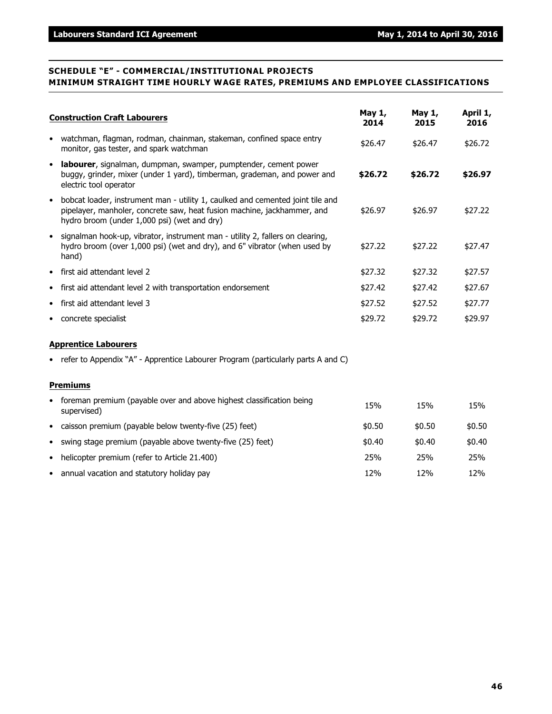#### **SCHEDULE "E" - COMMERCIAL/INSTITUTIONAL PROJECTS MINIMUM STRAIGHT TIME HOURLY WAGE RATES, PREMIUMS AND EMPLOYEE CLASSIFICATIONS**

|           | <b>Construction Craft Labourers</b>                                                                                                                                                                      | May 1,<br>2014 | May 1,<br>2015 | April 1,<br>2016 |
|-----------|----------------------------------------------------------------------------------------------------------------------------------------------------------------------------------------------------------|----------------|----------------|------------------|
| $\bullet$ | watchman, flagman, rodman, chainman, stakeman, confined space entry<br>monitor, gas tester, and spark watchman                                                                                           | \$26.47        | \$26.47        | \$26.72          |
| $\bullet$ | labourer, signalman, dumpman, swamper, pumptender, cement power<br>buggy, grinder, mixer (under 1 yard), timberman, grademan, and power and<br>electric tool operator                                    | \$26.72        | \$26.72        | \$26.97          |
| $\bullet$ | bobcat loader, instrument man - utility 1, caulked and cemented joint tile and<br>pipelayer, manholer, concrete saw, heat fusion machine, jackhammer, and<br>hydro broom (under 1,000 psi) (wet and dry) | \$26.97        | \$26.97        | \$27.22          |
| $\bullet$ | signalman hook-up, vibrator, instrument man - utility 2, fallers on clearing,<br>hydro broom (over 1,000 psi) (wet and dry), and 6" vibrator (when used by<br>hand)                                      | \$27.22        | \$27.22        | \$27.47          |
| $\bullet$ | first aid attendant level 2                                                                                                                                                                              | \$27.32        | \$27.32        | \$27.57          |
| $\bullet$ | first aid attendant level 2 with transportation endorsement                                                                                                                                              | \$27.42        | \$27.42        | \$27.67          |
| ٠         | first aid attendant level 3                                                                                                                                                                              | \$27.52        | \$27.52        | \$27.77          |
| $\bullet$ | concrete specialist                                                                                                                                                                                      | \$29.72        | \$29.72        | \$29.97          |
|           | <b>Apprentice Labourers</b>                                                                                                                                                                              |                |                |                  |
|           | • refer to Appendix "A" - Apprentice Labourer Program (particularly parts A and C)                                                                                                                       |                |                |                  |
|           | <b>Premiums</b>                                                                                                                                                                                          |                |                |                  |
| $\bullet$ | foreman premium (payable over and above highest classification being<br>supervised)                                                                                                                      | 15%            | 15%            | 15%              |
| $\bullet$ | caisson premium (payable below twenty-five (25) feet)                                                                                                                                                    | \$0.50         | \$0.50         | \$0.50           |
|           | • swing stage premium (payable above twenty-five (25) feet)                                                                                                                                              | \$0.40         | \$0.40         | \$0.40           |

- helicopter premium (refer to Article 21.400) 25% 25% 25%
- annual vacation and statutory holiday pay 12% 12% 12% 12% 12% 12%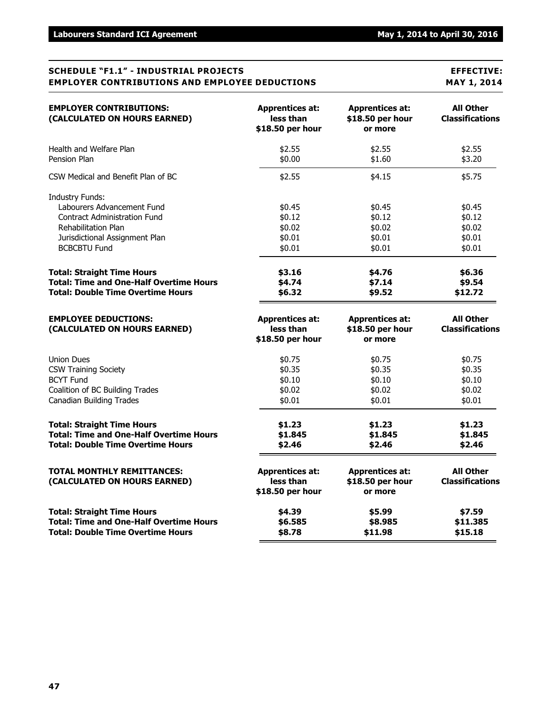#### **SCHEDULE "F1.1" - INDUSTRIAL PROJECTS EFFECTIVE: EMPLOYER CONTRIBUTIONS AND EMPLOYEE DEDUCTIONS MAY 1, 2014**

| <b>EMPLOYER CONTRIBUTIONS:</b><br>(CALCULATED ON HOURS EARNED)                                                                                                              | <b>Apprentices at:</b><br>less than<br>\$18.50 per hour | <b>Apprentices at:</b><br>\$18.50 per hour<br>or more | <b>All Other</b><br><b>Classifications</b>     |
|-----------------------------------------------------------------------------------------------------------------------------------------------------------------------------|---------------------------------------------------------|-------------------------------------------------------|------------------------------------------------|
| Health and Welfare Plan                                                                                                                                                     | \$2.55                                                  | \$2.55                                                | \$2.55                                         |
| Pension Plan                                                                                                                                                                | \$0.00                                                  | \$1.60                                                | \$3.20                                         |
| CSW Medical and Benefit Plan of BC                                                                                                                                          | \$2.55                                                  | \$4.15                                                | \$5.75                                         |
| <b>Industry Funds:</b><br>Labourers Advancement Fund<br><b>Contract Administration Fund</b><br>Rehabilitation Plan<br>Jurisdictional Assignment Plan<br><b>BCBCBTU Fund</b> | \$0.45<br>\$0.12<br>\$0.02<br>\$0.01<br>\$0.01          | \$0.45<br>\$0.12<br>\$0.02<br>\$0.01<br>\$0.01        | \$0.45<br>\$0.12<br>\$0.02<br>\$0.01<br>\$0.01 |
| <b>Total: Straight Time Hours</b>                                                                                                                                           | \$3.16                                                  | \$4.76                                                | \$6.36                                         |
| <b>Total: Time and One-Half Overtime Hours</b>                                                                                                                              | \$4.74                                                  | \$7.14                                                | \$9.54                                         |
| Total: Double Time Overtime Hours                                                                                                                                           | \$6.32                                                  | \$9.52                                                | \$12.72                                        |
| <b>EMPLOYEE DEDUCTIONS:</b><br>(CALCULATED ON HOURS EARNED)                                                                                                                 | <b>Apprentices at:</b><br>less than<br>\$18.50 per hour | <b>Apprentices at:</b><br>\$18.50 per hour<br>or more | <b>All Other</b><br><b>Classifications</b>     |
| <b>Union Dues</b>                                                                                                                                                           | \$0.75                                                  | \$0.75                                                | \$0.75                                         |
| <b>CSW Training Society</b>                                                                                                                                                 | \$0.35                                                  | \$0.35                                                | \$0.35                                         |
| <b>BCYT Fund</b>                                                                                                                                                            | \$0.10                                                  | \$0.10                                                | \$0.10                                         |
| Coalition of BC Building Trades                                                                                                                                             | \$0.02                                                  | \$0.02                                                | \$0.02                                         |
| <b>Canadian Building Trades</b>                                                                                                                                             | \$0.01                                                  | \$0.01                                                | \$0.01                                         |
| <b>Total: Straight Time Hours</b>                                                                                                                                           | \$1.23                                                  | \$1.23                                                | \$1.23                                         |
| <b>Total: Time and One-Half Overtime Hours</b>                                                                                                                              | \$1.845                                                 | \$1.845                                               | \$1.845                                        |
| <b>Total: Double Time Overtime Hours</b>                                                                                                                                    | \$2.46                                                  | \$2.46                                                | \$2.46                                         |
| <b>TOTAL MONTHLY REMITTANCES:</b><br>(CALCULATED ON HOURS EARNED)                                                                                                           | <b>Apprentices at:</b><br>less than<br>\$18.50 per hour | <b>Apprentices at:</b><br>\$18.50 per hour<br>or more | <b>All Other</b><br><b>Classifications</b>     |
| <b>Total: Straight Time Hours</b>                                                                                                                                           | \$4.39                                                  | \$5.99                                                | \$7.59                                         |
| <b>Total: Time and One-Half Overtime Hours</b>                                                                                                                              | \$6.585                                                 | \$8.985                                               | \$11.385                                       |
| <b>Total: Double Time Overtime Hours</b>                                                                                                                                    | \$8.78                                                  | \$11.98                                               | \$15.18                                        |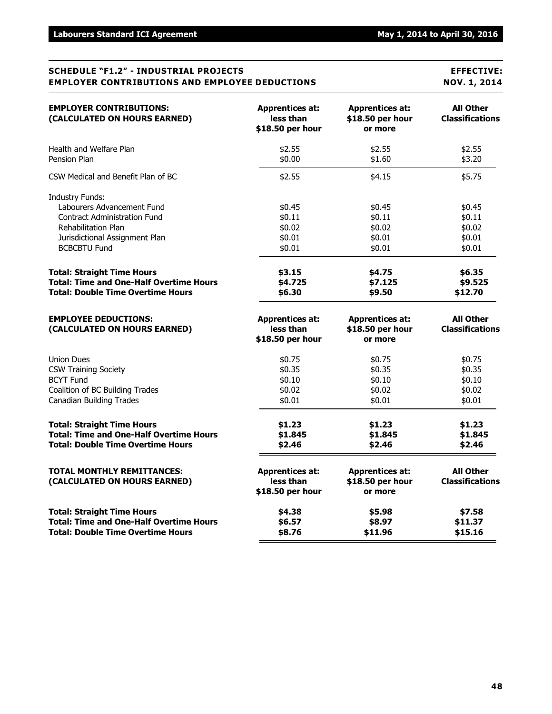#### **SCHEDULE "F1.2" - INDUSTRIAL PROJECTS EFFECTIVE: EMPLOYER CONTRIBUTIONS AND EMPLOYEE DEDUCTIONS NOV. 1, 2014**

| <b>EMPLOYER CONTRIBUTIONS:</b><br>(CALCULATED ON HOURS EARNED)                                                                                                                     | <b>Apprentices at:</b><br>less than<br>\$18.50 per hour | <b>Apprentices at:</b><br>\$18.50 per hour<br>or more | <b>All Other</b><br><b>Classifications</b>     |
|------------------------------------------------------------------------------------------------------------------------------------------------------------------------------------|---------------------------------------------------------|-------------------------------------------------------|------------------------------------------------|
| Health and Welfare Plan                                                                                                                                                            | \$2.55                                                  | \$2.55                                                | \$2.55                                         |
| Pension Plan                                                                                                                                                                       | \$0.00                                                  | \$1.60                                                | \$3.20                                         |
| CSW Medical and Benefit Plan of BC                                                                                                                                                 | \$2.55                                                  | \$4.15                                                | \$5.75                                         |
| <b>Industry Funds:</b><br>Labourers Advancement Fund<br><b>Contract Administration Fund</b><br><b>Rehabilitation Plan</b><br>Jurisdictional Assignment Plan<br><b>BCBCBTU Fund</b> | \$0.45<br>\$0.11<br>\$0.02<br>\$0.01<br>\$0.01          | \$0.45<br>\$0.11<br>\$0.02<br>\$0.01<br>\$0.01        | \$0.45<br>\$0.11<br>\$0.02<br>\$0.01<br>\$0.01 |
| <b>Total: Straight Time Hours</b>                                                                                                                                                  | \$3.15                                                  | \$4.75                                                | \$6.35                                         |
| <b>Total: Time and One-Half Overtime Hours</b>                                                                                                                                     | \$4.725                                                 | \$7.125                                               | \$9.525                                        |
| <b>Total: Double Time Overtime Hours</b>                                                                                                                                           | \$6.30                                                  | \$9.50                                                | \$12.70                                        |
| <b>EMPLOYEE DEDUCTIONS:</b><br>(CALCULATED ON HOURS EARNED)                                                                                                                        | <b>Apprentices at:</b><br>less than<br>\$18.50 per hour | <b>Apprentices at:</b><br>\$18.50 per hour<br>or more | <b>All Other</b><br><b>Classifications</b>     |
| <b>Union Dues</b>                                                                                                                                                                  | \$0.75                                                  | \$0.75                                                | \$0.75                                         |
| <b>CSW Training Society</b>                                                                                                                                                        | \$0.35                                                  | \$0.35                                                | \$0.35                                         |
| <b>BCYT Fund</b>                                                                                                                                                                   | \$0.10                                                  | \$0.10                                                | \$0.10                                         |
| Coalition of BC Building Trades                                                                                                                                                    | \$0.02                                                  | \$0.02                                                | \$0.02                                         |
| <b>Canadian Building Trades</b>                                                                                                                                                    | \$0.01                                                  | \$0.01                                                | \$0.01                                         |
| <b>Total: Straight Time Hours</b>                                                                                                                                                  | \$1.23                                                  | \$1.23                                                | \$1.23                                         |
| <b>Total: Time and One-Half Overtime Hours</b>                                                                                                                                     | \$1.845                                                 | \$1.845                                               | \$1.845                                        |
| <b>Total: Double Time Overtime Hours</b>                                                                                                                                           | \$2.46                                                  | \$2.46                                                | \$2.46                                         |
| <b>TOTAL MONTHLY REMITTANCES:</b><br>(CALCULATED ON HOURS EARNED)                                                                                                                  | <b>Apprentices at:</b><br>less than<br>\$18.50 per hour | <b>Apprentices at:</b><br>\$18.50 per hour<br>or more | <b>All Other</b><br><b>Classifications</b>     |
| <b>Total: Straight Time Hours</b>                                                                                                                                                  | \$4.38                                                  | \$5.98                                                | \$7.58                                         |
| <b>Total: Time and One-Half Overtime Hours</b>                                                                                                                                     | \$6.57                                                  | \$8.97                                                | \$11.37                                        |
| <b>Total: Double Time Overtime Hours</b>                                                                                                                                           | \$8.76                                                  | \$11.96                                               | \$15.16                                        |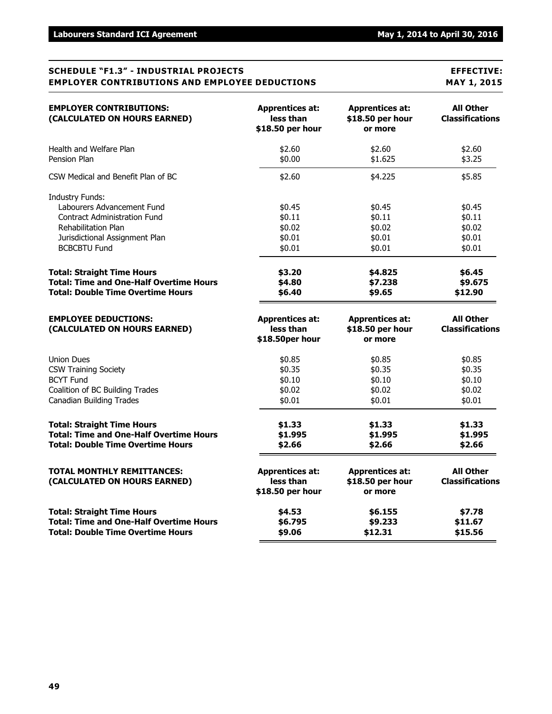#### **SCHEDULE "F1.3" - INDUSTRIAL PROJECTS EFFECTIVE: EMPLOYER CONTRIBUTIONS AND EMPLOYEE DEDUCTIONS MAY 1, 2015**

| <b>EMPLOYER CONTRIBUTIONS:</b><br>(CALCULATED ON HOURS EARNED)                                                                                                              | <b>Apprentices at:</b><br>less than<br>\$18.50 per hour | <b>Apprentices at:</b><br>\$18.50 per hour<br>or more | <b>All Other</b><br><b>Classifications</b>     |
|-----------------------------------------------------------------------------------------------------------------------------------------------------------------------------|---------------------------------------------------------|-------------------------------------------------------|------------------------------------------------|
| Health and Welfare Plan                                                                                                                                                     | \$2.60                                                  | \$2.60                                                | \$2.60                                         |
| Pension Plan                                                                                                                                                                | \$0.00                                                  | \$1,625                                               | \$3.25                                         |
| CSW Medical and Benefit Plan of BC                                                                                                                                          | \$2.60                                                  | \$4.225                                               | \$5.85                                         |
| <b>Industry Funds:</b><br>Labourers Advancement Fund<br><b>Contract Administration Fund</b><br>Rehabilitation Plan<br>Jurisdictional Assignment Plan<br><b>BCBCBTU Fund</b> | \$0.45<br>\$0.11<br>\$0.02<br>\$0.01<br>\$0.01          | \$0.45<br>\$0.11<br>\$0.02<br>\$0.01<br>\$0.01        | \$0.45<br>\$0.11<br>\$0.02<br>\$0.01<br>\$0.01 |
| <b>Total: Straight Time Hours</b>                                                                                                                                           | \$3.20                                                  | \$4.825                                               | \$6.45                                         |
| <b>Total: Time and One-Half Overtime Hours</b>                                                                                                                              | \$4.80                                                  | \$7.238                                               | \$9.675                                        |
| <b>Total: Double Time Overtime Hours</b>                                                                                                                                    | \$6.40                                                  | \$9.65                                                | \$12.90                                        |
| <b>EMPLOYEE DEDUCTIONS:</b><br>(CALCULATED ON HOURS EARNED)                                                                                                                 | <b>Apprentices at:</b><br>less than<br>\$18.50per hour  | <b>Apprentices at:</b><br>\$18.50 per hour<br>or more | <b>All Other</b><br><b>Classifications</b>     |
| <b>Union Dues</b>                                                                                                                                                           | \$0.85                                                  | \$0.85                                                | \$0.85                                         |
| <b>CSW Training Society</b>                                                                                                                                                 | \$0.35                                                  | \$0.35                                                | \$0.35                                         |
| <b>BCYT Fund</b>                                                                                                                                                            | \$0.10                                                  | \$0.10                                                | \$0.10                                         |
| Coalition of BC Building Trades                                                                                                                                             | \$0.02                                                  | \$0.02                                                | \$0.02                                         |
| <b>Canadian Building Trades</b>                                                                                                                                             | \$0.01                                                  | \$0.01                                                | \$0.01                                         |
| <b>Total: Straight Time Hours</b>                                                                                                                                           | \$1.33                                                  | \$1.33                                                | \$1.33                                         |
| <b>Total: Time and One-Half Overtime Hours</b>                                                                                                                              | \$1.995                                                 | \$1.995                                               | \$1.995                                        |
| <b>Total: Double Time Overtime Hours</b>                                                                                                                                    | \$2.66                                                  | \$2.66                                                | \$2.66                                         |
| <b>TOTAL MONTHLY REMITTANCES:</b><br>(CALCULATED ON HOURS EARNED)                                                                                                           | <b>Apprentices at:</b><br>less than<br>\$18.50 per hour | <b>Apprentices at:</b><br>\$18.50 per hour<br>or more | <b>All Other</b><br><b>Classifications</b>     |
| <b>Total: Straight Time Hours</b>                                                                                                                                           | \$4.53                                                  | \$6.155                                               | \$7.78                                         |
| <b>Total: Time and One-Half Overtime Hours</b>                                                                                                                              | \$6.795                                                 | \$9.233                                               | \$11.67                                        |
| <b>Total: Double Time Overtime Hours</b>                                                                                                                                    | \$9.06                                                  | \$12.31                                               | \$15.56                                        |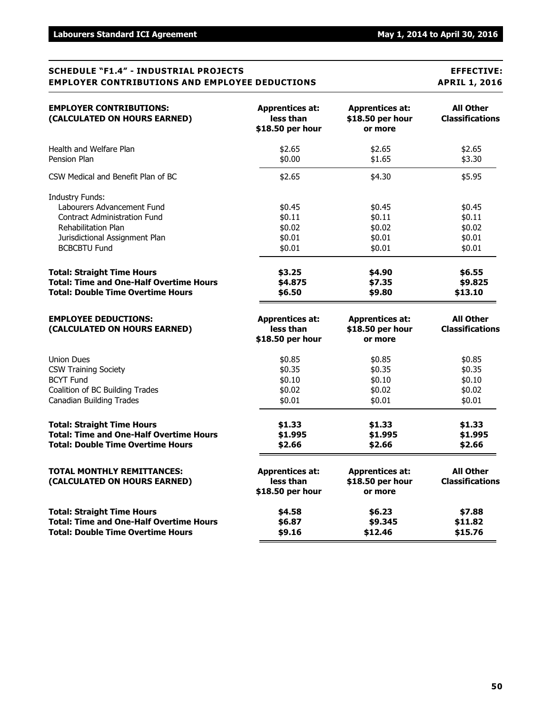#### **SCHEDULE "F1.4" - INDUSTRIAL PROJECTS EFFECTIVE: EMPLOYER CONTRIBUTIONS AND EMPLOYEE DEDUCTIONS APRIL 1, 2016**

| <b>EMPLOYER CONTRIBUTIONS:</b><br>(CALCULATED ON HOURS EARNED)                                                                                                                     | <b>Apprentices at:</b><br>less than<br>\$18.50 per hour | <b>Apprentices at:</b><br>\$18.50 per hour<br>or more | <b>All Other</b><br><b>Classifications</b>     |
|------------------------------------------------------------------------------------------------------------------------------------------------------------------------------------|---------------------------------------------------------|-------------------------------------------------------|------------------------------------------------|
| Health and Welfare Plan                                                                                                                                                            | \$2.65                                                  | \$2.65                                                | \$2.65                                         |
| Pension Plan                                                                                                                                                                       | \$0.00                                                  | \$1.65                                                | \$3.30                                         |
| CSW Medical and Benefit Plan of BC                                                                                                                                                 | \$2.65                                                  | \$4.30                                                | \$5.95                                         |
| <b>Industry Funds:</b><br>Labourers Advancement Fund<br><b>Contract Administration Fund</b><br><b>Rehabilitation Plan</b><br>Jurisdictional Assignment Plan<br><b>BCBCBTU Fund</b> | \$0.45<br>\$0.11<br>\$0.02<br>\$0.01<br>\$0.01          | \$0.45<br>\$0.11<br>\$0.02<br>\$0.01<br>\$0.01        | \$0.45<br>\$0.11<br>\$0.02<br>\$0.01<br>\$0.01 |
| <b>Total: Straight Time Hours</b>                                                                                                                                                  | \$3.25                                                  | \$4.90                                                | \$6.55                                         |
| <b>Total: Time and One-Half Overtime Hours</b>                                                                                                                                     | \$4.875                                                 | \$7.35                                                | \$9.825                                        |
| <b>Total: Double Time Overtime Hours</b>                                                                                                                                           | \$6.50                                                  | \$9.80                                                | \$13.10                                        |
| <b>EMPLOYEE DEDUCTIONS:</b><br>(CALCULATED ON HOURS EARNED)                                                                                                                        | <b>Apprentices at:</b><br>less than<br>\$18.50 per hour | <b>Apprentices at:</b><br>\$18.50 per hour<br>or more | <b>All Other</b><br><b>Classifications</b>     |
| <b>Union Dues</b>                                                                                                                                                                  | \$0.85                                                  | \$0.85                                                | \$0.85                                         |
| <b>CSW Training Society</b>                                                                                                                                                        | \$0.35                                                  | \$0.35                                                | \$0.35                                         |
| <b>BCYT Fund</b>                                                                                                                                                                   | \$0.10                                                  | \$0.10                                                | \$0.10                                         |
| Coalition of BC Building Trades                                                                                                                                                    | \$0.02                                                  | \$0.02                                                | \$0.02                                         |
| <b>Canadian Building Trades</b>                                                                                                                                                    | \$0.01                                                  | \$0.01                                                | \$0.01                                         |
| <b>Total: Straight Time Hours</b>                                                                                                                                                  | \$1.33                                                  | \$1.33                                                | \$1.33                                         |
| <b>Total: Time and One-Half Overtime Hours</b>                                                                                                                                     | \$1.995                                                 | \$1.995                                               | \$1.995                                        |
| <b>Total: Double Time Overtime Hours</b>                                                                                                                                           | \$2.66                                                  | \$2.66                                                | \$2.66                                         |
| <b>TOTAL MONTHLY REMITTANCES:</b><br>(CALCULATED ON HOURS EARNED)                                                                                                                  | <b>Apprentices at:</b><br>less than<br>\$18.50 per hour | <b>Apprentices at:</b><br>\$18.50 per hour<br>or more | <b>All Other</b><br><b>Classifications</b>     |
| <b>Total: Straight Time Hours</b>                                                                                                                                                  | \$4.58                                                  | \$6.23                                                | \$7.88                                         |
| <b>Total: Time and One-Half Overtime Hours</b>                                                                                                                                     | \$6.87                                                  | \$9.345                                               | \$11.82                                        |
| <b>Total: Double Time Overtime Hours</b>                                                                                                                                           | \$9.16                                                  | \$12.46                                               | \$15.76                                        |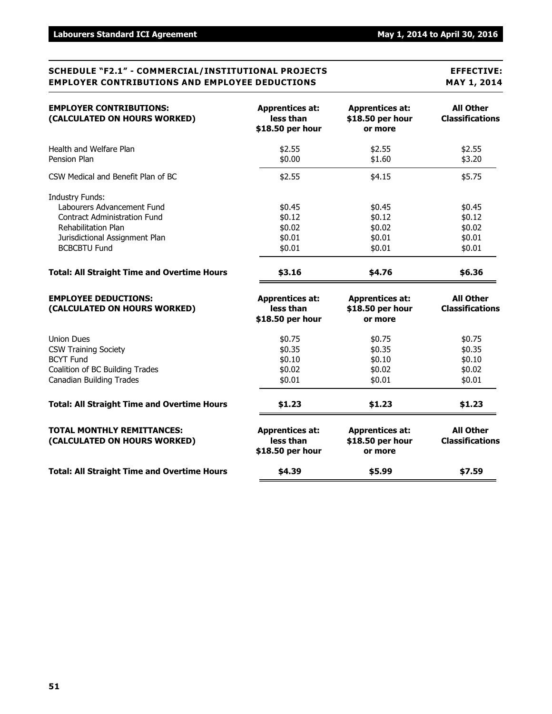#### **SCHEDULE "F2.1" - COMMERCIAL/INSTITUTIONAL PROJECTS EFFECTIVE: EMPLOYER CONTRIBUTIONS AND EMPLOYEE DEDUCTIONS MAY 1, 2014**

| <b>EMPLOYER CONTRIBUTIONS:</b><br>(CALCULATED ON HOURS WORKED)                                                                      | <b>Apprentices at:</b><br>less than<br>\$18.50 per hour | <b>Apprentices at:</b><br>\$18.50 per hour<br>or more | <b>All Other</b><br><b>Classifications</b>     |
|-------------------------------------------------------------------------------------------------------------------------------------|---------------------------------------------------------|-------------------------------------------------------|------------------------------------------------|
| Health and Welfare Plan<br>Pension Plan                                                                                             | \$2.55<br>\$0.00                                        | \$2.55<br>\$1.60                                      | \$2.55<br>\$3.20                               |
| CSW Medical and Benefit Plan of BC                                                                                                  | \$2.55                                                  | \$4.15                                                | \$5.75                                         |
| <b>Industry Funds:</b><br>Labourers Advancement Fund<br><b>Contract Administration Fund</b>                                         | \$0.45<br>\$0.12                                        | \$0.45<br>\$0.12                                      | \$0.45<br>\$0.12                               |
| <b>Rehabilitation Plan</b><br>Jurisdictional Assignment Plan<br><b>BCBCBTU Fund</b>                                                 | \$0.02<br>\$0.01<br>\$0.01                              | \$0.02<br>\$0.01<br>\$0.01                            | \$0.02<br>\$0.01<br>\$0.01                     |
| <b>Total: All Straight Time and Overtime Hours</b>                                                                                  | \$3.16                                                  | \$4.76                                                | \$6.36                                         |
| <b>EMPLOYEE DEDUCTIONS:</b><br>(CALCULATED ON HOURS WORKED)                                                                         | <b>Apprentices at:</b><br>less than<br>\$18.50 per hour | <b>Apprentices at:</b><br>\$18.50 per hour<br>or more | <b>All Other</b><br><b>Classifications</b>     |
| Union Dues<br><b>CSW Training Society</b><br><b>BCYT Fund</b><br>Coalition of BC Building Trades<br><b>Canadian Building Trades</b> | \$0.75<br>\$0.35<br>\$0.10<br>\$0.02<br>\$0.01          | \$0.75<br>\$0.35<br>\$0.10<br>\$0.02<br>\$0.01        | \$0.75<br>\$0.35<br>\$0.10<br>\$0.02<br>\$0.01 |
| <b>Total: All Straight Time and Overtime Hours</b>                                                                                  | \$1.23                                                  | \$1.23                                                | \$1.23                                         |
| <b>TOTAL MONTHLY REMITTANCES:</b><br>(CALCULATED ON HOURS WORKED)                                                                   | <b>Apprentices at:</b><br>less than<br>\$18.50 per hour | <b>Apprentices at:</b><br>\$18.50 per hour<br>or more | <b>All Other</b><br><b>Classifications</b>     |
| <b>Total: All Straight Time and Overtime Hours</b>                                                                                  | \$4.39                                                  | \$5.99                                                | \$7.59                                         |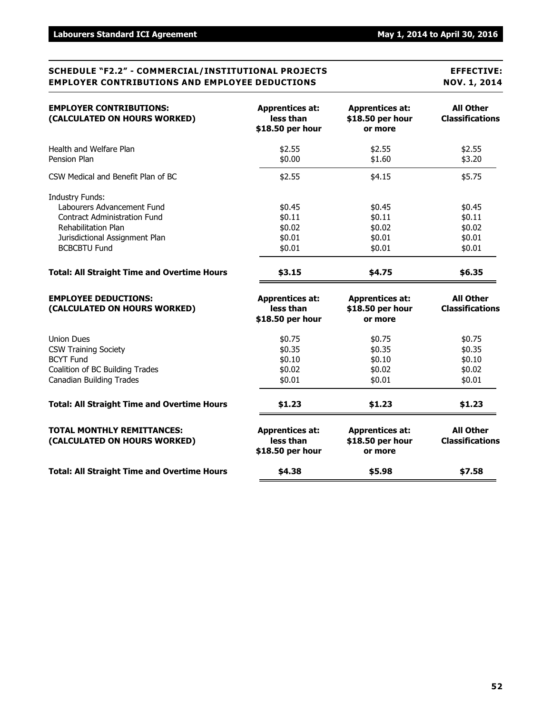#### **SCHEDULE "F2.2" - COMMERCIAL/INSTITUTIONAL PROJECTS EFFECTIVE: EMPLOYER CONTRIBUTIONS AND EMPLOYEE DEDUCTIONS NOV. 1, 2014**

| <b>EMPLOYER CONTRIBUTIONS:</b><br>(CALCULATED ON HOURS WORKED)                                                                                                                     | <b>Apprentices at:</b><br>less than<br>\$18.50 per hour | <b>Apprentices at:</b><br>\$18.50 per hour<br>or more | <b>All Other</b><br><b>Classifications</b>     |
|------------------------------------------------------------------------------------------------------------------------------------------------------------------------------------|---------------------------------------------------------|-------------------------------------------------------|------------------------------------------------|
| Health and Welfare Plan<br>Pension Plan                                                                                                                                            | \$2.55<br>\$0.00                                        | \$2.55<br>\$1.60                                      | \$2.55<br>\$3.20                               |
| CSW Medical and Benefit Plan of BC                                                                                                                                                 | \$2.55                                                  | \$4.15                                                | \$5.75                                         |
| <b>Industry Funds:</b><br>Labourers Advancement Fund<br><b>Contract Administration Fund</b><br><b>Rehabilitation Plan</b><br>Jurisdictional Assignment Plan<br><b>BCBCBTU Fund</b> | \$0.45<br>\$0.11<br>\$0.02<br>\$0.01<br>\$0.01          | \$0.45<br>\$0.11<br>\$0.02<br>\$0.01<br>\$0.01        | \$0.45<br>\$0.11<br>\$0.02<br>\$0.01<br>\$0.01 |
| <b>Total: All Straight Time and Overtime Hours</b>                                                                                                                                 | \$3.15                                                  | \$4.75                                                | \$6.35                                         |
| <b>EMPLOYEE DEDUCTIONS:</b><br>(CALCULATED ON HOURS WORKED)                                                                                                                        | <b>Apprentices at:</b><br>less than<br>\$18.50 per hour | <b>Apprentices at:</b><br>\$18.50 per hour<br>or more | <b>All Other</b><br><b>Classifications</b>     |
| <b>Union Dues</b><br><b>CSW Training Society</b><br><b>BCYT Fund</b><br>Coalition of BC Building Trades<br><b>Canadian Building Trades</b>                                         | \$0.75<br>\$0.35<br>\$0.10<br>\$0.02<br>\$0.01          | \$0.75<br>\$0.35<br>\$0.10<br>\$0.02<br>\$0.01        | \$0.75<br>\$0.35<br>\$0.10<br>\$0.02<br>\$0.01 |
| <b>Total: All Straight Time and Overtime Hours</b>                                                                                                                                 | \$1.23                                                  | \$1.23                                                | \$1.23                                         |
| <b>TOTAL MONTHLY REMITTANCES:</b><br>(CALCULATED ON HOURS WORKED)                                                                                                                  | <b>Apprentices at:</b><br>less than<br>\$18.50 per hour | <b>Apprentices at:</b><br>\$18.50 per hour<br>or more | <b>All Other</b><br><b>Classifications</b>     |
| <b>Total: All Straight Time and Overtime Hours</b>                                                                                                                                 | \$4.38                                                  | \$5.98                                                | \$7.58                                         |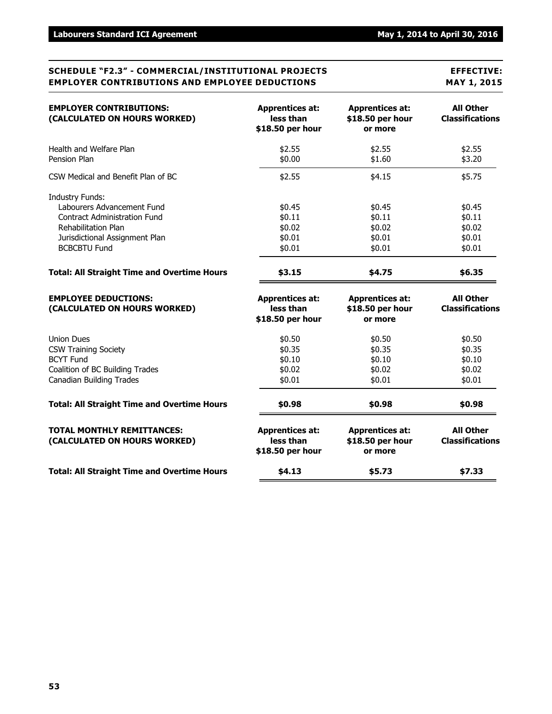#### **SCHEDULE "F2.3" - COMMERCIAL/INSTITUTIONAL PROJECTS EFFECTIVE: EMPLOYER CONTRIBUTIONS AND EMPLOYEE DEDUCTIONS MAY 1, 2015**

| <b>EMPLOYER CONTRIBUTIONS:</b><br>(CALCULATED ON HOURS WORKED)    | <b>Apprentices at:</b><br>less than<br>\$18.50 per hour | <b>Apprentices at:</b><br>\$18.50 per hour<br>or more | <b>All Other</b><br><b>Classifications</b> |
|-------------------------------------------------------------------|---------------------------------------------------------|-------------------------------------------------------|--------------------------------------------|
| Health and Welfare Plan<br>Pension Plan                           | \$2.55<br>\$0.00                                        | \$2.55<br>\$1.60                                      | \$2.55<br>\$3.20                           |
| CSW Medical and Benefit Plan of BC                                | \$2.55                                                  | \$4.15                                                | \$5.75                                     |
| <b>Industry Funds:</b><br>Labourers Advancement Fund              | \$0.45                                                  | \$0.45                                                | \$0.45                                     |
| <b>Contract Administration Fund</b><br><b>Rehabilitation Plan</b> | \$0.11<br>\$0.02                                        | \$0.11<br>\$0.02                                      | \$0.11<br>\$0.02                           |
| Jurisdictional Assignment Plan<br><b>BCBCBTU Fund</b>             | \$0.01<br>\$0.01                                        | \$0.01<br>\$0.01                                      | \$0.01<br>\$0.01                           |
| <b>Total: All Straight Time and Overtime Hours</b>                | \$3.15                                                  | \$4.75                                                | \$6.35                                     |
| <b>EMPLOYEE DEDUCTIONS:</b><br>(CALCULATED ON HOURS WORKED)       | <b>Apprentices at:</b><br>less than<br>\$18.50 per hour | <b>Apprentices at:</b><br>\$18.50 per hour<br>or more | <b>All Other</b><br><b>Classifications</b> |
| <b>Union Dues</b><br><b>CSW Training Society</b>                  | \$0.50<br>\$0.35                                        | \$0.50<br>\$0.35                                      | \$0.50<br>\$0.35                           |
| <b>BCYT Fund</b><br>Coalition of BC Building Trades               | \$0.10<br>\$0.02                                        | \$0.10<br>\$0.02                                      | \$0.10<br>\$0.02                           |
| <b>Canadian Building Trades</b>                                   | \$0.01                                                  | \$0.01                                                | \$0.01                                     |
| <b>Total: All Straight Time and Overtime Hours</b>                | \$0.98                                                  | \$0.98                                                | \$0.98                                     |
| <b>TOTAL MONTHLY REMITTANCES:</b><br>(CALCULATED ON HOURS WORKED) | <b>Apprentices at:</b><br>less than<br>\$18.50 per hour | <b>Apprentices at:</b><br>\$18.50 per hour<br>or more | <b>All Other</b><br><b>Classifications</b> |
| <b>Total: All Straight Time and Overtime Hours</b>                | \$4.13                                                  | \$5.73                                                | \$7.33                                     |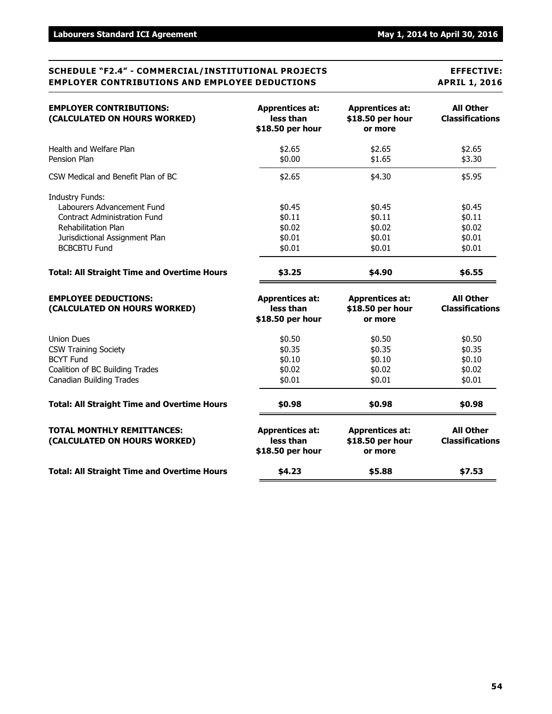#### **SCHEDULE "F2.4" - COMMERCIAL/INSTITUTIONAL PROJECTS EFFECTIVE: EMPLOYER CONTRIBUTIONS AND EMPLOYEE DEDUCTIONS APRIL 1, 2016**

| <b>EMPLOYER CONTRIBUTIONS:</b><br>(CALCULATED ON HOURS WORKED)                                                                                                                     | <b>Apprentices at:</b><br>less than<br>\$18.50 per hour | <b>Apprentices at:</b><br>\$18.50 per hour<br>or more | <b>All Other</b><br><b>Classifications</b>     |
|------------------------------------------------------------------------------------------------------------------------------------------------------------------------------------|---------------------------------------------------------|-------------------------------------------------------|------------------------------------------------|
| Health and Welfare Plan<br>Pension Plan                                                                                                                                            | \$2.65<br>\$0.00                                        | \$2.65<br>\$1.65                                      | \$2.65<br>\$3.30                               |
| CSW Medical and Benefit Plan of BC                                                                                                                                                 | \$2.65                                                  | \$4.30                                                | \$5.95                                         |
| <b>Industry Funds:</b><br>Labourers Advancement Fund<br><b>Contract Administration Fund</b><br><b>Rehabilitation Plan</b><br>Jurisdictional Assignment Plan<br><b>BCBCBTU Fund</b> | \$0.45<br>\$0.11<br>\$0.02<br>\$0.01<br>\$0.01          | \$0.45<br>\$0.11<br>\$0.02<br>\$0.01<br>\$0.01        | \$0.45<br>\$0.11<br>\$0.02<br>\$0.01<br>\$0.01 |
| <b>Total: All Straight Time and Overtime Hours</b>                                                                                                                                 | \$3.25                                                  | \$4.90                                                | \$6.55                                         |
| <b>EMPLOYEE DEDUCTIONS:</b><br>(CALCULATED ON HOURS WORKED)                                                                                                                        | <b>Apprentices at:</b><br>less than<br>\$18.50 per hour | <b>Apprentices at:</b><br>\$18.50 per hour<br>or more | <b>All Other</b><br><b>Classifications</b>     |
| <b>Union Dues</b><br><b>CSW Training Society</b><br><b>BCYT Fund</b><br>Coalition of BC Building Trades<br><b>Canadian Building Trades</b>                                         | \$0.50<br>\$0.35<br>\$0.10<br>\$0.02<br>\$0.01          | \$0.50<br>\$0.35<br>\$0.10<br>\$0.02<br>\$0.01        | \$0.50<br>\$0.35<br>\$0.10<br>\$0.02<br>\$0.01 |
| <b>Total: All Straight Time and Overtime Hours</b>                                                                                                                                 | \$0.98                                                  | \$0.98                                                | \$0.98                                         |
| <b>TOTAL MONTHLY REMITTANCES:</b><br>(CALCULATED ON HOURS WORKED)                                                                                                                  | <b>Apprentices at:</b><br>less than<br>\$18.50 per hour | <b>Apprentices at:</b><br>\$18.50 per hour<br>or more | <b>All Other</b><br><b>Classifications</b>     |
| <b>Total: All Straight Time and Overtime Hours</b>                                                                                                                                 | \$4.23                                                  | \$5.88                                                | \$7.53                                         |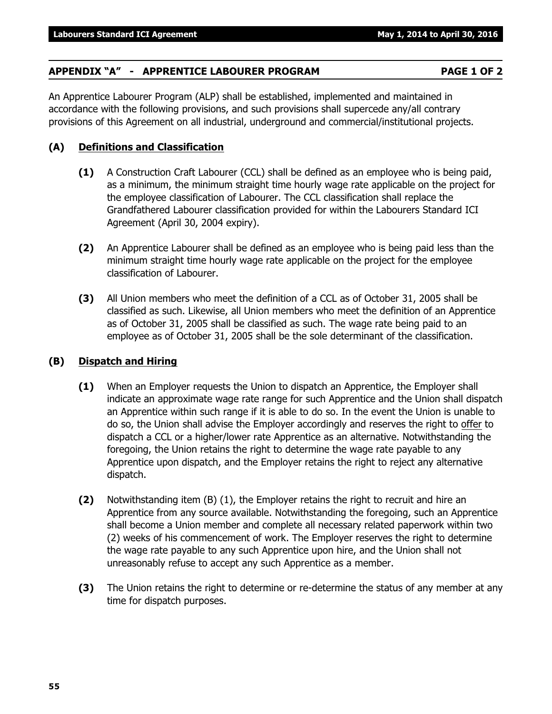### **APPENDIX "A" - APPRENTICE LABOURER PROGRAM PAGE 1 OF 2**

An Apprentice Labourer Program (ALP) shall be established, implemented and maintained in accordance with the following provisions, and such provisions shall supercede any/all contrary provisions of this Agreement on all industrial, underground and commercial/institutional projects.

#### **(A) Definitions and Classification**

- **(1)** A Construction Craft Labourer (CCL) shall be defined as an employee who is being paid, as a minimum, the minimum straight time hourly wage rate applicable on the project for the employee classification of Labourer. The CCL classification shall replace the Grandfathered Labourer classification provided for within the Labourers Standard ICI Agreement (April 30, 2004 expiry).
- **(2)** An Apprentice Labourer shall be defined as an employee who is being paid less than the minimum straight time hourly wage rate applicable on the project for the employee classification of Labourer.
- **(3)** All Union members who meet the definition of a CCL as of October 31, 2005 shall be classified as such. Likewise, all Union members who meet the definition of an Apprentice as of October 31, 2005 shall be classified as such. The wage rate being paid to an employee as of October 31, 2005 shall be the sole determinant of the classification.

#### **(B) Dispatch and Hiring**

- **(1)** When an Employer requests the Union to dispatch an Apprentice, the Employer shall indicate an approximate wage rate range for such Apprentice and the Union shall dispatch an Apprentice within such range if it is able to do so. In the event the Union is unable to do so, the Union shall advise the Employer accordingly and reserves the right to offer to dispatch a CCL or a higher/lower rate Apprentice as an alternative. Notwithstanding the foregoing, the Union retains the right to determine the wage rate payable to any Apprentice upon dispatch, and the Employer retains the right to reject any alternative dispatch.
- **(2)** Notwithstanding item (B) (1), the Employer retains the right to recruit and hire an Apprentice from any source available. Notwithstanding the foregoing, such an Apprentice shall become a Union member and complete all necessary related paperwork within two (2) weeks of his commencement of work. The Employer reserves the right to determine the wage rate payable to any such Apprentice upon hire, and the Union shall not unreasonably refuse to accept any such Apprentice as a member.
- **(3)** The Union retains the right to determine or re-determine the status of any member at any time for dispatch purposes.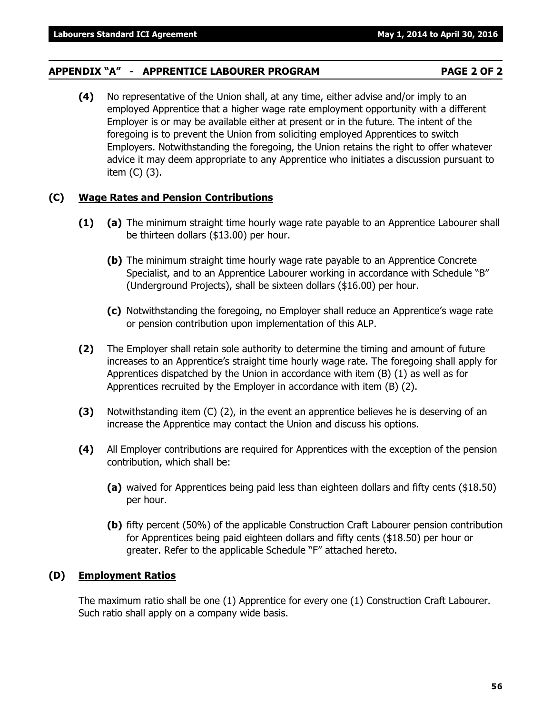#### **APPENDIX "A" - APPRENTICE LABOURER PROGRAM PAGE 2 OF 2**

**(4)** No representative of the Union shall, at any time, either advise and/or imply to an employed Apprentice that a higher wage rate employment opportunity with a different Employer is or may be available either at present or in the future. The intent of the foregoing is to prevent the Union from soliciting employed Apprentices to switch Employers. Notwithstanding the foregoing, the Union retains the right to offer whatever advice it may deem appropriate to any Apprentice who initiates a discussion pursuant to item (C) (3).

#### **(C) Wage Rates and Pension Contributions**

- **(1) (a)** The minimum straight time hourly wage rate payable to an Apprentice Labourer shall be thirteen dollars (\$13.00) per hour.
	- **(b)** The minimum straight time hourly wage rate payable to an Apprentice Concrete Specialist, and to an Apprentice Labourer working in accordance with Schedule "B" (Underground Projects), shall be sixteen dollars (\$16.00) per hour.
	- **(c)** Notwithstanding the foregoing, no Employer shall reduce an Apprentice's wage rate or pension contribution upon implementation of this ALP.
- **(2)** The Employer shall retain sole authority to determine the timing and amount of future increases to an Apprentice's straight time hourly wage rate. The foregoing shall apply for Apprentices dispatched by the Union in accordance with item (B) (1) as well as for Apprentices recruited by the Employer in accordance with item (B) (2).
- **(3)** Notwithstanding item (C) (2), in the event an apprentice believes he is deserving of an increase the Apprentice may contact the Union and discuss his options.
- **(4)** All Employer contributions are required for Apprentices with the exception of the pension contribution, which shall be:
	- **(a)** waived for Apprentices being paid less than eighteen dollars and fifty cents (\$18.50) per hour.
	- **(b)** fifty percent (50%) of the applicable Construction Craft Labourer pension contribution for Apprentices being paid eighteen dollars and fifty cents (\$18.50) per hour or greater. Refer to the applicable Schedule "F" attached hereto.

#### **(D) Employment Ratios**

The maximum ratio shall be one (1) Apprentice for every one (1) Construction Craft Labourer. Such ratio shall apply on a company wide basis.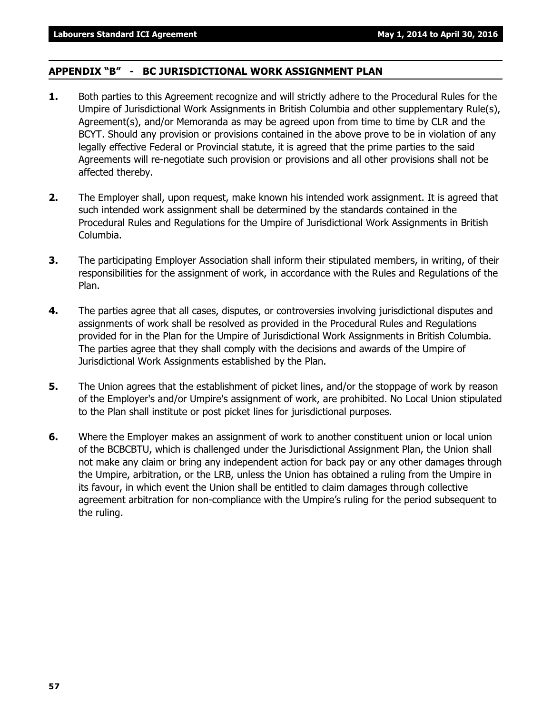#### **APPENDIX "B" - BC JURISDICTIONAL WORK ASSIGNMENT PLAN**

- **1.** Both parties to this Agreement recognize and will strictly adhere to the Procedural Rules for the Umpire of Jurisdictional Work Assignments in British Columbia and other supplementary Rule(s), Agreement(s), and/or Memoranda as may be agreed upon from time to time by CLR and the BCYT. Should any provision or provisions contained in the above prove to be in violation of any legally effective Federal or Provincial statute, it is agreed that the prime parties to the said Agreements will re-negotiate such provision or provisions and all other provisions shall not be affected thereby.
- **2.** The Employer shall, upon request, make known his intended work assignment. It is agreed that such intended work assignment shall be determined by the standards contained in the Procedural Rules and Regulations for the Umpire of Jurisdictional Work Assignments in British Columbia.
- **3.** The participating Employer Association shall inform their stipulated members, in writing, of their responsibilities for the assignment of work, in accordance with the Rules and Regulations of the Plan.
- **4.** The parties agree that all cases, disputes, or controversies involving jurisdictional disputes and assignments of work shall be resolved as provided in the Procedural Rules and Regulations provided for in the Plan for the Umpire of Jurisdictional Work Assignments in British Columbia. The parties agree that they shall comply with the decisions and awards of the Umpire of Jurisdictional Work Assignments established by the Plan.
- **5.** The Union agrees that the establishment of picket lines, and/or the stoppage of work by reason of the Employer's and/or Umpire's assignment of work, are prohibited. No Local Union stipulated to the Plan shall institute or post picket lines for jurisdictional purposes.
- **6.** Where the Employer makes an assignment of work to another constituent union or local union of the BCBCBTU, which is challenged under the Jurisdictional Assignment Plan, the Union shall not make any claim or bring any independent action for back pay or any other damages through the Umpire, arbitration, or the LRB, unless the Union has obtained a ruling from the Umpire in its favour, in which event the Union shall be entitled to claim damages through collective agreement arbitration for non-compliance with the Umpire's ruling for the period subsequent to the ruling.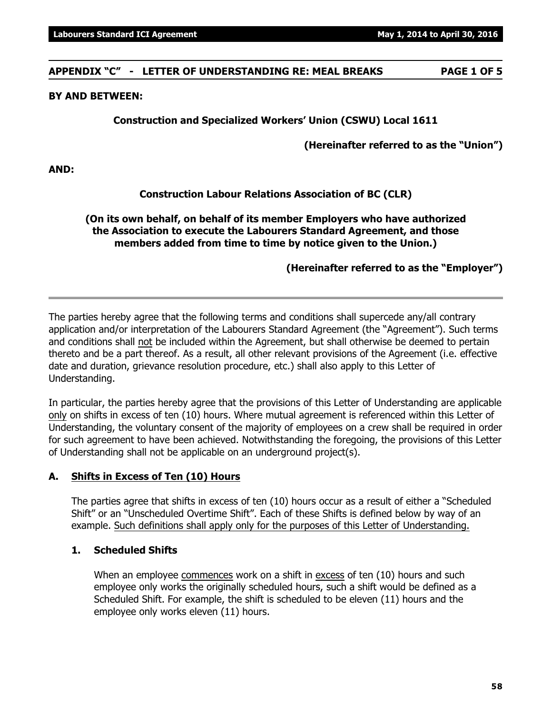**APPENDIX "C" - LETTER OF UNDERSTANDING RE: MEAL BREAKS PAGE 1 OF 5**

### **BY AND BETWEEN:**

### **Construction and Specialized Workers' Union (CSWU) Local 1611**

**(Hereinafter referred to as the "Union")**

**AND:**

#### **Construction Labour Relations Association of BC (CLR)**

**(On its own behalf, on behalf of its member Employers who have authorized the Association to execute the Labourers Standard Agreement, and those members added from time to time by notice given to the Union.)**

**(Hereinafter referred to as the "Employer")**

The parties hereby agree that the following terms and conditions shall supercede any/all contrary application and/or interpretation of the Labourers Standard Agreement (the "Agreement"). Such terms and conditions shall not be included within the Agreement, but shall otherwise be deemed to pertain thereto and be a part thereof. As a result, all other relevant provisions of the Agreement (i.e. effective date and duration, grievance resolution procedure, etc.) shall also apply to this Letter of Understanding.

In particular, the parties hereby agree that the provisions of this Letter of Understanding are applicable only on shifts in excess of ten (10) hours. Where mutual agreement is referenced within this Letter of Understanding, the voluntary consent of the majority of employees on a crew shall be required in order for such agreement to have been achieved. Notwithstanding the foregoing, the provisions of this Letter of Understanding shall not be applicable on an underground project(s).

#### **A. Shifts in Excess of Ten (10) Hours**

The parties agree that shifts in excess of ten (10) hours occur as a result of either a "Scheduled Shift" or an "Unscheduled Overtime Shift". Each of these Shifts is defined below by way of an example. Such definitions shall apply only for the purposes of this Letter of Understanding.

#### **1. Scheduled Shifts**

When an employee commences work on a shift in excess of ten (10) hours and such employee only works the originally scheduled hours, such a shift would be defined as a Scheduled Shift. For example, the shift is scheduled to be eleven (11) hours and the employee only works eleven (11) hours.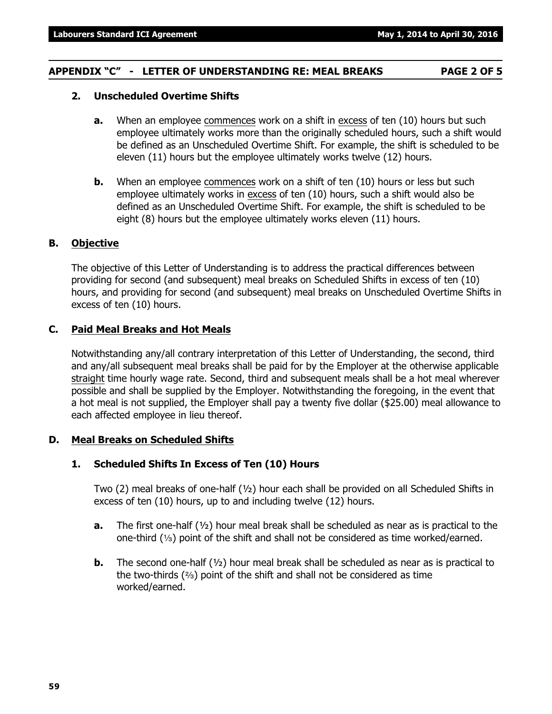#### **APPENDIX "C" - LETTER OF UNDERSTANDING RE: MEAL BREAKS PAGE 2 OF 5**

#### **2. Unscheduled Overtime Shifts**

- **a.** When an employee commences work on a shift in excess of ten (10) hours but such employee ultimately works more than the originally scheduled hours, such a shift would be defined as an Unscheduled Overtime Shift. For example, the shift is scheduled to be eleven (11) hours but the employee ultimately works twelve (12) hours.
- **b.** When an employee commences work on a shift of ten (10) hours or less but such employee ultimately works in excess of ten (10) hours, such a shift would also be defined as an Unscheduled Overtime Shift. For example, the shift is scheduled to be eight (8) hours but the employee ultimately works eleven (11) hours.

#### **B. Objective**

The objective of this Letter of Understanding is to address the practical differences between providing for second (and subsequent) meal breaks on Scheduled Shifts in excess of ten (10) hours, and providing for second (and subsequent) meal breaks on Unscheduled Overtime Shifts in excess of ten (10) hours.

#### **C. Paid Meal Breaks and Hot Meals**

Notwithstanding any/all contrary interpretation of this Letter of Understanding, the second, third and any/all subsequent meal breaks shall be paid for by the Employer at the otherwise applicable straight time hourly wage rate. Second, third and subsequent meals shall be a hot meal wherever possible and shall be supplied by the Employer. Notwithstanding the foregoing, in the event that a hot meal is not supplied, the Employer shall pay a twenty five dollar (\$25.00) meal allowance to each affected employee in lieu thereof.

#### **D. Meal Breaks on Scheduled Shifts**

#### **1. Scheduled Shifts In Excess of Ten (10) Hours**

Two (2) meal breaks of one-half (½) hour each shall be provided on all Scheduled Shifts in excess of ten (10) hours, up to and including twelve (12) hours.

- **a.** The first one-half (½) hour meal break shall be scheduled as near as is practical to the one-third  $(1/3)$  point of the shift and shall not be considered as time worked/earned.
- **b.** The second one-half (½) hour meal break shall be scheduled as near as is practical to the two-thirds  $(3)$  point of the shift and shall not be considered as time worked/earned.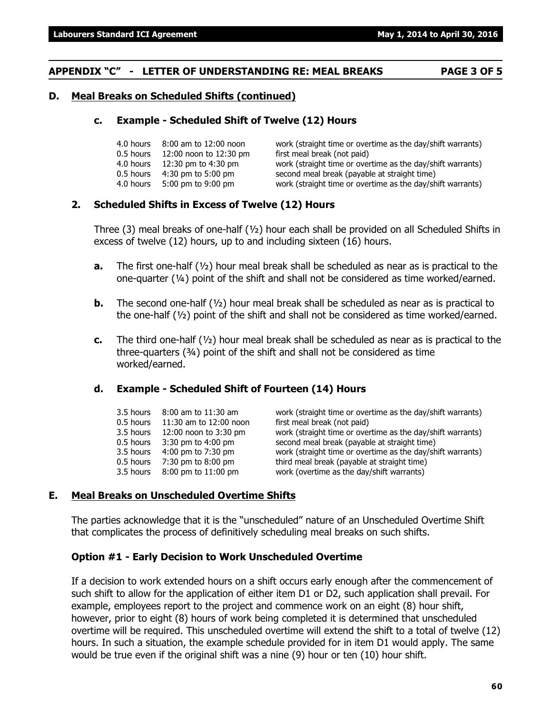#### **APPENDIX "C" - LETTER OF UNDERSTANDING RE: MEAL BREAKS PAGE 3 OF 5**

#### **D. Meal Breaks on Scheduled Shifts (continued)**

#### **c. Example - Scheduled Shift of Twelve (12) Hours**

|           | 4.0 hours 8:00 am to 12:00 noon | work (straight time or overtime as the day/shift warrants) |
|-----------|---------------------------------|------------------------------------------------------------|
| 0.5 hours | 12:00 noon to 12:30 pm          | first meal break (not paid)                                |
|           | 4.0 hours 12:30 pm to 4:30 pm   | work (straight time or overtime as the day/shift warrants) |
| 0.5 hours | 4:30 pm to 5:00 pm              | second meal break (payable at straight time)               |
| 4.0 hours | 5:00 pm to 9:00 pm              | work (straight time or overtime as the day/shift warrants) |

#### **2. Scheduled Shifts in Excess of Twelve (12) Hours**

Three (3) meal breaks of one-half  $(y_2)$  hour each shall be provided on all Scheduled Shifts in excess of twelve (12) hours, up to and including sixteen (16) hours.

- **a.** The first one-half (½) hour meal break shall be scheduled as near as is practical to the one-quarter  $(4)$  point of the shift and shall not be considered as time worked/earned.
- **b.** The second one-half (½) hour meal break shall be scheduled as near as is practical to the one-half  $(V_2)$  point of the shift and shall not be considered as time worked/earned.
- **c.** The third one-half (½) hour meal break shall be scheduled as near as is practical to the three-quarters (¾) point of the shift and shall not be considered as time worked/earned.

#### **d. Example - Scheduled Shift of Fourteen (14) Hours**

| 3.5 hours<br>0.5 hours | 8:00 am to 11:30 am<br>11:30 am to 12:00 noon | work (straight time or overtime as the day/shift warrants)<br>first meal break (not paid) |
|------------------------|-----------------------------------------------|-------------------------------------------------------------------------------------------|
| 3.5 hours              | 12:00 noon to 3:30 pm                         | work (straight time or overtime as the day/shift warrants)                                |
| 0.5 hours              | 3:30 pm to 4:00 pm                            | second meal break (payable at straight time)                                              |
| 3.5 hours              | 4:00 pm to 7:30 pm                            | work (straight time or overtime as the day/shift warrants)                                |
| 0.5 hours              | 7:30 pm to 8:00 pm                            | third meal break (payable at straight time)                                               |
| 3.5 hours              | 8:00 pm to 11:00 pm                           | work (overtime as the day/shift warrants)                                                 |

#### **E. Meal Breaks on Unscheduled Overtime Shifts**

The parties acknowledge that it is the "unscheduled" nature of an Unscheduled Overtime Shift that complicates the process of definitively scheduling meal breaks on such shifts.

#### **Option #1 - Early Decision to Work Unscheduled Overtime**

If a decision to work extended hours on a shift occurs early enough after the commencement of such shift to allow for the application of either item D1 or D2, such application shall prevail. For example, employees report to the project and commence work on an eight (8) hour shift, however, prior to eight (8) hours of work being completed it is determined that unscheduled overtime will be required. This unscheduled overtime will extend the shift to a total of twelve (12) hours. In such a situation, the example schedule provided for in item D1 would apply. The same would be true even if the original shift was a nine (9) hour or ten (10) hour shift.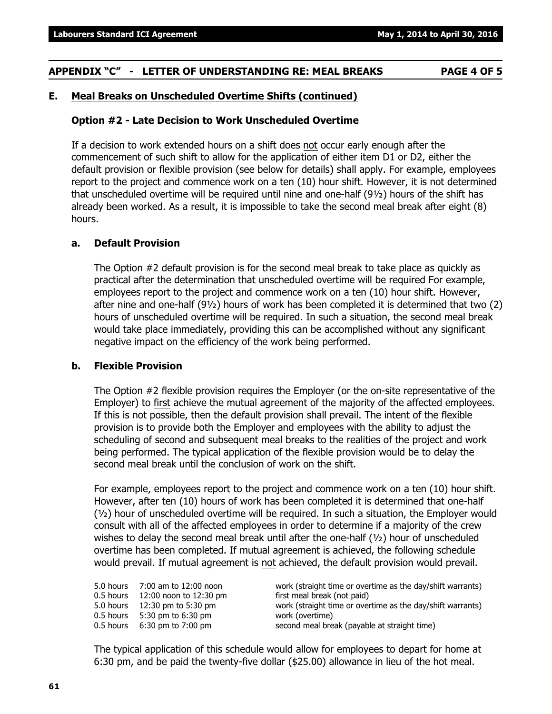#### **APPENDIX "C" - LETTER OF UNDERSTANDING RE: MEAL BREAKS PAGE 4 OF 5**

#### **E. Meal Breaks on Unscheduled Overtime Shifts (continued)**

#### **Option #2 - Late Decision to Work Unscheduled Overtime**

If a decision to work extended hours on a shift does not occur early enough after the commencement of such shift to allow for the application of either item D1 or D2, either the default provision or flexible provision (see below for details) shall apply. For example, employees report to the project and commence work on a ten (10) hour shift. However, it is not determined that unscheduled overtime will be required until nine and one-half (9½) hours of the shift has already been worked. As a result, it is impossible to take the second meal break after eight (8) hours.

#### **a. Default Provision**

The Option #2 default provision is for the second meal break to take place as quickly as practical after the determination that unscheduled overtime will be required For example, employees report to the project and commence work on a ten (10) hour shift. However, after nine and one-half (9½) hours of work has been completed it is determined that two (2) hours of unscheduled overtime will be required. In such a situation, the second meal break would take place immediately, providing this can be accomplished without any significant negative impact on the efficiency of the work being performed.

#### **b. Flexible Provision**

The Option #2 flexible provision requires the Employer (or the on-site representative of the Employer) to first achieve the mutual agreement of the majority of the affected employees. If this is not possible, then the default provision shall prevail. The intent of the flexible provision is to provide both the Employer and employees with the ability to adjust the scheduling of second and subsequent meal breaks to the realities of the project and work being performed. The typical application of the flexible provision would be to delay the second meal break until the conclusion of work on the shift.

For example, employees report to the project and commence work on a ten (10) hour shift. However, after ten (10) hours of work has been completed it is determined that one-half  $(½)$  hour of unscheduled overtime will be required. In such a situation, the Employer would consult with all of the affected employees in order to determine if a majority of the crew wishes to delay the second meal break until after the one-half  $(\frac{1}{2})$  hour of unscheduled overtime has been completed. If mutual agreement is achieved, the following schedule would prevail. If mutual agreement is not achieved, the default provision would prevail.

| 5.0 hours | 7:00 am to 12:00 noon  | work (straight time or overtime as the day/shift warrants) |
|-----------|------------------------|------------------------------------------------------------|
| 0.5 hours | 12:00 noon to 12:30 pm | first meal break (not paid)                                |
| 5.0 hours | 12:30 pm to 5:30 pm    | work (straight time or overtime as the day/shift warrants) |
| 0.5 hours | 5:30 pm to 6:30 pm     | work (overtime)                                            |
| 0.5 hours | $6:30$ pm to 7:00 pm   | second meal break (payable at straight time)               |
|           |                        |                                                            |

The typical application of this schedule would allow for employees to depart for home at 6:30 pm, and be paid the twenty-five dollar (\$25.00) allowance in lieu of the hot meal.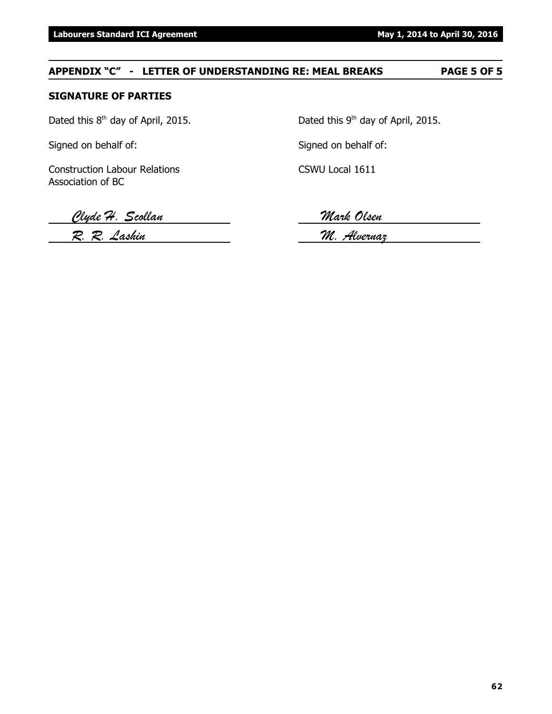### **APPENDIX "C" - LETTER OF UNDERSTANDING RE: MEAL BREAKS PAGE 5 OF 5**

#### **SIGNATURE OF PARTIES**

Signed on behalf of: Signed on behalf of:

Construction Labour Relations CSWU Local 1611 Association of BC

Dated this  $8<sup>th</sup>$  day of April, 2015. Dated this  $9<sup>th</sup>$  day of April, 2015.

*Clyde H. Scollan Mark Olsen*

*R. R. Lashin M. Alvernaz*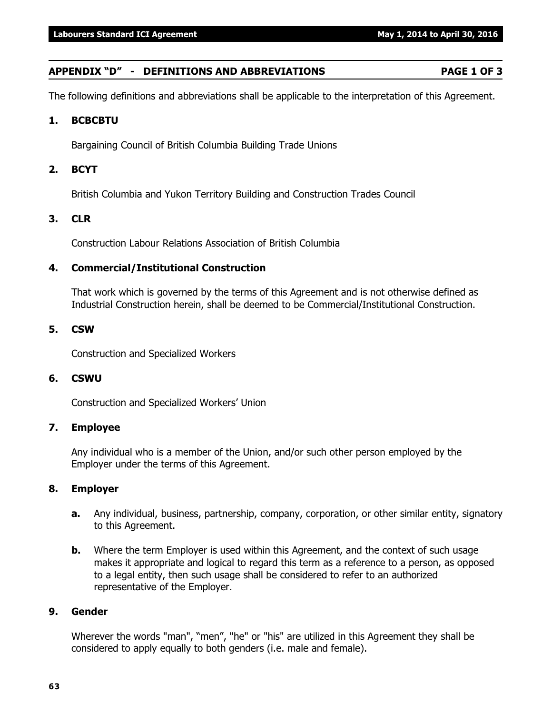#### **APPENDIX "D" - DEFINITIONS AND ABBREVIATIONS PAGE 1 OF 3**

The following definitions and abbreviations shall be applicable to the interpretation of this Agreement.

#### **1. BCBCBTU**

Bargaining Council of British Columbia Building Trade Unions

#### **2. BCYT**

British Columbia and Yukon Territory Building and Construction Trades Council

#### **3. CLR**

Construction Labour Relations Association of British Columbia

#### **4. Commercial/Institutional Construction**

That work which is governed by the terms of this Agreement and is not otherwise defined as Industrial Construction herein, shall be deemed to be Commercial/Institutional Construction.

#### **5. CSW**

Construction and Specialized Workers

#### **6. CSWU**

Construction and Specialized Workers' Union

#### **7. Employee**

Any individual who is a member of the Union, and/or such other person employed by the Employer under the terms of this Agreement.

#### **8. Employer**

- **a.** Any individual, business, partnership, company, corporation, or other similar entity, signatory to this Agreement.
- **b.** Where the term Employer is used within this Agreement, and the context of such usage makes it appropriate and logical to regard this term as a reference to a person, as opposed to a legal entity, then such usage shall be considered to refer to an authorized representative of the Employer.

#### **9. Gender**

Wherever the words "man", "men", "he" or "his" are utilized in this Agreement they shall be considered to apply equally to both genders (i.e. male and female).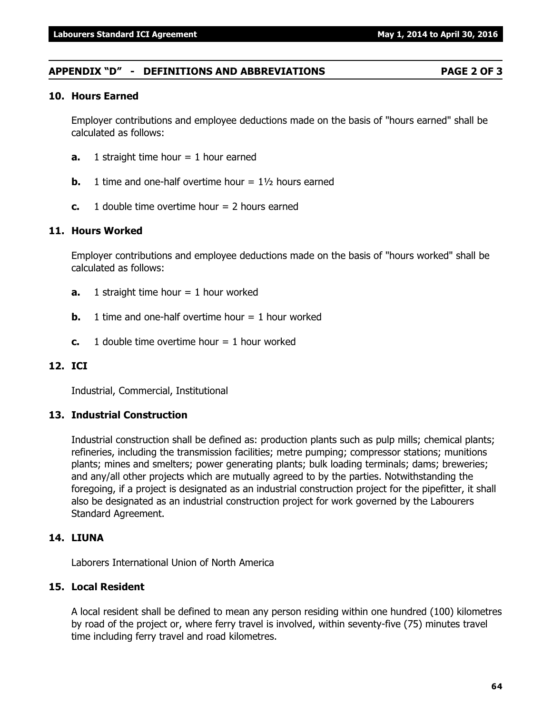#### **APPENDIX "D" - DEFINITIONS AND ABBREVIATIONS PAGE 2 OF 3**

#### **10. Hours Earned**

Employer contributions and employee deductions made on the basis of "hours earned" shall be calculated as follows:

- **a.** 1 straight time hour = 1 hour earned
- **b.** 1 time and one-half overtime hour  $= 1\frac{1}{2}$  hours earned
- **c.** 1 double time overtime hour = 2 hours earned

#### **11. Hours Worked**

Employer contributions and employee deductions made on the basis of "hours worked" shall be calculated as follows:

- **a.** 1 straight time hour = 1 hour worked
- **b.** 1 time and one-half overtime hour  $= 1$  hour worked
- **c.** 1 double time overtime hour  $= 1$  hour worked

#### **12. ICI**

Industrial, Commercial, Institutional

#### **13. Industrial Construction**

Industrial construction shall be defined as: production plants such as pulp mills; chemical plants; refineries, including the transmission facilities; metre pumping; compressor stations; munitions plants; mines and smelters; power generating plants; bulk loading terminals; dams; breweries; and any/all other projects which are mutually agreed to by the parties. Notwithstanding the foregoing, if a project is designated as an industrial construction project for the pipefitter, it shall also be designated as an industrial construction project for work governed by the Labourers Standard Agreement.

#### **14. LIUNA**

Laborers International Union of North America

#### **15. Local Resident**

A local resident shall be defined to mean any person residing within one hundred (100) kilometres by road of the project or, where ferry travel is involved, within seventy-five (75) minutes travel time including ferry travel and road kilometres.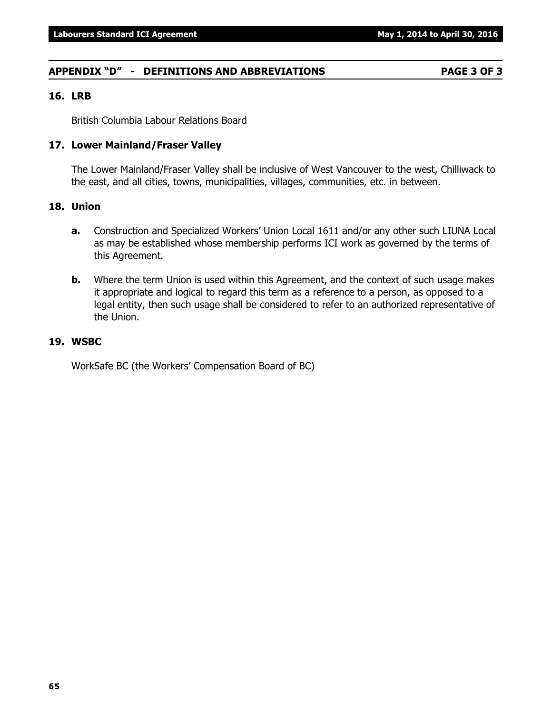#### **APPENDIX "D" - DEFINITIONS AND ABBREVIATIONS PAGE 3 OF 3**

#### **16. LRB**

British Columbia Labour Relations Board

#### **17. Lower Mainland/Fraser Valley**

The Lower Mainland/Fraser Valley shall be inclusive of West Vancouver to the west, Chilliwack to the east, and all cities, towns, municipalities, villages, communities, etc. in between.

#### **18. Union**

- **a.** Construction and Specialized Workers' Union Local 1611 and/or any other such LIUNA Local as may be established whose membership performs ICI work as governed by the terms of this Agreement.
- **b.** Where the term Union is used within this Agreement, and the context of such usage makes it appropriate and logical to regard this term as a reference to a person, as opposed to a legal entity, then such usage shall be considered to refer to an authorized representative of the Union.

#### **19. WSBC**

WorkSafe BC (the Workers' Compensation Board of BC)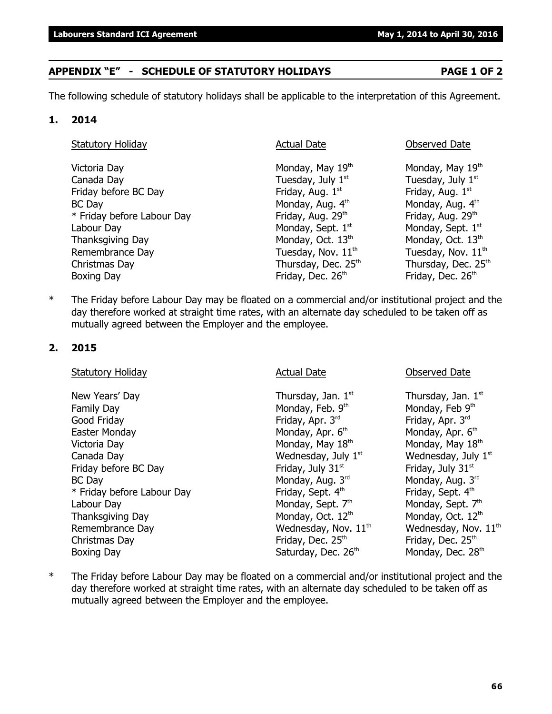**66**

## **APPENDIX "E" - SCHEDULE OF STATUTORY HOLIDAYS PAGE 1 OF 2**

The following schedule of statutory holidays shall be applicable to the interpretation of this Agreement.

### **1. 2014**

| <b>Statutory Holiday</b>   | <b>Actual Date</b>            | Observed Date                 |
|----------------------------|-------------------------------|-------------------------------|
| Victoria Day               | Monday, May 19th              | Monday, May 19th              |
| Canada Day                 | Tuesday, July 1st             | Tuesday, July 1 <sup>st</sup> |
| Friday before BC Day       | Friday, Aug. 1st              | Friday, Aug. 1 <sup>st</sup>  |
| <b>BC Day</b>              | Monday, Aug. 4th              | Monday, Aug. 4th              |
| * Friday before Labour Day | Friday, Aug. 29th             | Friday, Aug. 29th             |
| Labour Day                 | Monday, Sept. 1st             | Monday, Sept. 1st             |
| Thanksgiving Day           | Monday, Oct. 13 <sup>th</sup> | Monday, Oct. 13 <sup>th</sup> |
| Remembrance Day            | Tuesday, Nov. $11^{th}$       | Tuesday, Nov. $11^{th}$       |
| Christmas Day              | Thursday, Dec. 25th           | Thursday, Dec. 25th           |
| Boxing Day                 | Friday, Dec. 26 <sup>th</sup> | Friday, Dec. 26th             |

\* The Friday before Labour Day may be floated on a commercial and/or institutional project and the day therefore worked at straight time rates, with an alternate day scheduled to be taken off as mutually agreed between the Employer and the employee.

#### **2. 2015**

Statutory Holiday **Actual Date Conserved Date** Observed Date New Years' Day  $\qquad \qquad$  Thursday, Jan.  $1^{st}$  Thursday, Jan.  $1^{st}$ Family Day **Monday, Feb. 9th** Monday, Feb. 9th Monday, Feb 9th Good Friday **Friday, Apr. 3<sup>rd</sup> Friday, Apr. 3<sup>rd</sup> Friday, Apr. 3<sup>rd</sup> Friday, Apr. 3<sup>rd</sup>** Easter Monday **Monday, Apr. 6<sup>th</sup> Monday, Apr. 6<sup>th</sup> Monday, Apr. 6<sup>th</sup> Monday, Apr. 6<sup>th</sup>** Victoria Day **Monday, May 18<sup>th</sup> Monday, May 18<sup>th</sup> Monday, May 18<sup>th</sup> Monday, May 18<sup>th</sup>** Canada Day  $\blacksquare$  Wednesday, July  $1^{\rm st}$  Wednesday, July  $1^{\rm st}$ Friday before BC Day Friday, July 31st  $\frac{1}{31}$  Friday, July 31st  $\frac{1}{31}$  Friday, July 31st BC Day **Monday, Aug. 3<sup>rd</sup> Monday, Aug. 3<sup>rd</sup> Monday, Aug. 3<sup>rd</sup> Monday, Aug. 3<sup>rd</sup>** \* Friday before Labour Day Friday, Sept. 4th Friday, Sept. 4th Labour Day Monday, Sept.  $7<sup>th</sup>$  Monday, Sept.  $7<sup>th</sup>$  Monday, Sept.  $7<sup>th</sup>$ Thanksgiving Day Monday, Oct.  $12<sup>th</sup>$  Monday, Oct.  $12<sup>th</sup>$  Monday, Oct.  $12<sup>th</sup>$ Remembrance Day Medinesday, Nov.  $11<sup>th</sup>$  Wednesday, Nov.  $11<sup>th</sup>$ Christmas Day **Friday**, Dec. 25<sup>th</sup> Friday, Dec. 25<sup>th</sup> Boxing Day **Saturday, Dec. 26<sup>th</sup> Monday, Dec. 28<sup>th</sup> Monday, Dec. 28<sup>th</sup>** 

\* The Friday before Labour Day may be floated on a commercial and/or institutional project and the day therefore worked at straight time rates, with an alternate day scheduled to be taken off as mutually agreed between the Employer and the employee.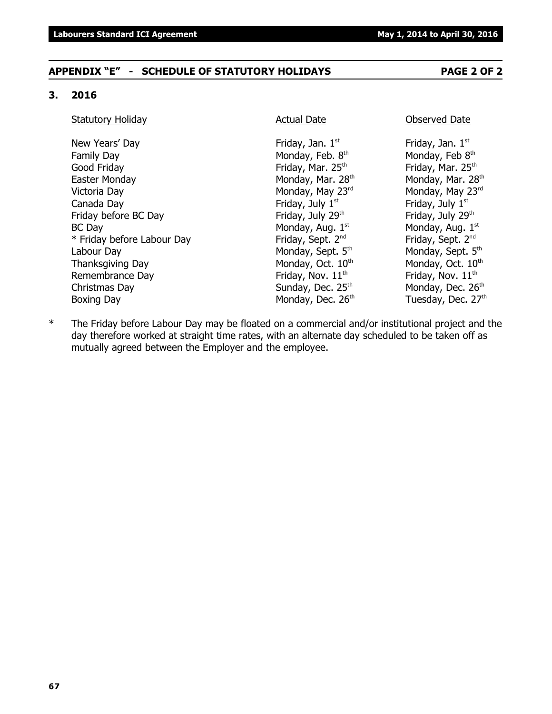#### **APPENDIX "E" - SCHEDULE OF STATUTORY HOLIDAYS PAGE 2 OF 2**

#### **3. 2016**

#### Statutory Holiday **Actual Date Conserved Date** Observed Date

New Years' Day  $Friday$ , Jan.  $1<sup>st</sup>$ Family Day Monday, Feb. 8th Good Friday **Friday** Friday, Mar. 25<sup>th</sup> Friday, Mar. 25<sup>th</sup> Friday, Mar. 25<sup>th</sup> Easter Monday **Monday, Mar. 28<sup>th</sup> Monday, Mar. 28**<sup>th</sup> Monday, Mar. 28<sup>th</sup> Victoria Day **Monday, May 23<sup>rd</sup>** Monday, May 23<sup>rd</sup> Monday, May 23<sup>rd</sup> Canada Day **Friday, July 1**<sup>st</sup> Friday, July 1<sup>st</sup> Friday, July 1<sup>st</sup> Friday before BC Day **Friday, July 29<sup>th</sup>** Friday, July 29<sup>th</sup> Friday, July 29<sup>th</sup>  $BC$  Day Monday, Aug.  $1<sup>st</sup>$  $*$  Friday before Labour Day Friday, Sept.  $2^{nd}$ Labour Day Monday, Sept. 5<sup>th</sup> Monday, Sept. 5<sup>th</sup> Monday, Sept. 5<sup>th</sup> Thanksgiving Day Monday, Oct.  $10<sup>th</sup>$  Monday, Oct.  $10<sup>th</sup>$ Remembrance Day **Friday, Nov.** 11<sup>th</sup> Friday, Nov. 11<sup>th</sup> Friday, Nov. 11<sup>th</sup> Christmas Day  $Sunday$ , Dec.  $25<sup>th</sup>$  Monday, Dec.  $26<sup>th</sup>$ Boxing Day Monday, Dec. 26<sup>th</sup> Tuesday, Dec. 27<sup>th</sup>

Friday, Jan.  $1<sup>st</sup>$ Monday, Feb 8th Monday, Aug. 1st Friday, Sept. 2<sup>nd</sup>

\* The Friday before Labour Day may be floated on a commercial and/or institutional project and the day therefore worked at straight time rates, with an alternate day scheduled to be taken off as mutually agreed between the Employer and the employee.